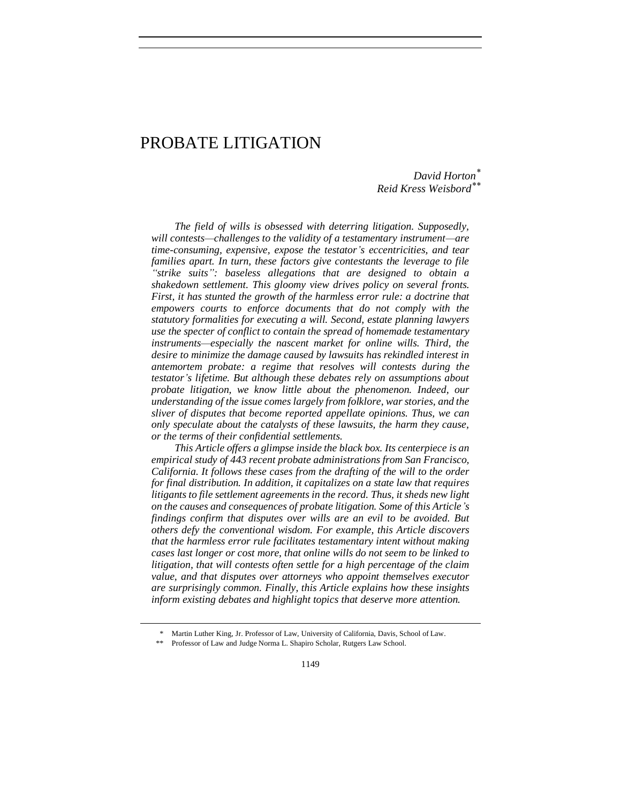# PROBATE LITIGATION

*David Horton\* Reid Kress Weisbord\*\**

*The field of wills is obsessed with deterring litigation. Supposedly, will contests—challenges to the validity of a testamentary instrument—are time-consuming, expensive, expose the testator's eccentricities, and tear families apart. In turn, these factors give contestants the leverage to file "strike suits": baseless allegations that are designed to obtain a shakedown settlement. This gloomy view drives policy on several fronts. First, it has stunted the growth of the harmless error rule: a doctrine that empowers courts to enforce documents that do not comply with the statutory formalities for executing a will. Second, estate planning lawyers use the specter of conflict to contain the spread of homemade testamentary instruments—especially the nascent market for online wills. Third, the desire to minimize the damage caused by lawsuits has rekindled interest in antemortem probate: a regime that resolves will contests during the testator's lifetime. But although these debates rely on assumptions about probate litigation, we know little about the phenomenon. Indeed, our understanding of the issue comes largely from folklore, war stories, and the sliver of disputes that become reported appellate opinions. Thus, we can only speculate about the catalysts of these lawsuits, the harm they cause, or the terms of their confidential settlements.*

*This Article offers a glimpse inside the black box. Its centerpiece is an empirical study of 443 recent probate administrations from San Francisco, California. It follows these cases from the drafting of the will to the order for final distribution. In addition, it capitalizes on a state law that requires litigants to file settlement agreements in the record. Thus, it sheds new light on the causes and consequences of probate litigation. Some of this Article's findings confirm that disputes over wills are an evil to be avoided. But others defy the conventional wisdom. For example, this Article discovers that the harmless error rule facilitates testamentary intent without making cases last longer or cost more, that online wills do not seem to be linked to litigation, that will contests often settle for a high percentage of the claim value, and that disputes over attorneys who appoint themselves executor are surprisingly common. Finally, this Article explains how these insights inform existing debates and highlight topics that deserve more attention.* 

<sup>\*</sup> Martin Luther King, Jr. Professor of Law, University of California, Davis, School of Law.

Professor of Law and Judge Norma L. Shapiro Scholar, Rutgers Law School.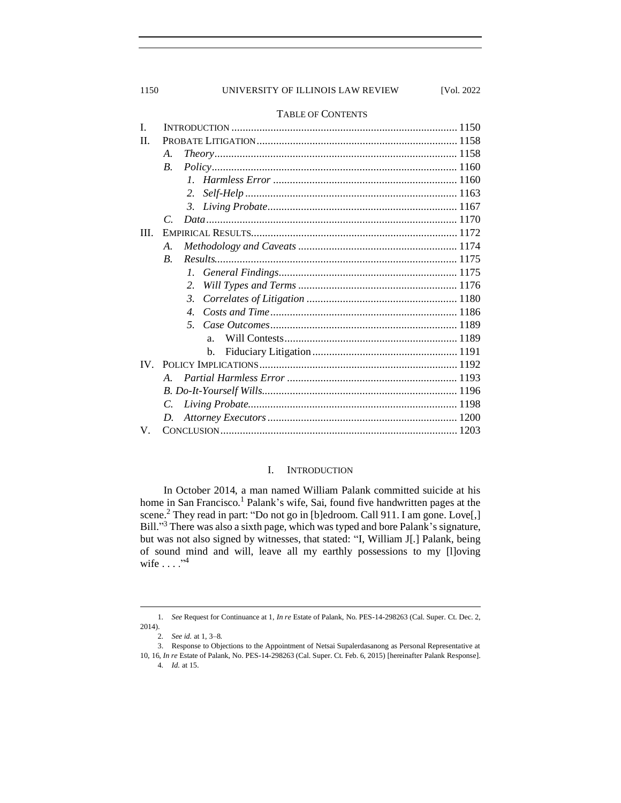# 1150 UNIVERSITY OF ILLINOIS LAW REVIEW [Vol. 2022

|      | <b>TABLE OF CONTENTS</b> |  |  |  |
|------|--------------------------|--|--|--|
| I.   |                          |  |  |  |
| П.   |                          |  |  |  |
|      | A.                       |  |  |  |
|      | $\overline{B}$ .         |  |  |  |
|      | $\mathcal{I}$            |  |  |  |
|      | 2.                       |  |  |  |
|      | 3.                       |  |  |  |
|      | $\mathcal{C}$            |  |  |  |
| III. |                          |  |  |  |
|      | $\mathcal{A}_{\cdot}$    |  |  |  |
|      | $\boldsymbol{B}$ .       |  |  |  |
|      |                          |  |  |  |
|      | 2.                       |  |  |  |
|      | 3.                       |  |  |  |
|      | $\mathcal{A}_{\cdot}$    |  |  |  |
|      |                          |  |  |  |
|      | a <sub>1</sub>           |  |  |  |
|      | b.                       |  |  |  |
|      |                          |  |  |  |
|      | $A_{\cdot}$              |  |  |  |
|      |                          |  |  |  |
|      | C.                       |  |  |  |
|      | D.                       |  |  |  |
| V.   |                          |  |  |  |

# I. INTRODUCTION

<span id="page-1-0"></span>In October 2014, a man named William Palank committed suicide at his home in San Francisco.<sup>1</sup> Palank's wife, Sai, found five handwritten pages at the scene.<sup>2</sup> They read in part: "Do not go in [b]edroom. Call 911. I am gone. Love[,] Bill."<sup>3</sup> There was also a sixth page, which was typed and bore Palank's signature, but was not also signed by witnesses, that stated: "I, William J[.] Palank, being of sound mind and will, leave all my earthly possessions to my [l]oving wife  $\dots$ ."<sup>4</sup>

<sup>1</sup>*. See* Request for Continuance at 1, *In re* Estate of Palank, No. PES-14-298263 (Cal. Super. Ct. Dec. 2, 2014).

<sup>2</sup>*. See id.* at 1, 3–8.

<sup>3.</sup> Response to Objections to the Appointment of Netsai Supalerdasanong as Personal Representative at 10, 16, *In re* Estate of Palank, No. PES-14-298263 (Cal. Super. Ct. Feb. 6, 2015) [hereinafter Palank Response].

<sup>4</sup>*. Id.* at 15.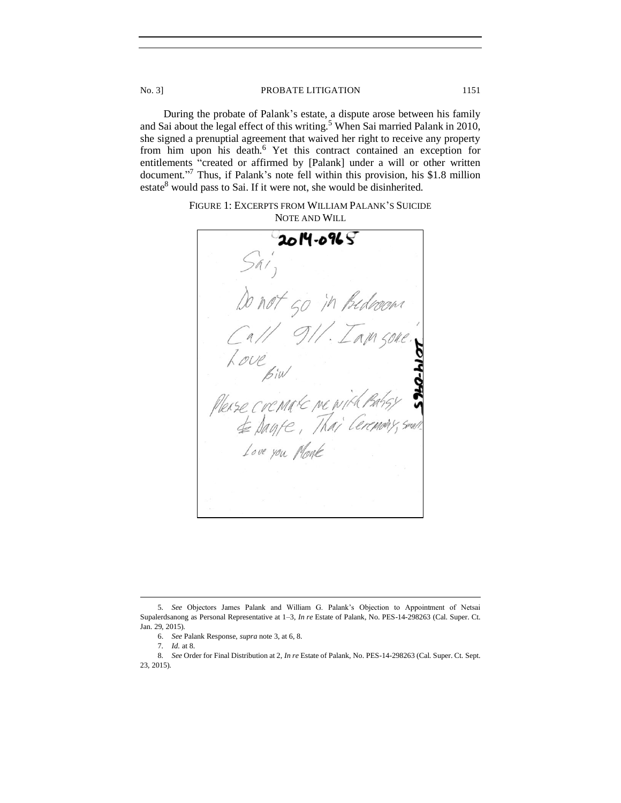During the probate of Palank's estate, a dispute arose between his family and Sai about the legal effect of this writing.<sup>5</sup> When Sai married Palank in 2010, she signed a prenuptial agreement that waived her right to receive any property from him upon his death.<sup>6</sup> Yet this contract contained an exception for entitlements "created or affirmed by [Palank] under a will or other written document." <sup>7</sup> Thus, if Palank's note fell within this provision, his \$1.8 million estate<sup>8</sup> would pass to Sai. If it were not, she would be disinherited.

FIGURE 1: EXCERPTS FROM WILLIAM PALANK'S SUICIDE NOTE AND WILL

 $2014 - 0965$ not go in Bedroom Please commark me & Dayte, 1. Love you Monk

<sup>5</sup>*. See* Objectors James Palank and William G. Palank's Objection to Appointment of Netsai Supalerdsanong as Personal Representative at 1–3, *In re* Estate of Palank, No. PES-14-298263 (Cal. Super. Ct. Jan. 29, 2015).

<sup>6.</sup> *See* Palank Response, *supra* note 3, at 6, 8.

<sup>7</sup>*. Id.* at 8.

<sup>8</sup>*. See* Order for Final Distribution at 2, *In re* Estate of Palank, No. PES-14-298263 (Cal. Super. Ct. Sept. 23, 2015).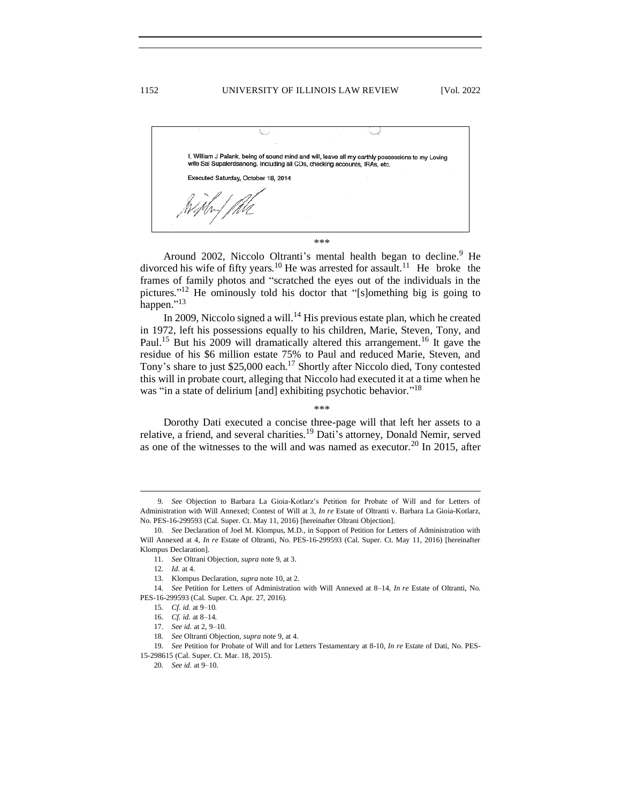1152 UNIVERSITY OF ILLINOIS LAW REVIEW [Vol. 2022]

|  | Executed Saturday, October 18, 2014 | I, William J Palank, being of sound mind and will, leave all my earthly possessions to my Loving<br>wife Sai Supalerdsanong. Including all CDs, checking accounts, IRAs, etc. |
|--|-------------------------------------|-------------------------------------------------------------------------------------------------------------------------------------------------------------------------------|

\*\*\*

Around 2002, Niccolo Oltranti's mental health began to decline.<sup>9</sup> He divorced his wife of fifty years.<sup>10</sup> He was arrested for assault.<sup>11</sup> He broke the frames of family photos and "scratched the eyes out of the individuals in the pictures." <sup>12</sup> He ominously told his doctor that "[s]omething big is going to happen."<sup>13</sup>

In 2009, Niccolo signed a will.<sup>14</sup> His previous estate plan, which he created in 1972, left his possessions equally to his children, Marie, Steven, Tony, and Paul.<sup>15</sup> But his 2009 will dramatically altered this arrangement.<sup>16</sup> It gave the residue of his \$6 million estate 75% to Paul and reduced Marie, Steven, and Tony's share to just \$25,000 each.<sup>17</sup> Shortly after Niccolo died, Tony contested this will in probate court, alleging that Niccolo had executed it at a time when he was "in a state of delirium [and] exhibiting psychotic behavior."<sup>18</sup>

\*\*\*

Dorothy Dati executed a concise three-page will that left her assets to a relative, a friend, and several charities.<sup>19</sup> Dati's attorney, Donald Nemir, served as one of the witnesses to the will and was named as executor.<sup>20</sup> In 2015, after

<sup>9</sup>*. See* Objection to Barbara La Gioia-Kotlarz's Petition for Probate of Will and for Letters of Administration with Will Annexed; Contest of Will at 3, *In re* Estate of Oltranti v. Barbara La Gioia-Kotlarz, No. PES-16-299593 (Cal. Super. Ct. May 11, 2016) [hereinafter Oltrani Objection].

<sup>10</sup>*. See* Declaration of Joel M. Klompus, M.D., in Support of Petition for Letters of Administration with Will Annexed at 4, *In re* Estate of Oltranti, No. PES-16-299593 (Cal. Super. Ct. May 11, 2016) [hereinafter Klompus Declaration].

<sup>11</sup>*. See* Oltrani Objection, *supra* note 9, at 3.

<sup>12</sup>*. Id.* at 4.

<sup>13.</sup> Klompus Declaration, *supra* note 10, at 2.

<sup>14</sup>*. See* Petition for Letters of Administration with Will Annexed at 8–14, *In re* Estate of Oltranti, No. PES-16-299593 (Cal. Super. Ct. Apr. 27, 2016).

<sup>15</sup>*. Cf. id.* at 9–10.

<sup>16.</sup> *Cf. id.* at 8–14.

<sup>17</sup>*. See id.* at 2, 9–10.

<sup>18</sup>*. See* Oltranti Objection, *supra* note 9, at 4.

<sup>19</sup>*. See* Petition for Probate of Will and for Letters Testamentary at 8-10, *In re* Estate of Dati, No. PES-15-298615 (Cal. Super. Ct. Mar. 18, 2015).

<sup>20</sup>*. See id.* at 9–10.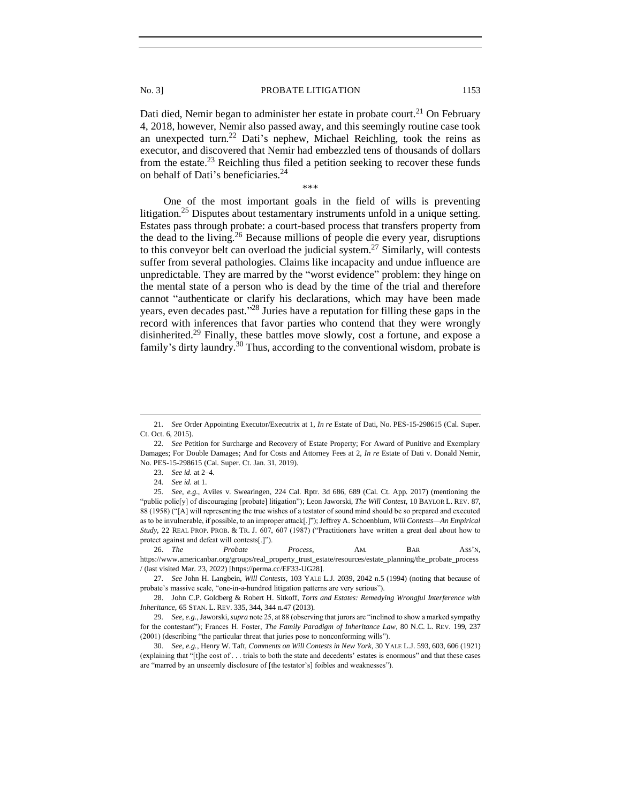Dati died, Nemir began to administer her estate in probate court.<sup>21</sup> On February 4, 2018, however, Nemir also passed away, and this seemingly routine case took an unexpected turn.<sup>22</sup> Dati's nephew, Michael Reichling, took the reins as executor, and discovered that Nemir had embezzled tens of thousands of dollars from the estate.<sup>23</sup> Reichling thus filed a petition seeking to recover these funds on behalf of Dati's beneficiaries.<sup>24</sup>

\*\*\*

One of the most important goals in the field of wills is preventing litigation.<sup>25</sup> Disputes about testamentary instruments unfold in a unique setting. Estates pass through probate: a court-based process that transfers property from the dead to the living.<sup>26</sup> Because millions of people die every year, disruptions to this conveyor belt can overload the judicial system.<sup>27</sup> Similarly, will contests suffer from several pathologies. Claims like incapacity and undue influence are unpredictable. They are marred by the "worst evidence" problem: they hinge on the mental state of a person who is dead by the time of the trial and therefore cannot "authenticate or clarify his declarations, which may have been made years, even decades past."<sup>28</sup> Juries have a reputation for filling these gaps in the record with inferences that favor parties who contend that they were wrongly disinherited.<sup>29</sup> Finally, these battles move slowly, cost a fortune, and expose a family's dirty laundry.<sup>30</sup> Thus, according to the conventional wisdom, probate is

26. *The Probate Process*, AM. BAR ASS'N, https://www.americanbar.org/groups/real\_property\_trust\_estate/resources/estate\_planning/the\_probate\_process / (last visited Mar. 23, 2022) [https://perma.cc/EF33-UG28].

27*. See* John H. Langbein, *Will Contests*, 103 YALE L.J. 2039, 2042 n.5 (1994) (noting that because of probate's massive scale, "one-in-a-hundred litigation patterns are very serious").

28. John C.P. Goldberg & Robert H. Sitkoff, *Torts and Estates: Remedying Wrongful Interference with Inheritance*, 65 STAN. L. REV. 335, 344, 344 n.47 (2013).

29*. See, e.g.*, Jaworski, *supra* note 25, at 88 (observing that jurors are "inclined to show a marked sympathy for the contestant"); Frances H. Foster, *The Family Paradigm of Inheritance Law*, 80 N.C. L. REV. 199, 237 (2001) (describing "the particular threat that juries pose to nonconforming wills").

30*. See, e.g.*, Henry W. Taft, *Comments on Will Contests in New York*, 30 YALE L.J. 593, 603, 606 (1921) (explaining that "[t]he cost of . . . trials to both the state and decedents' estates is enormous" and that these cases are "marred by an unseemly disclosure of [the testator's] foibles and weaknesses").

<sup>21</sup>*. See* Order Appointing Executor/Executrix at 1, *In re* Estate of Dati, No. PES-15-298615 (Cal. Super. Ct. Oct. 6, 2015).

<sup>22</sup>*. See* Petition for Surcharge and Recovery of Estate Property; For Award of Punitive and Exemplary Damages; For Double Damages; And for Costs and Attorney Fees at 2, *In re* Estate of Dati v. Donald Nemir, No. PES-15-298615 (Cal. Super. Ct. Jan. 31, 2019).

<sup>23</sup>*. See id.* at 2–4.

<sup>24</sup>*. See id.* at 1.

<sup>25</sup>*. See, e.g.*, Aviles v. Swearingen, 224 Cal. Rptr. 3d 686, 689 (Cal. Ct. App. 2017) (mentioning the "public polic[y] of discouraging [probate] litigation"); Leon Jaworski, *The Will Contest*, 10 BAYLOR L. REV. 87, 88 (1958) ("[A] will representing the true wishes of a testator of sound mind should be so prepared and executed as to be invulnerable, if possible, to an improper attack[.]"); Jeffrey A. Schoenblum, *Will Contests—An Empirical Study*, 22 REAL PROP. PROB. & TR. J. 607, 607 (1987) ("Practitioners have written a great deal about how to protect against and defeat will contests[.]").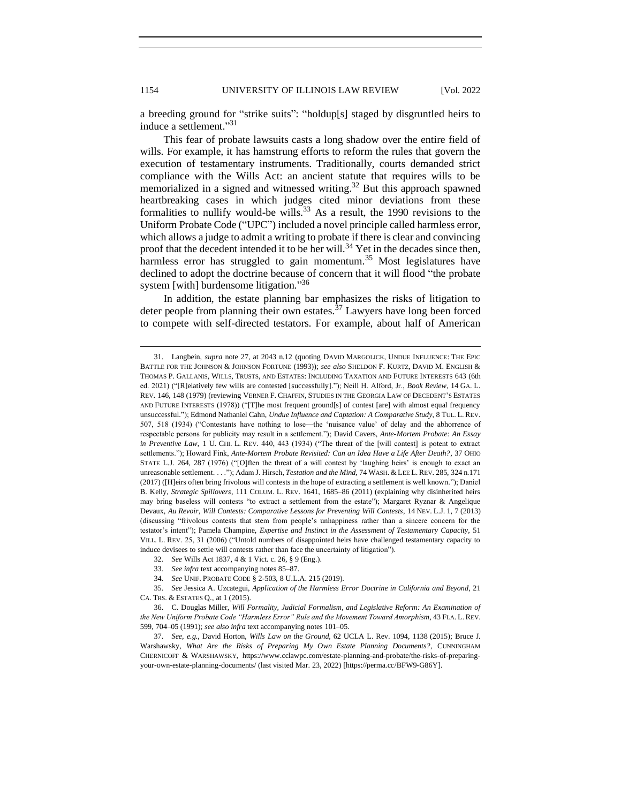a breeding ground for "strike suits": "holdup[s] staged by disgruntled heirs to induce a settlement." 31

This fear of probate lawsuits casts a long shadow over the entire field of wills. For example, it has hamstrung efforts to reform the rules that govern the execution of testamentary instruments. Traditionally, courts demanded strict compliance with the Wills Act: an ancient statute that requires wills to be memorialized in a signed and witnessed writing.<sup>32</sup> But this approach spawned heartbreaking cases in which judges cited minor deviations from these formalities to nullify would-be wills.<sup>33</sup> As a result, the 1990 revisions to the Uniform Probate Code ("UPC") included a novel principle called harmless error, which allows a judge to admit a writing to probate if there is clear and convincing proof that the decedent intended it to be her will.<sup>34</sup> Yet in the decades since then, harmless error has struggled to gain momentum.<sup>35</sup> Most legislatures have declined to adopt the doctrine because of concern that it will flood "the probate system [with] burdensome litigation."36

In addition, the estate planning bar emphasizes the risks of litigation to deter people from planning their own estates. $37$  Lawyers have long been forced to compete with self-directed testators. For example, about half of American

<sup>31.</sup> Langbein, *supra* note 27, at 2043 n.12 (quoting DAVID MARGOLICK, UNDUE INFLUENCE: THE EPIC BATTLE FOR THE JOHNSON & JOHNSON FORTUNE (1993)); *see also* SHELDON F. KURTZ, DAVID M. ENGLISH & THOMAS P. GALLANIS, WILLS, TRUSTS, AND ESTATES: INCLUDING TAXATION AND FUTURE INTERESTS 643 (6th ed. 2021) ("[R]elatively few wills are contested [successfully]."); Neill H. Alford, Jr., *Book Review*, 14 GA. L. REV. 146, 148 (1979) (reviewing VERNER F. CHAFFIN, STUDIES IN THE GEORGIA LAW OF DECEDENT'S ESTATES AND FUTURE INTERESTS (1978)) ("[T]he most frequent ground[s] of contest [are] with almost equal frequency unsuccessful."); Edmond Nathaniel Cahn, *Undue Influence and Captation: A Comparative Study*, 8 TUL. L. REV. 507, 518 (1934) ("Contestants have nothing to lose—the 'nuisance value' of delay and the abhorrence of respectable persons for publicity may result in a settlement."); David Cavers, *Ante-Mortem Probate: An Essay in Preventive Law*, 1 U. CHI. L. REV. 440, 443 (1934) ("The threat of the [will contest] is potent to extract settlements."); Howard Fink, *Ante-Mortem Probate Revisited: Can an Idea Have a Life After Death?*, 37 OHIO STATE L.J. 264, 287 (1976) ("[O]ften the threat of a will contest by 'laughing heirs' is enough to exact an unreasonable settlement. . . ."); Adam J. Hirsch, *Testation and the Mind*, 74 WASH. & LEE L. REV. 285, 324 n.171 (2017) ([H]eirs often bring frivolous will contests in the hope of extracting a settlement is well known."); Daniel B. Kelly, *Strategic Spillovers*, 111 COLUM. L. REV. 1641, 1685–86 (2011) (explaining why disinherited heirs may bring baseless will contests "to extract a settlement from the estate"); Margaret Ryznar & Angelique Devaux, *Au Revoir, Will Contests: Comparative Lessons for Preventing Will Contests*, 14 NEV. L.J. 1, 7 (2013) (discussing "frivolous contests that stem from people's unhappiness rather than a sincere concern for the testator's intent"); Pamela Champine, *Expertise and Instinct in the Assessment of Testamentary Capacity*, 51 VILL. L. REV. 25, 31 (2006) ("Untold numbers of disappointed heirs have challenged testamentary capacity to induce devisees to settle will contests rather than face the uncertainty of litigation").

<sup>32</sup>*. See* Wills Act 1837, 4 & 1 Vict. c. 26, § 9 (Eng.).

<sup>33</sup>*. See infra* text accompanying notes 85–87.

<sup>34</sup>*. See* UNIF. PROBATE CODE § 2-503, 8 U.L.A. 215 (2019).

<sup>35.</sup> *See* Jessica A. Uzcategui, *Application of the Harmless Error Doctrine in California and Beyond*, 21 CA. TRS. & ESTATES Q., at 1 (2015).

<sup>36.</sup> C. Douglas Miller, *Will Formality, Judicial Formalism, and Legislative Reform: An Examination of the New Uniform Probate Code "Harmless Error" Rule and the Movement Toward Amorphism*, 43 FLA. L. REV. 599, 704–05 (1991); *see also infra* text accompanying notes 101–05.

<sup>37.</sup> *See, e.g.*, David Horton, *Wills Law on the Ground*, 62 UCLA L. Rev. 1094, 1138 (2015); Bruce J. Warshawsky, *What Are the Risks of Preparing My Own Estate Planning Documents?*, CUNNINGHAM CHERNICOFF & WARSHAWSKY, https://www.cclawpc.com/estate-planning-and-probate/the-risks-of-preparingyour-own-estate-planning-documents/ (last visited Mar. 23, 2022) [https://perma.cc/BFW9-G86Y].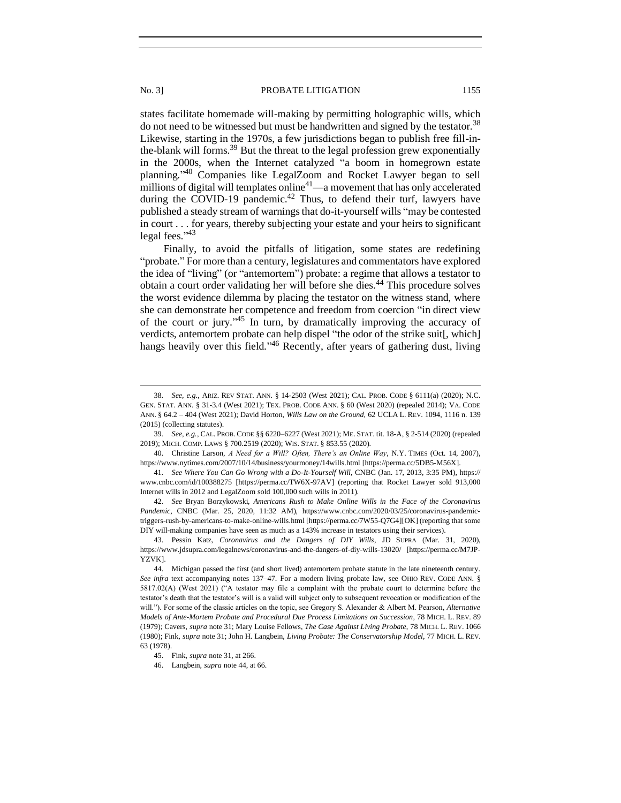states facilitate homemade will-making by permitting holographic wills, which do not need to be witnessed but must be handwritten and signed by the testator.<sup>38</sup> Likewise, starting in the 1970s, a few jurisdictions began to publish free fill-inthe-blank will forms.<sup>39</sup> But the threat to the legal profession grew exponentially in the 2000s, when the Internet catalyzed "a boom in homegrown estate planning." <sup>40</sup> Companies like LegalZoom and Rocket Lawyer began to sell millions of digital will templates online<sup>41</sup>—a movement that has only accelerated during the COVID-19 pandemic.<sup>42</sup> Thus, to defend their turf, lawyers have published a steady stream of warnings that do-it-yourself wills "may be contested in court . . . for years, thereby subjecting your estate and your heirs to significant legal fees."<sup>43</sup>

Finally, to avoid the pitfalls of litigation, some states are redefining "probate." For more than a century, legislatures and commentators have explored the idea of "living" (or "antemortem") probate: a regime that allows a testator to obtain a court order validating her will before she dies.<sup>44</sup> This procedure solves the worst evidence dilemma by placing the testator on the witness stand, where she can demonstrate her competence and freedom from coercion "in direct view of the court or jury." <sup>45</sup> In turn, by dramatically improving the accuracy of verdicts, antemortem probate can help dispel "the odor of the strike suit[, which] hangs heavily over this field."<sup>46</sup> Recently, after years of gathering dust, living

<sup>38</sup>*. See, e.g.*, ARIZ. REV STAT. ANN. § 14-2503 (West 2021); CAL. PROB. CODE § 6111(a) (2020); N.C. GEN. STAT. ANN. § 31-3.4 (West 2021); TEX. PROB. CODE ANN. § 60 (West 2020) (repealed 2014); VA. CODE ANN. § 64.2 – 404 (West 2021); David Horton, *Wills Law on the Ground*, 62 UCLA L. REV. 1094, 1116 n. 139 (2015) (collecting statutes).

<sup>39</sup>*. See, e.g.*, CAL. PROB. CODE §§ 6220–6227 (West 2021); ME. STAT. tit. 18-A, § 2-514 (2020) (repealed 2019); MICH. COMP. LAWS § 700.2519 (2020); WIS. STAT. § 853.55 (2020).

<sup>40.</sup> Christine Larson, *A Need for a Will? Often, There's an Online Way*, N.Y. TIMES (Oct. 14, 2007), https://www.nytimes.com/2007/10/14/business/yourmoney/14wills.html [https://perma.cc/5DB5-M56X].

<sup>41</sup>*. See Where You Can Go Wrong with a Do-It-Yourself Will*, CNBC (Jan. 17, 2013, 3:35 PM), https:// www.cnbc.com/id/100388275 [https://perma.cc/TW6X-97AV] (reporting that Rocket Lawyer sold 913,000 Internet wills in 2012 and LegalZoom sold 100,000 such wills in 2011).

<sup>42</sup>*. See* Bryan Borzykowski, *Americans Rush to Make Online Wills in the Face of the Coronavirus Pandemic*, CNBC (Mar. 25, 2020, 11:32 AM), https://www.cnbc.com/2020/03/25/coronavirus-pandemictriggers-rush-by-americans-to-make-online-wills.html [https://perma.cc/7W55-Q7G4][OK] (reporting that some DIY will-making companies have seen as much as a 143% increase in testators using their services).

<sup>43.</sup> Pessin Katz, *Coronavirus and the Dangers of DIY Wills*, JD SUPRA (Mar. 31, 2020), https://www.jdsupra.com/legalnews/coronavirus-and-the-dangers-of-diy-wills-13020/ [https://perma.cc/M7JP-YZVK].

<sup>44.</sup> Michigan passed the first (and short lived) antemortem probate statute in the late nineteenth century. *See infra* text accompanying notes 137–47. For a modern living probate law, see OHIO REV. CODE ANN. § 5817.02(A) (West 2021) ("A testator may file a complaint with the probate court to determine before the testator's death that the testator's will is a valid will subject only to subsequent revocation or modification of the will."). For some of the classic articles on the topic, see Gregory S. Alexander & Albert M. Pearson, *Alternative Models of Ante-Mortem Probate and Procedural Due Process Limitations on Succession*, 78 MICH. L. REV. 89 (1979); Cavers, *supra* note 31; Mary Louise Fellows, *The Case Against Living Probate*, 78 MICH. L. REV. 1066 (1980); Fink, *supra* note 31; John H. Langbein, *Living Probate: The Conservatorship Model*, 77 MICH. L. REV. 63 (1978).

<sup>45.</sup> Fink, *supra* note 31, at 266.

<sup>46.</sup> Langbein, *supra* note 44, at 66.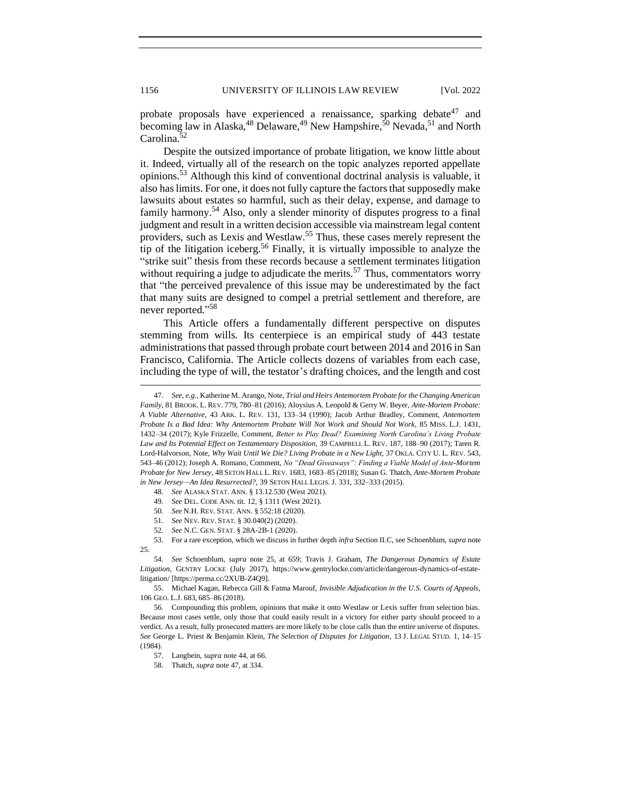probate proposals have experienced a renaissance, sparking debate<sup>47</sup> and becoming law in Alaska,<sup>48</sup> Delaware,<sup>49</sup> New Hampshire,<sup>50</sup> Nevada,<sup>51</sup> and North Carolina.<sup>52</sup>

Despite the outsized importance of probate litigation, we know little about it. Indeed, virtually all of the research on the topic analyzes reported appellate opinions.<sup>53</sup> Although this kind of conventional doctrinal analysis is valuable, it also has limits. For one, it does not fully capture the factors that supposedly make lawsuits about estates so harmful, such as their delay, expense, and damage to family harmony.<sup>54</sup> Also, only a slender minority of disputes progress to a final judgment and result in a written decision accessible via mainstream legal content providers, such as Lexis and Westlaw.<sup>55</sup> Thus, these cases merely represent the tip of the litigation iceberg.<sup>56</sup> Finally, it is virtually impossible to analyze the "strike suit" thesis from these records because a settlement terminates litigation without requiring a judge to adjudicate the merits.<sup>57</sup> Thus, commentators worry that "the perceived prevalence of this issue may be underestimated by the fact that many suits are designed to compel a pretrial settlement and therefore, are never reported." 58

This Article offers a fundamentally different perspective on disputes stemming from wills. Its centerpiece is an empirical study of 443 testate administrations that passed through probate court between 2014 and 2016 in San Francisco, California. The Article collects dozens of variables from each case, including the type of will, the testator's drafting choices, and the length and cost

<sup>47</sup>*. See, e.g.*, Katherine M. Arango, Note, *Trial and Heirs Antemortem Probate for the Changing American Family*, 81 BROOK. L. REV. 779, 780–81 (2016); Aloysius A. Leopold & Gerry W. Beyer, *Ante-Mortem Probate: A Viable Alternative*, 43 ARK. L. REV. 131, 133–34 (1990); Jacob Arthur Bradley, Comment, *Antemortem Probate Is a Bad Idea: Why Antemortem Probate Will Not Work and Should Not Work*, 85 MISS. L.J. 1431, 1432–34 (2017); Kyle Frizzelle, Comment, *Better to Play Dead? Examining North Carolina's Living Probate Law and Its Potential Effect on Testamentary Disposition*, 39 CAMPBELL L. REV. 187, 188–90 (2017); Taren R. Lord-Halvorson, Note, *Why Wait Until We Die? Living Probate in a New Light*, 37 OKLA. CITY U. L. REV. 543, 543–46 (2012); Joseph A. Romano, Comment, *No "Dead Giveaways": Finding a Viable Model of Ante-Mortem Probate for New Jersey*, 48 SETON HALL L. REV. 1683, 1683–85 (2018); Susan G. Thatch, *Ante-Mortem Probate in New Jersey—An Idea Resurrected?*, 39 SETON HALL LEGIS. J. 331, 332–333 (2015).

<sup>48</sup>*. See* ALASKA STAT. ANN. § 13.12.530 (West 2021).

<sup>49</sup>*. See* DEL. CODE ANN. tit. 12, § 1311 (West 2021).

<sup>50</sup>*. See* N.H. REV. STAT. ANN. § 552:18 (2020).

<sup>51</sup>*. See* NEV. REV. STAT. § 30.040(2) (2020).

<sup>52</sup>*. See* N.C. GEN. STAT. § 28A-2B-1 (2020).

<sup>53.</sup> For a rare exception, which we discuss in further depth *infra* Section II.C, see Schoenblum, *supra* note 25.

<sup>54.</sup> *See* Schoenblum, *supra* note 25, at 659; Travis J. Graham, *The Dangerous Dynamics of Estate Litigation*, GENTRY LOCKE (July 2017), https://www.gentrylocke.com/article/dangerous-dynamics-of-estatelitigation/ [https://perma.cc/2XUB-Z4Q9].

<sup>55.</sup> Michael Kagan, Rebecca Gill & Fatma Marouf, *Invisible Adjudication in the U.S. Courts of Appeals*, 106 GEO. L.J. 683, 685–86 (2018).

<sup>56.</sup> Compounding this problem, opinions that make it onto Westlaw or Lexis suffer from selection bias. Because most cases settle, only those that could easily result in a victory for either party should proceed to a verdict. As a result, fully prosecuted matters are more likely to be close calls than the entire universe of disputes. *See* George L. Priest & Benjamin Klein, *The Selection of Disputes for Litigation*, 13 J. LEGAL STUD. 1, 14–15 (1984).

<sup>57.</sup> Langbein, *supra* note 44, at 66.

<sup>58.</sup> Thatch, *supra* note 47, at 334.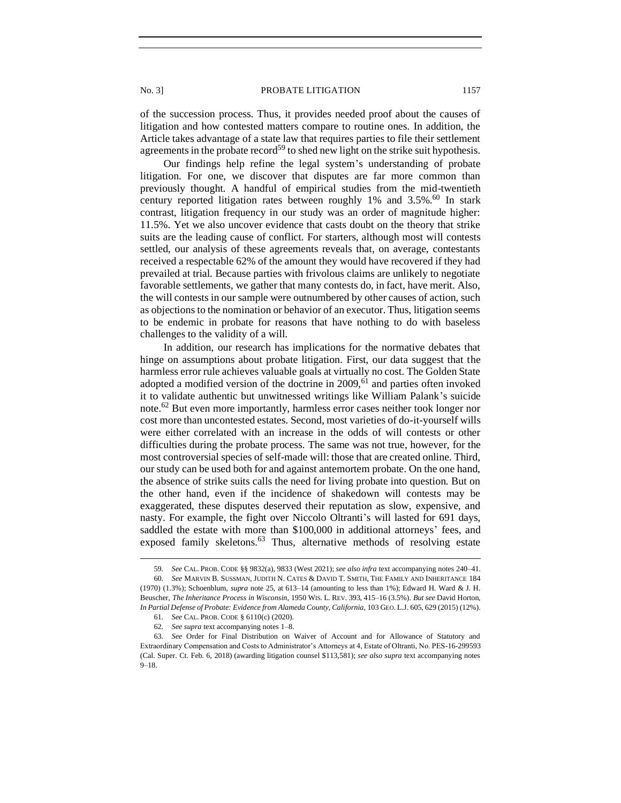of the succession process. Thus, it provides needed proof about the causes of litigation and how contested matters compare to routine ones. In addition, the Article takes advantage of a state law that requires parties to file their settlement agreements in the probate record<sup>59</sup> to shed new light on the strike suit hypothesis.

Our findings help refine the legal system's understanding of probate litigation. For one, we discover that disputes are far more common than previously thought. A handful of empirical studies from the mid-twentieth century reported litigation rates between roughly  $1\%$  and  $3.5\%$ .<sup>60</sup> In stark contrast, litigation frequency in our study was an order of magnitude higher: 11.5%. Yet we also uncover evidence that casts doubt on the theory that strike suits are the leading cause of conflict. For starters, although most will contests settled, our analysis of these agreements reveals that, on average, contestants received a respectable 62% of the amount they would have recovered if they had prevailed at trial. Because parties with frivolous claims are unlikely to negotiate favorable settlements, we gather that many contests do, in fact, have merit. Also, the will contests in our sample were outnumbered by other causes of action, such as objections to the nomination or behavior of an executor. Thus, litigation seems to be endemic in probate for reasons that have nothing to do with baseless challenges to the validity of a will.

In addition, our research has implications for the normative debates that hinge on assumptions about probate litigation. First, our data suggest that the harmless error rule achieves valuable goals at virtually no cost. The Golden State adopted a modified version of the doctrine in  $2009$ , <sup>61</sup> and parties often invoked it to validate authentic but unwitnessed writings like William Palank's suicide note.<sup>62</sup> But even more importantly, harmless error cases neither took longer nor cost more than uncontested estates. Second, most varieties of do-it-yourself wills were either correlated with an increase in the odds of will contests or other difficulties during the probate process. The same was not true, however, for the most controversial species of self-made will: those that are created online. Third, our study can be used both for and against antemortem probate. On the one hand, the absence of strike suits calls the need for living probate into question. But on the other hand, even if the incidence of shakedown will contests may be exaggerated, these disputes deserved their reputation as slow, expensive, and nasty. For example, the fight over Niccolo Oltranti's will lasted for 691 days, saddled the estate with more than \$100,000 in additional attorneys' fees, and exposed family skeletons.<sup>63</sup> Thus, alternative methods of resolving estate

<sup>59</sup>*. See* CAL. PROB. CODE §§ 9832(a), 9833 (West 2021); *see also infra* text accompanying notes 240–41.

<sup>60</sup>*. See* MARVIN B. SUSSMAN, JUDITH N. CATES & DAVID T. SMITH, THE FAMILY AND INHERITANCE 184 (1970) (1.3%); Schoenblum, *supra* note 25, at 613–14 (amounting to less than 1%); Edward H. Ward & J. H. Beuscher, *The Inheritance Process in Wisconsin*, 1950 WIS. L. REV. 393, 415–16 (3.5%). *But see* David Horton, *In Partial Defense of Probate: Evidence from Alameda County, California*, 103 GEO. L.J. 605, 629 (2015) (12%).

<sup>61</sup>*. See* CAL. PROB. CODE § 6110(c) (2020).

<sup>62</sup>*. See supra* text accompanying notes 1–8.

<sup>63</sup>*. See* Order for Final Distribution on Waiver of Account and for Allowance of Statutory and Extraordinary Compensation and Costs to Administrator's Attorneys at 4, Estate of Oltranti, No. PES-16-299593 (Cal. Super. Ct. Feb. 6, 2018) (awarding litigation counsel \$113,581); *see also supra* text accompanying notes 9–18.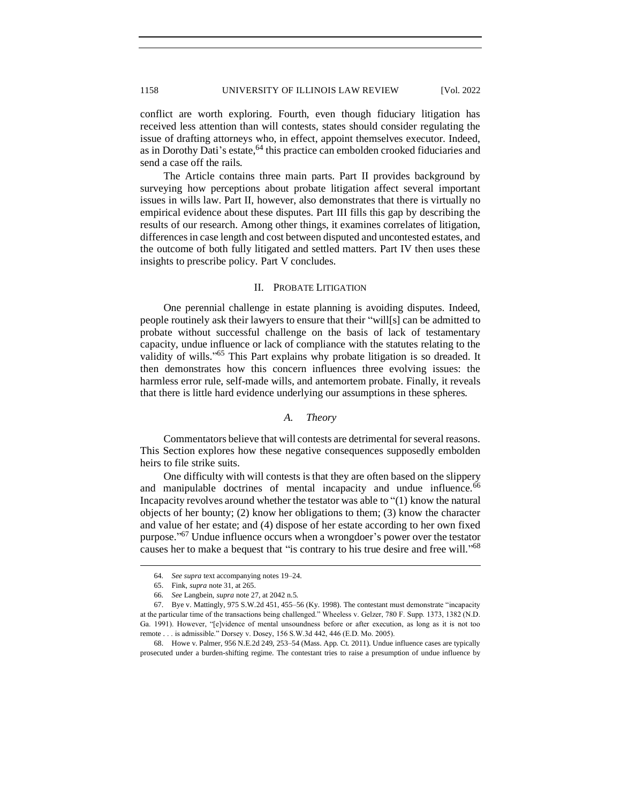conflict are worth exploring. Fourth, even though fiduciary litigation has received less attention than will contests, states should consider regulating the issue of drafting attorneys who, in effect, appoint themselves executor. Indeed, as in Dorothy Dati's estate,<sup>64</sup> this practice can embolden crooked fiduciaries and send a case off the rails.

The Article contains three main parts. Part II provides background by surveying how perceptions about probate litigation affect several important issues in wills law. Part II, however, also demonstrates that there is virtually no empirical evidence about these disputes. Part III fills this gap by describing the results of our research. Among other things, it examines correlates of litigation, differences in case length and cost between disputed and uncontested estates, and the outcome of both fully litigated and settled matters. Part IV then uses these insights to prescribe policy. Part V concludes.

### II. PROBATE LITIGATION

<span id="page-9-0"></span>One perennial challenge in estate planning is avoiding disputes. Indeed, people routinely ask their lawyers to ensure that their "will[s] can be admitted to probate without successful challenge on the basis of lack of testamentary capacity, undue influence or lack of compliance with the statutes relating to the validity of wills."<sup>65</sup> This Part explains why probate litigation is so dreaded. It then demonstrates how this concern influences three evolving issues: the harmless error rule, self-made wills, and antemortem probate. Finally, it reveals that there is little hard evidence underlying our assumptions in these spheres.

# *A. Theory*

<span id="page-9-1"></span>Commentators believe that will contests are detrimental for several reasons. This Section explores how these negative consequences supposedly embolden heirs to file strike suits.

One difficulty with will contests is that they are often based on the slippery and manipulable doctrines of mental incapacity and undue influence.<sup>66</sup> Incapacity revolves around whether the testator was able to "(1) know the natural objects of her bounty; (2) know her obligations to them; (3) know the character and value of her estate; and (4) dispose of her estate according to her own fixed purpose."<sup>67</sup> Undue influence occurs when a wrongdoer's power over the testator causes her to make a bequest that "is contrary to his true desire and free will."<sup>68</sup>

<sup>64</sup>*. See supra* text accompanying notes 19–24.

<sup>65.</sup> Fink, *supra* note 31, at 265.

<sup>66</sup>*. See* Langbein, *supra* note 27, at 2042 n.5.

<sup>67.</sup> Bye v. Mattingly, 975 S.W.2d 451, 455–56 (Ky. 1998). The contestant must demonstrate "incapacity at the particular time of the transactions being challenged." Wheeless v. Gelzer, 780 F. Supp. 1373, 1382 (N.D. Ga. 1991). However, "[e]vidence of mental unsoundness before or after execution, as long as it is not too remote . . . is admissible." Dorsey v. Dosey, 156 S.W.3d 442, 446 (E.D. Mo. 2005).

<sup>68.</sup> Howe v. Palmer, 956 N.E.2d 249, 253–54 (Mass. App. Ct. 2011). Undue influence cases are typically prosecuted under a burden-shifting regime. The contestant tries to raise a presumption of undue influence by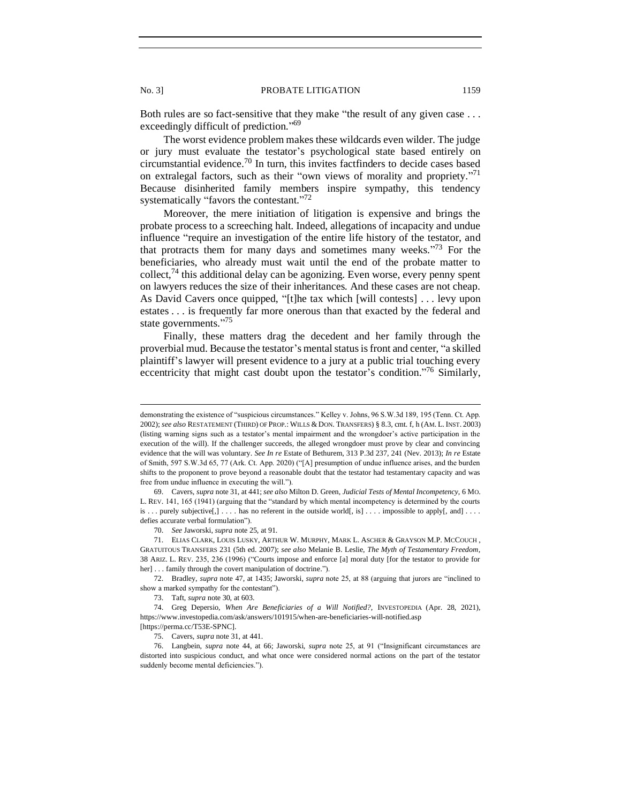Both rules are so fact-sensitive that they make "the result of any given case . . . exceedingly difficult of prediction."<sup>69</sup>

The worst evidence problem makes these wildcards even wilder. The judge or jury must evaluate the testator's psychological state based entirely on circumstantial evidence.<sup>70</sup> In turn, this invites factfinders to decide cases based on extralegal factors, such as their "own views of morality and propriety."<sup>71</sup> Because disinherited family members inspire sympathy, this tendency systematically "favors the contestant."<sup>72</sup>

Moreover, the mere initiation of litigation is expensive and brings the probate process to a screeching halt. Indeed, allegations of incapacity and undue influence "require an investigation of the entire life history of the testator, and that protracts them for many days and sometimes many weeks. $173$  For the beneficiaries, who already must wait until the end of the probate matter to collect,  $74$  this additional delay can be agonizing. Even worse, every penny spent on lawyers reduces the size of their inheritances. And these cases are not cheap. As David Cavers once quipped, "[t]he tax which [will contests] . . . levy upon estates . . . is frequently far more onerous than that exacted by the federal and state governments."<sup>75</sup>

Finally, these matters drag the decedent and her family through the proverbial mud. Because the testator's mental status is front and center, "a skilled plaintiff's lawyer will present evidence to a jury at a public trial touching every eccentricity that might cast doubt upon the testator's condition."<sup>76</sup> Similarly,

70. *See* Jaworski, *supra* note 25, at 91.

72. Bradley, *supra* note 47, at 1435; Jaworski, *supra* note 25, at 88 (arguing that jurors are "inclined to show a marked sympathy for the contestant").

demonstrating the existence of "suspicious circumstances." Kelley v. Johns, 96 S.W.3d 189, 195 (Tenn. Ct. App. 2002); see also RESTATEMENT (THIRD) OF PROP.: WILLS & DON. TRANSFERS) § 8.3, cmt. f, h (AM. L. INST. 2003) (listing warning signs such as a testator's mental impairment and the wrongdoer's active participation in the execution of the will). If the challenger succeeds, the alleged wrongdoer must prove by clear and convincing evidence that the will was voluntary. *See In re* Estate of Bethurem, 313 P.3d 237, 241 (Nev. 2013); *In re* Estate of Smith, 597 S.W.3d 65, 77 (Ark. Ct. App. 2020) ("[A] presumption of undue influence arises, and the burden shifts to the proponent to prove beyond a reasonable doubt that the testator had testamentary capacity and was free from undue influence in executing the will.").

<sup>69.</sup> Cavers, *supra* note 31, at 441; *see also* Milton D. Green, *Judicial Tests of Mental Incompetency*, 6 MO. L. REV. 141, 165 (1941) (arguing that the "standard by which mental incompetency is determined by the courts is ... purely subjective[,] ... . has no referent in the outside world[, is] ... . impossible to apply[, and] ... defies accurate verbal formulation").

<sup>71.</sup> ELIAS CLARK, LOUIS LUSKY, ARTHUR W. MURPHY, MARK L. ASCHER & GRAYSON M.P. MCCOUCH , GRATUITOUS TRANSFERS 231 (5th ed. 2007); *see also* Melanie B. Leslie, *The Myth of Testamentary Freedom*, 38 ARIZ. L. REV. 235, 236 (1996) ("Courts impose and enforce [a] moral duty [for the testator to provide for her] . . . family through the covert manipulation of doctrine.").

<sup>73.</sup> Taft, *supra* note 30, at 603.

<sup>74.</sup> Greg Depersio, *When Are Beneficiaries of a Will Notified?*, INVESTOPEDIA (Apr. 28, 2021), https://www.investopedia.com/ask/answers/101915/when-are-beneficiaries-will-notified.asp [https://perma.cc/T53E-SPNC].

<sup>75.</sup> Cavers, *supra* note 31, at 441.

<sup>76.</sup> Langbein, *supra* note 44, at 66; Jaworski, *supra* note 25, at 91 ("Insignificant circumstances are distorted into suspicious conduct, and what once were considered normal actions on the part of the testator suddenly become mental deficiencies.").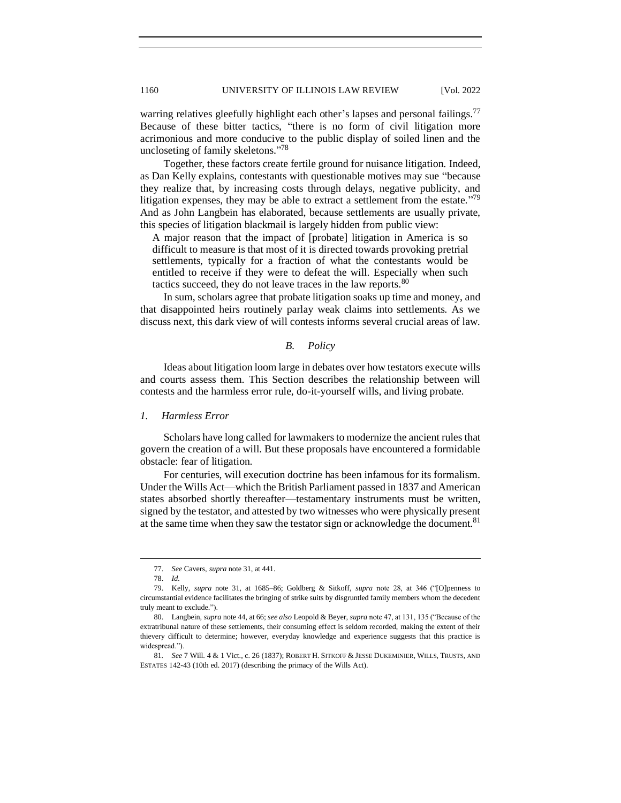warring relatives gleefully highlight each other's lapses and personal failings.<sup>77</sup> Because of these bitter tactics, "there is no form of civil litigation more acrimonious and more conducive to the public display of soiled linen and the uncloseting of family skeletons."<sup>78</sup>

Together, these factors create fertile ground for nuisance litigation. Indeed, as Dan Kelly explains, contestants with questionable motives may sue "because they realize that, by increasing costs through delays, negative publicity, and litigation expenses, they may be able to extract a settlement from the estate."<sup>79</sup> And as John Langbein has elaborated, because settlements are usually private, this species of litigation blackmail is largely hidden from public view:

A major reason that the impact of [probate] litigation in America is so difficult to measure is that most of it is directed towards provoking pretrial settlements, typically for a fraction of what the contestants would be entitled to receive if they were to defeat the will. Especially when such tactics succeed, they do not leave traces in the law reports.<sup>80</sup>

In sum, scholars agree that probate litigation soaks up time and money, and that disappointed heirs routinely parlay weak claims into settlements. As we discuss next, this dark view of will contests informs several crucial areas of law.

# *B. Policy*

<span id="page-11-0"></span>Ideas about litigation loom large in debates over how testators execute wills and courts assess them. This Section describes the relationship between will contests and the harmless error rule, do-it-yourself wills, and living probate.

# <span id="page-11-1"></span>*1. Harmless Error*

Scholars have long called for lawmakers to modernize the ancient rules that govern the creation of a will. But these proposals have encountered a formidable obstacle: fear of litigation.

For centuries, will execution doctrine has been infamous for its formalism. Under the Wills Act—which the British Parliament passed in 1837 and American states absorbed shortly thereafter—testamentary instruments must be written, signed by the testator, and attested by two witnesses who were physically present at the same time when they saw the testator sign or acknowledge the document.<sup>81</sup>

<sup>77.</sup> *See* Cavers, *supra* note 31, at 441.

<sup>78.</sup> *Id.*

<sup>79.</sup> Kelly, *supra* note 31, at 1685–86; Goldberg & Sitkoff, *supra* note 28, at 346 ("[O]penness to circumstantial evidence facilitates the bringing of strike suits by disgruntled family members whom the decedent truly meant to exclude.").

<sup>80.</sup> Langbein, *supra* note 44, at 66; *see also* Leopold & Beyer, *supra* note 47, at 131, 135 ("Because of the extratribunal nature of these settlements, their consuming effect is seldom recorded, making the extent of their thievery difficult to determine; however, everyday knowledge and experience suggests that this practice is widespread.").

<sup>81</sup>*. See* 7 Will. 4 & 1 Vict., c. 26 (1837); ROBERT H. SITKOFF & JESSE DUKEMINIER, WILLS, TRUSTS, AND ESTATES 142-43 (10th ed. 2017) (describing the primacy of the Wills Act).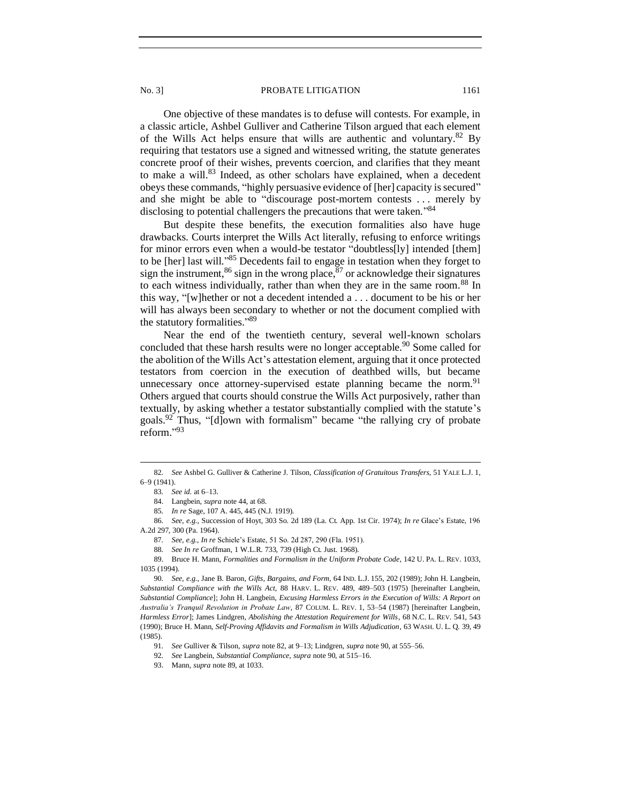One objective of these mandates is to defuse will contests. For example, in a classic article, Ashbel Gulliver and Catherine Tilson argued that each element of the Wills Act helps ensure that wills are authentic and voluntary. $82$  By requiring that testators use a signed and witnessed writing, the statute generates concrete proof of their wishes, prevents coercion, and clarifies that they meant to make a will. $83$  Indeed, as other scholars have explained, when a decedent obeys these commands, "highly persuasive evidence of [her] capacity is secured" and she might be able to "discourage post-mortem contests . . . merely by disclosing to potential challengers the precautions that were taken."<sup>84</sup>

But despite these benefits, the execution formalities also have huge drawbacks. Courts interpret the Wills Act literally, refusing to enforce writings for minor errors even when a would-be testator "doubtless[ly] intended [them] to be [her] last will."<sup>85</sup> Decedents fail to engage in testation when they forget to sign the instrument,  $86$  sign in the wrong place,  $87$  or acknowledge their signatures to each witness individually, rather than when they are in the same room.<sup>88</sup> In this way, "[w]hether or not a decedent intended a . . . document to be his or her will has always been secondary to whether or not the document complied with the statutory formalities." 89

Near the end of the twentieth century, several well-known scholars concluded that these harsh results were no longer acceptable.<sup>90</sup> Some called for the abolition of the Wills Act's attestation element, arguing that it once protected testators from coercion in the execution of deathbed wills, but became unnecessary once attorney-supervised estate planning became the norm.  $91$ Others argued that courts should construe the Wills Act purposively, rather than textually, by asking whether a testator substantially complied with the statute's goals.<sup>92</sup> Thus, "[d]own with formalism" became "the rallying cry of probate reform." 93

<sup>82</sup>*. See* Ashbel G. Gulliver & Catherine J. Tilson, *Classification of Gratuitous Transfers*, 51 YALE L.J. 1, 6–9 (1941).

<sup>83</sup>*. See id.* at 6–13.

<sup>84.</sup> Langbein, *supra* note 44, at 68.

<sup>85</sup>*. In re* Sage, 107 A. 445, 445 (N.J. 1919).

<sup>86</sup>*. See, e.g.*, Succession of Hoyt, 303 So. 2d 189 (La. Ct. App. 1st Cir. 1974); *In re* Glace's Estate, 196 A.2d 297, 300 (Pa. 1964).

<sup>87</sup>*. See, e.g.*, *In re* Schiele's Estate, 51 So. 2d 287, 290 (Fla. 1951).

<sup>88</sup>*. See In re* Groffman, 1 W.L.R. 733, 739 (High Ct. Just. 1968).

<sup>89.</sup> Bruce H. Mann, *Formalities and Formalism in the Uniform Probate Code*, 142 U. PA. L. REV. 1033, 1035 (1994).

<sup>90</sup>*. See, e.g.*, Jane B. Baron, *Gifts, Bargains, and Form,* 64 IND. L.J. 155, 202 (1989); John H. Langbein, *Substantial Compliance with the Wills Act*, 88 HARV. L. REV. 489, 489–503 (1975) [hereinafter Langbein, *Substantial Compliance*]; John H. Langbein, *Excusing Harmless Errors in the Execution of Wills: A Report on Australia's Tranquil Revolution in Probate Law*, 87 COLUM. L. REV. 1, 53–54 (1987) [hereinafter Langbein, *Harmless Error*]; James Lindgren, *Abolishing the Attestation Requirement for Wills*, 68 N.C. L. REV. 541, 543 (1990); Bruce H. Mann, *Self-Proving Affidavits and Formalism in Wills Adjudication*, 63 WASH. U. L. Q. 39, 49 (1985).

<sup>91</sup>*. See* Gulliver & Tilson, *supra* note 82, at 9–13; Lindgren, *supra* note 90, at 555–56.

<sup>92</sup>*. See* Langbein, *Substantial Compliance*, *supra* note 90, at 515–16.

<sup>93.</sup> Mann, *supra* note 89, at 1033.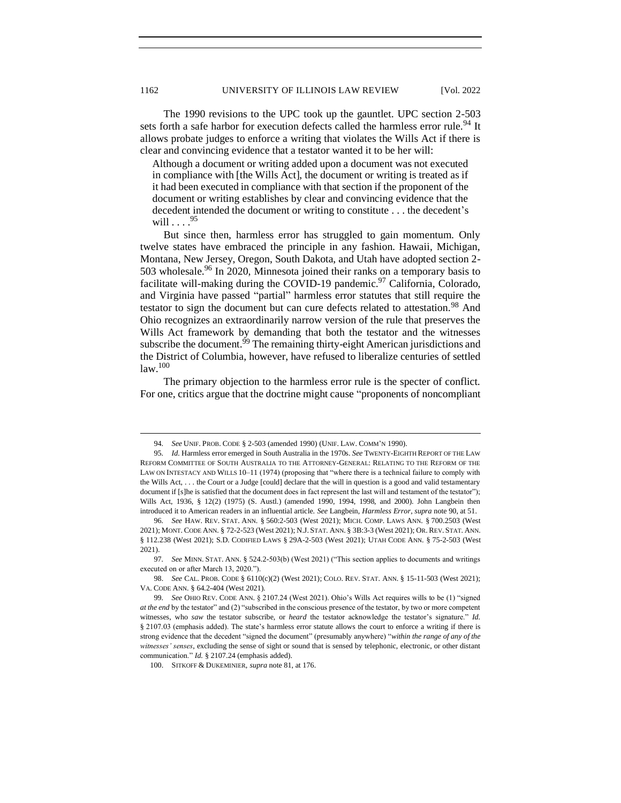The 1990 revisions to the UPC took up the gauntlet. UPC section 2-503 sets forth a safe harbor for execution defects called the harmless error rule.<sup>94</sup> It allows probate judges to enforce a writing that violates the Wills Act if there is clear and convincing evidence that a testator wanted it to be her will:

Although a document or writing added upon a document was not executed in compliance with [the Wills Act], the document or writing is treated as if it had been executed in compliance with that section if the proponent of the document or writing establishes by clear and convincing evidence that the decedent intended the document or writing to constitute . . . the decedent's will  $\ldots$  .  $95$ 

But since then, harmless error has struggled to gain momentum. Only twelve states have embraced the principle in any fashion. Hawaii, Michigan, Montana, New Jersey, Oregon, South Dakota, and Utah have adopted section 2- 503 wholesale.<sup>96</sup> In 2020, Minnesota joined their ranks on a temporary basis to facilitate will-making during the COVID-19 pandemic.<sup>97</sup> California, Colorado, and Virginia have passed "partial" harmless error statutes that still require the testator to sign the document but can cure defects related to attestation.<sup>98</sup> And Ohio recognizes an extraordinarily narrow version of the rule that preserves the Wills Act framework by demanding that both the testator and the witnesses subscribe the document.<sup>99</sup> The remaining thirty-eight American jurisdictions and the District of Columbia, however, have refused to liberalize centuries of settled law.<sup>100</sup>

The primary objection to the harmless error rule is the specter of conflict. For one, critics argue that the doctrine might cause "proponents of noncompliant

<sup>94</sup>*. See* UNIF. PROB. CODE § 2-503 (amended 1990) (UNIF. LAW. COMM'N 1990).

<sup>95</sup>*. Id.* Harmless error emerged in South Australia in the 1970s. *See* TWENTY-EIGHTH REPORT OF THE LAW REFORM COMMITTEE OF SOUTH AUSTRALIA TO THE ATTORNEY-GENERAL: RELATING TO THE REFORM OF THE LAW ON INTESTACY AND WILLS 10–11 (1974) (proposing that "where there is a technical failure to comply with the Wills Act, . . . the Court or a Judge [could] declare that the will in question is a good and valid testamentary document if [s]he is satisfied that the document does in fact represent the last will and testament of the testator"); Wills Act, 1936, § 12(2) (1975) (S. Austl.) (amended 1990, 1994, 1998, and 2000). John Langbein then introduced it to American readers in an influential article. *See* Langbein, *Harmless Error*, *supra* note 90, at 51.

<sup>96</sup>*. See* HAW. REV. STAT. ANN. § 560:2-503 (West 2021); MICH. COMP. LAWS ANN. § 700.2503 (West 2021); MONT. CODE ANN. § 72-2-523 (West 2021); N.J. STAT. ANN. § 3B:3-3 (West 2021); OR. REV. STAT. ANN. § 112.238 (West 2021); S.D. CODIFIED LAWS § 29A-2-503 (West 2021); UTAH CODE ANN. § 75-2-503 (West 2021).

<sup>97</sup>*. See* MINN. STAT. ANN. § 524.2-503(b) (West 2021) ("This section applies to documents and writings executed on or after March 13, 2020.").

<sup>98.</sup> *See* CAL. PROB. CODE § 6110(c)(2) (West 2021); COLO. REV. STAT. ANN. § 15-11-503 (West 2021); VA. CODE ANN. § 64.2-404 (West 2021).

<sup>99</sup>*. See* OHIO REV. CODE ANN. § 2107.24 (West 2021). Ohio's Wills Act requires wills to be (1) "signed *at the end* by the testator" and (2) "subscribed in the conscious presence of the testator, by two or more competent witnesses, who *saw* the testator subscribe, or *heard* the testator acknowledge the testator's signature." *Id.*  § 2107.03 (emphasis added). The state's harmless error statute allows the court to enforce a writing if there is strong evidence that the decedent "signed the document" (presumably anywhere) "*within the range of any of the witnesses' senses*, excluding the sense of sight or sound that is sensed by telephonic, electronic, or other distant communication." *Id.* § 2107.24 (emphasis added).

<sup>100.</sup> SITKOFF & DUKEMINIER, *supra* note 81, at 176.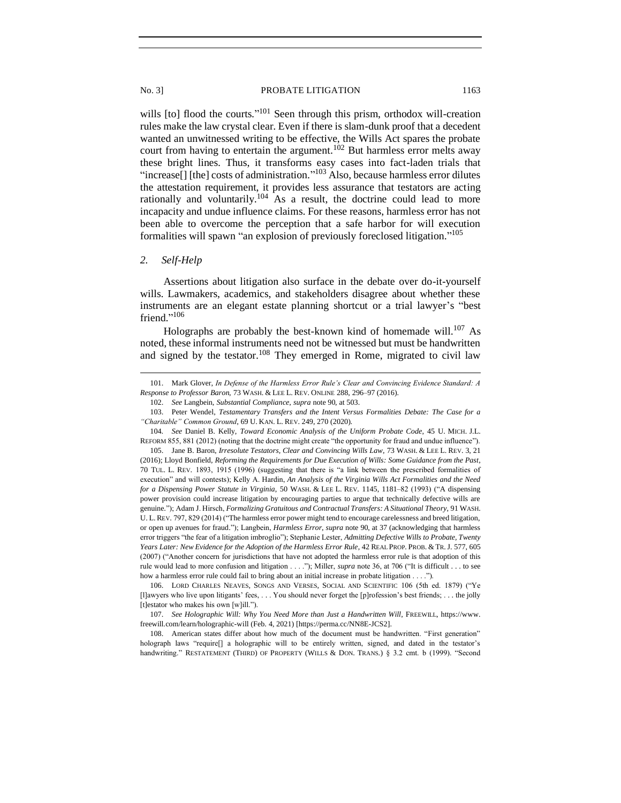wills [to] flood the courts."<sup>101</sup> Seen through this prism, orthodox will-creation rules make the law crystal clear. Even if there is slam-dunk proof that a decedent wanted an unwitnessed writing to be effective, the Wills Act spares the probate court from having to entertain the argument.<sup>102</sup> But harmless error melts away these bright lines. Thus, it transforms easy cases into fact-laden trials that "increase<sup>[]</sup> [the] costs of administration."<sup>103</sup> Also, because harmless error dilutes the attestation requirement, it provides less assurance that testators are acting rationally and voluntarily.<sup>104</sup> As a result, the doctrine could lead to more incapacity and undue influence claims. For these reasons, harmless error has not been able to overcome the perception that a safe harbor for will execution formalities will spawn "an explosion of previously foreclosed litigation." 105

# <span id="page-14-0"></span>*2. Self-Help*

Assertions about litigation also surface in the debate over do-it-yourself wills. Lawmakers, academics, and stakeholders disagree about whether these instruments are an elegant estate planning shortcut or a trial lawyer's "best friend."<sup>106</sup>

Holographs are probably the best-known kind of homemade will.<sup>107</sup> As noted, these informal instruments need not be witnessed but must be handwritten and signed by the testator.<sup>108</sup> They emerged in Rome, migrated to civil law

105. Jane B. Baron, *Irresolute Testators, Clear and Convincing Wills Law*, 73 WASH. & LEE L. REV. 3, 21 (2016); Lloyd Bonfield, *Reforming the Requirements for Due Execution of Wills: Some Guidance from the Past*, 70 TUL. L. REV. 1893, 1915 (1996) (suggesting that there is "a link between the prescribed formalities of execution" and will contests); Kelly A. Hardin, *An Analysis of the Virginia Wills Act Formalities and the Need for a Dispensing Power Statute in Virginia*, 50 WASH. & LEE L. REV. 1145, 1181–82 (1993) ("A dispensing power provision could increase litigation by encouraging parties to argue that technically defective wills are genuine."); Adam J. Hirsch, *Formalizing Gratuitous and Contractual Transfers: A Situational Theory*, 91 WASH. U. L. REV. 797, 829 (2014) ("The harmless error power might tend to encourage carelessness and breed litigation, or open up avenues for fraud."); Langbein, *Harmless Error*, *supra* note 90, at 37 (acknowledging that harmless error triggers "the fear of a litigation imbroglio"); Stephanie Lester, *Admitting Defective Wills to Probate, Twenty Years Later: New Evidence for the Adoption of the Harmless Error Rule*, 42 REAL PROP. PROB. & TR.J. 577, 605 (2007) ("Another concern for jurisdictions that have not adopted the harmless error rule is that adoption of this rule would lead to more confusion and litigation . . . ."); Miller, *supra* note 36, at 706 ("It is difficult . . . to see how a harmless error rule could fail to bring about an initial increase in probate litigation . . . .").

<sup>101.</sup> Mark Glover, *In Defense of the Harmless Error Rule's Clear and Convincing Evidence Standard: A Response to Professor Baron*, 73 WASH. & LEE L. REV. ONLINE 288, 296–97 (2016).

<sup>102.</sup> *See* Langbein, *Substantial Compliance*, *supra* note 90, at 503.

<sup>103.</sup> Peter Wendel, *Testamentary Transfers and the Intent Versus Formalities Debate: The Case for a "Charitable" Common Ground*, 69 U. KAN. L. REV. 249, 270 (2020).

<sup>104</sup>*. See* Daniel B. Kelly, *Toward Economic Analysis of the Uniform Probate Code*, 45 U. MICH. J.L. REFORM 855, 881 (2012) (noting that the doctrine might create "the opportunity for fraud and undue influence").

<sup>106.</sup> LORD CHARLES NEAVES, SONGS AND VERSES, SOCIAL AND SCIENTIFIC 106 (5th ed. 1879) ("Ye [l]awyers who live upon litigants' fees, . . . You should never forget the [p]rofession's best friends; . . . the jolly [t]estator who makes his own [w]ill.").

<sup>107.</sup> *See Holographic Will: Why You Need More than Just a Handwritten Will*, FREEWILL, https://www. freewill.com/learn/holographic-will (Feb. 4, 2021) [https://perma.cc/NN8E-JCS2].

<sup>108.</sup> American states differ about how much of the document must be handwritten. "First generation" holograph laws "require<sup>[]</sup> a holographic will to be entirely written, signed, and dated in the testator's handwriting." RESTATEMENT (THIRD) OF PROPERTY (WILLS & DON. TRANS.) § 3.2 cmt. b (1999). "Second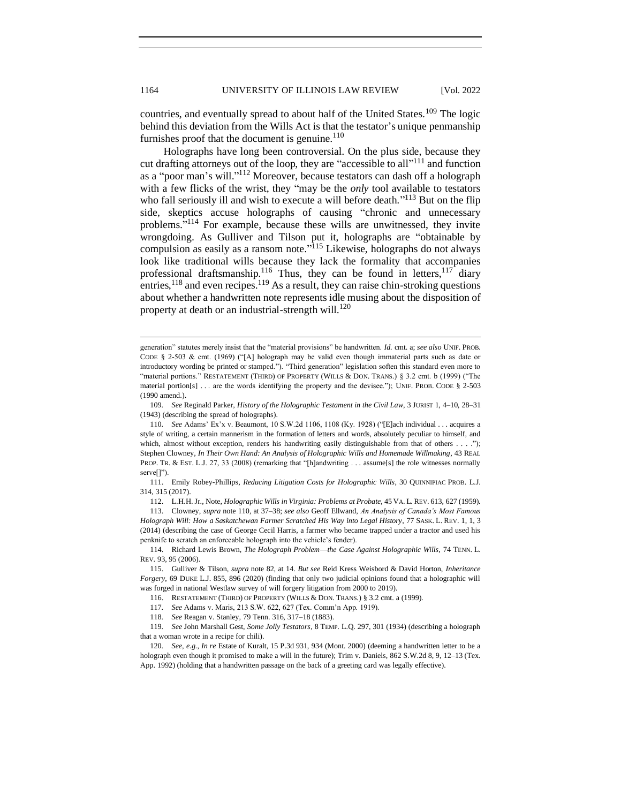countries, and eventually spread to about half of the United States.<sup>109</sup> The logic behind this deviation from the Wills Act is that the testator's unique penmanship furnishes proof that the document is genuine.<sup>110</sup>

Holographs have long been controversial. On the plus side, because they cut drafting attorneys out of the loop, they are "accessible to all"<sup>111</sup> and function as a "poor man's will."<sup>112</sup> Moreover, because testators can dash off a holograph with a few flicks of the wrist, they "may be the *only* tool available to testators who fall seriously ill and wish to execute a will before death."<sup>113</sup> But on the flip side, skeptics accuse holographs of causing "chronic and unnecessary problems."<sup>114</sup> For example, because these wills are unwitnessed, they invite wrongdoing. As Gulliver and Tilson put it, holographs are "obtainable by compulsion as easily as a ransom note."<sup>115</sup> Likewise, holographs do not always look like traditional wills because they lack the formality that accompanies professional draftsmanship.<sup>116</sup> Thus, they can be found in letters,<sup>117</sup> diary entries,  $^{118}$  and even recipes.  $^{119}$  As a result, they can raise chin-stroking questions about whether a handwritten note represents idle musing about the disposition of property at death or an industrial-strength will.<sup>120</sup>

109*. See* Reginald Parker, *History of the Holographic Testament in the Civil Law*, 3 JURIST 1, 4–10, 28–31 (1943) (describing the spread of holographs).

110*. See* Adams' Ex'x v. Beaumont, 10 S.W.2d 1106, 1108 (Ky. 1928) ("[E]ach individual . . . acquires a style of writing, a certain mannerism in the formation of letters and words, absolutely peculiar to himself, and which, almost without exception, renders his handwriting easily distinguishable from that of others . . . ."); Stephen Clowney, *In Their Own Hand: An Analysis of Holographic Wills and Homemade Willmaking*, 43 REAL PROP. TR. & EST. L.J. 27, 33 (2008) (remarking that "[h]andwriting . . . assume[s] the role witnesses normally serve[]").

111. Emily Robey-Phillips, *Reducing Litigation Costs for Holographic Wills*, 30 QUINNIPIAC PROB. L.J. 314, 315 (2017).

112. L.H.H. Jr., Note, *Holographic Wills in Virginia: Problems at Probate*, 45 VA. L. REV. 613, 627 (1959).

113. Clowney, *supra* note 110, at 37–38; *see also* Geoff Ellwand, *An Analysis of Canada's Most Famous Holograph Will: How a Saskatchewan Farmer Scratched His Way into Legal History*, 77 SASK. L. REV. 1, 1, 3 (2014) (describing the case of George Cecil Harris, a farmer who became trapped under a tractor and used his penknife to scratch an enforceable holograph into the vehicle's fender).

114. Richard Lewis Brown, *The Holograph Problem—the Case Against Holographic Wills*, 74 TENN. L. REV. 93, 95 (2006).

115. Gulliver & Tilson, *supra* note 82, at 14. *But see* Reid Kress Weisbord & David Horton, *Inheritance Forgery*, 69 DUKE L.J. 855, 896 (2020) (finding that only two judicial opinions found that a holographic will was forged in national Westlaw survey of will forgery litigation from 2000 to 2019).

116. RESTATEMENT (THIRD) OF PROPERTY (WILLS & DON. TRANS.) § 3.2 cmt. a (1999).

117*. See* Adams v. Maris, 213 S.W. 622, 627 (Tex. Comm'n App. 1919).

118*. See* Reagan v. Stanley, 79 Tenn. 316, 317–18 (1883).

119*. See* John Marshall Gest, *Some Jolly Testators*, 8 TEMP. L.Q. 297, 301 (1934) (describing a holograph that a woman wrote in a recipe for chili).

120*. See, e.g.*, *In re* Estate of Kuralt, 15 P.3d 931, 934 (Mont. 2000) (deeming a handwritten letter to be a holograph even though it promised to make a will in the future); Trim v. Daniels, 862 S.W.2d 8, 9, 12–13 (Tex. App. 1992) (holding that a handwritten passage on the back of a greeting card was legally effective).

generation" statutes merely insist that the "material provisions" be handwritten. *Id.* cmt. a; *see also* UNIF. PROB. CODE § 2-503 & cmt. (1969) ("[A] holograph may be valid even though immaterial parts such as date or introductory wording be printed or stamped."). "Third generation" legislation soften this standard even more to "material portions." RESTATEMENT (THIRD) OF PROPERTY (WILLS & DON. TRANS.) § 3.2 cmt. b (1999) ("The material portion[s] . . . are the words identifying the property and the devisee."); UNIF. PROB. CODE § 2-503 (1990 amend.).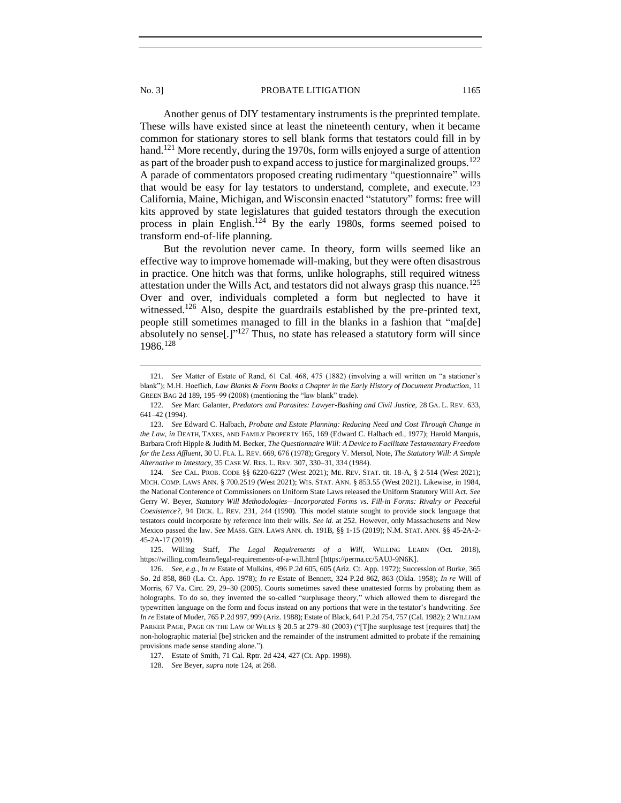Another genus of DIY testamentary instruments is the preprinted template. These wills have existed since at least the nineteenth century, when it became common for stationary stores to sell blank forms that testators could fill in by hand.<sup>121</sup> More recently, during the 1970s, form wills enjoyed a surge of attention as part of the broader push to expand access to justice for marginalized groups.<sup>122</sup> A parade of commentators proposed creating rudimentary "questionnaire" wills that would be easy for lay testators to understand, complete, and execute.<sup>123</sup> California, Maine, Michigan, and Wisconsin enacted "statutory" forms: free will kits approved by state legislatures that guided testators through the execution process in plain English.<sup>124</sup> By the early 1980s, forms seemed poised to transform end-of-life planning.

But the revolution never came. In theory, form wills seemed like an effective way to improve homemade will-making, but they were often disastrous in practice. One hitch was that forms, unlike holographs, still required witness attestation under the Wills Act, and testators did not always grasp this nuance.<sup>125</sup> Over and over, individuals completed a form but neglected to have it witnessed.<sup>126</sup> Also, despite the guardrails established by the pre-printed text, people still sometimes managed to fill in the blanks in a fashion that "ma[de] absolutely no sense<sup>[1]"127</sup> Thus, no state has released a statutory form will since 1986.<sup>128</sup>

127. Estate of Smith, 71 Cal. Rptr. 2d 424, 427 (Ct. App. 1998).

<sup>121</sup>*. See* Matter of Estate of Rand, 61 Cal. 468, 475 (1882) (involving a will written on "a stationer's blank"); M.H. Hoeflich, *Law Blanks & Form Books a Chapter in the Early History of Document Production*, 11 GREEN BAG 2d 189, 195–99 (2008) (mentioning the "law blank" trade).

<sup>122</sup>*. See* Marc Galanter, *Predators and Parasites: Lawyer-Bashing and Civil Justice*, 28 GA. L. REV. 633, 641–42 (1994).

<sup>123</sup>*. See* Edward C. Halbach, *Probate and Estate Planning: Reducing Need and Cost Through Change in the Law*, *in* DEATH, TAXES, AND FAMILY PROPERTY 165, 169 (Edward C. Halbach ed., 1977); Harold Marquis, Barbara Croft Hipple & Judith M. Becker, *The Questionnaire Will: A Device to Facilitate Testamentary Freedom for the Less Affluent*, 30 U. FLA. L. REV. 669, 676 (1978); Gregory V. Mersol, Note, *The Statutory Will: A Simple Alternative to Intestacy*, 35 CASE W. RES. L. REV. 307, 330–31, 334 (1984).

<sup>124</sup>*. See* CAL. PROB. CODE §§ 6220-6227 (West 2021); ME. REV. STAT. tit. 18-A, § 2-514 (West 2021); MICH. COMP. LAWS ANN. § 700.2519 (West 2021); WIS. STAT. ANN. § 853.55 (West 2021). Likewise, in 1984, the National Conference of Commissioners on Uniform State Laws released the Uniform Statutory Will Act. *See*  Gerry W. Beyer, *Statutory Will Methodologies—Incorporated Forms vs. Fill-in Forms: Rivalry or Peaceful Coexistence?*, 94 DICK. L. REV. 231, 244 (1990). This model statute sought to provide stock language that testators could incorporate by reference into their wills. *See id.* at 252. However, only Massachusetts and New Mexico passed the law. *See* MASS. GEN. LAWS ANN. ch. 191B, §§ 1-15 (2019); N.M. STAT. ANN. §§ 45-2A-2- 45-2A-17 (2019).

<sup>125.</sup> Willing Staff, *The Legal Requirements of a Will*, WILLING LEARN (Oct. 2018), https://willing.com/learn/legal-requirements-of-a-will.html [https://perma.cc/5AUJ-9N6K].

<sup>126</sup>*. See, e.g.*, *In re* Estate of Mulkins, 496 P.2d 605, 605 (Ariz. Ct. App. 1972); Succession of Burke, 365 So. 2d 858, 860 (La. Ct. App. 1978); *In re* Estate of Bennett, 324 P.2d 862, 863 (Okla. 1958); *In re* Will of Morris, 67 Va. Circ. 29, 29–30 (2005). Courts sometimes saved these unattested forms by probating them as holographs. To do so, they invented the so-called "surplusage theory," which allowed them to disregard the typewritten language on the form and focus instead on any portions that were in the testator's handwriting. *See In re* Estate of Muder, 765 P.2d 997, 999 (Ariz. 1988); Estate of Black, 641 P.2d 754, 757 (Cal. 1982); 2 WILLIAM PARKER PAGE, PAGE ON THE LAW OF WILLS § 20.5 at 279–80 (2003) ("The surplusage test [requires that] the non-holographic material [be] stricken and the remainder of the instrument admitted to probate if the remaining provisions made sense standing alone.").

<sup>128</sup>*. See* Beyer, *supra* note 124, at 268.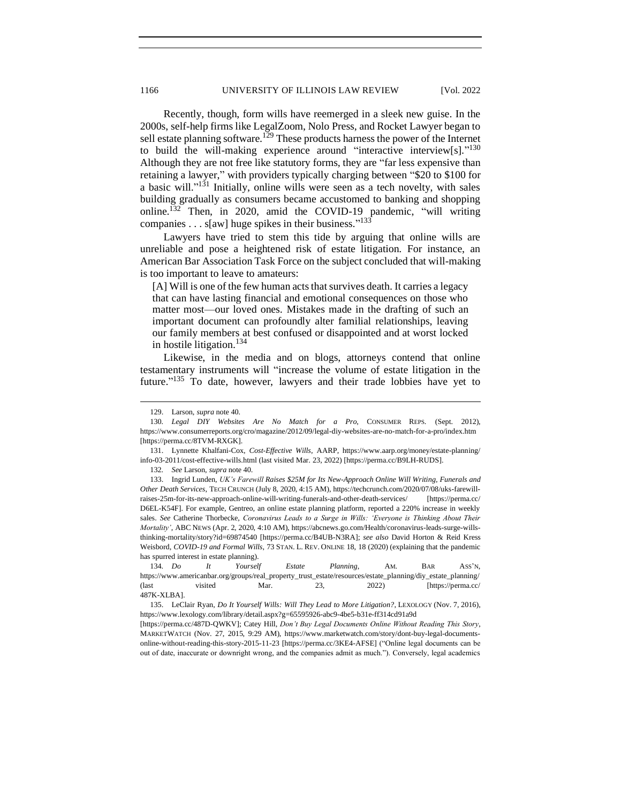Recently, though, form wills have reemerged in a sleek new guise. In the 2000s, self-help firms like LegalZoom, Nolo Press, and Rocket Lawyer began to sell estate planning software.<sup>129</sup> These products harness the power of the Internet to build the will-making experience around "interactive interview[s]."<sup>130</sup> Although they are not free like statutory forms, they are "far less expensive than retaining a lawyer," with providers typically charging between "\$20 to \$100 for a basic will." $131$  Initially, online wills were seen as a tech novelty, with sales building gradually as consumers became accustomed to banking and shopping online.<sup>132</sup> Then, in 2020, amid the COVID-19 pandemic, "will writing companies . . .  $s[aw]$  huge spikes in their business."<sup>133</sup>

Lawyers have tried to stem this tide by arguing that online wills are unreliable and pose a heightened risk of estate litigation. For instance, an American Bar Association Task Force on the subject concluded that will-making is too important to leave to amateurs:

[A] Will is one of the few human acts that survives death. It carries a legacy that can have lasting financial and emotional consequences on those who matter most—our loved ones. Mistakes made in the drafting of such an important document can profoundly alter familial relationships, leaving our family members at best confused or disappointed and at worst locked in hostile litigation.<sup>134</sup>

Likewise, in the media and on blogs, attorneys contend that online testamentary instruments will "increase the volume of estate litigation in the future."<sup>135</sup> To date, however, lawyers and their trade lobbies have yet to

<sup>129.</sup> Larson, *supra* note 40.

<sup>130</sup>*. Legal DIY Websites Are No Match for a Pro*, CONSUMER REPS. (Sept. 2012), https://www.consumerreports.org/cro/magazine/2012/09/legal-diy-websites-are-no-match-for-a-pro/index.htm [https://perma.cc/8TVM-RXGK].

<sup>131.</sup> Lynnette Khalfani-Cox, *Cost-Effective Wills*, AARP, https://www.aarp.org/money/estate-planning/ info-03-2011/cost-effective-wills.html (last visited Mar. 23, 2022) [https://perma.cc/B9LH-RUDS].

<sup>132</sup>*. See* Larson, *supra* note 40.

<sup>133.</sup> Ingrid Lunden, *UK's Farewill Raises \$25M for Its New-Approach Online Will Writing, Funerals and Other Death Services*, TECH CRUNCH (July 8, 2020, 4:15 AM), https://techcrunch.com/2020/07/08/uks-farewillraises-25m-for-its-new-approach-online-will-writing-funerals-and-other-death-services/ [https://perma.cc/ D6EL-K54F]. For example, Gentreo, an online estate planning platform, reported a 220% increase in weekly sales. *See* Catherine Thorbecke, *Coronavirus Leads to a Surge in Wills: 'Everyone is Thinking About Their Mortality'*, ABC NEWS (Apr. 2, 2020, 4:10 AM), https://abcnews.go.com/Health/coronavirus-leads-surge-willsthinking-mortality/story?id=69874540 [https://perma.cc/B4UB-N3RA]; *see also* David Horton & Reid Kress Weisbord, *COVID-19 and Formal Wills*, 73 STAN. L. REV. ONLINE 18, 18 (2020) (explaining that the pandemic has spurred interest in estate planning).

<sup>134</sup>*. Do It Yourself Estate Planning*, AM. BAR ASS'N, https://www.americanbar.org/groups/real\_property\_trust\_estate/resources/estate\_planning/diy\_estate\_planning/ (last visited Mar. 23, 2022) [https://perma.cc/ 487K-XLBA].

<sup>135.</sup> LeClair Ryan, *Do It Yourself Wills: Will They Lead to More Litigation?*, LEXOLOGY (Nov. 7, 2016), https://www.lexology.com/library/detail.aspx?g=65595926-abc9-4be5-b31e-ff314cd91a9d

<sup>[</sup>https://perma.cc/487D-QWKV]; Catey Hill, *Don't Buy Legal Documents Online Without Reading This Story*, MARKETWATCH (Nov. 27, 2015, 9:29 AM), https://www.marketwatch.com/story/dont-buy-legal-documentsonline-without-reading-this-story-2015-11-23 [https://perma.cc/3KE4-AFSE] ("Online legal documents can be out of date, inaccurate or downright wrong, and the companies admit as much."). Conversely, legal academics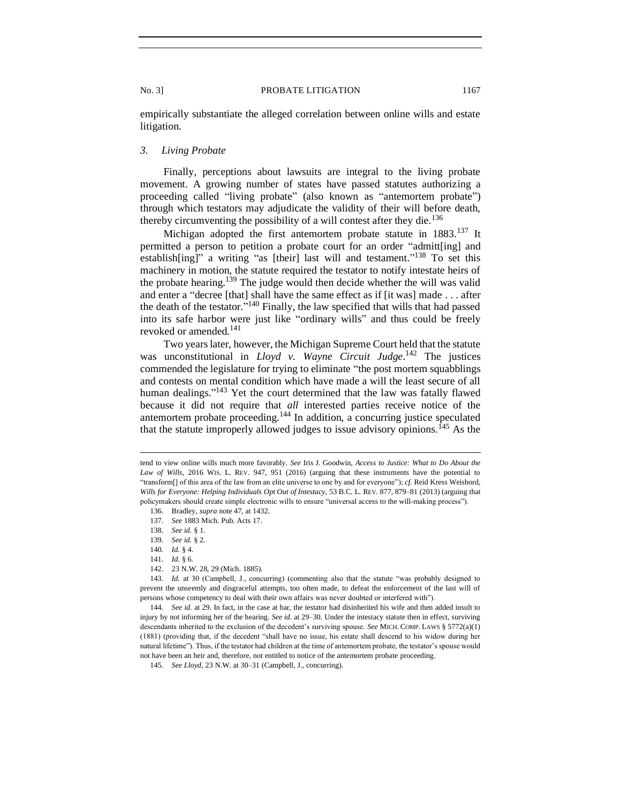empirically substantiate the alleged correlation between online wills and estate litigation.

# <span id="page-18-0"></span>*3. Living Probate*

Finally, perceptions about lawsuits are integral to the living probate movement. A growing number of states have passed statutes authorizing a proceeding called "living probate" (also known as "antemortem probate") through which testators may adjudicate the validity of their will before death, thereby circumventing the possibility of a will contest after they die.<sup>136</sup>

Michigan adopted the first antemortem probate statute in 1883.<sup>137</sup> It permitted a person to petition a probate court for an order "admitt[ing] and establish[ing]" a writing "as [their] last will and testament."<sup>138</sup> To set this machinery in motion, the statute required the testator to notify intestate heirs of the probate hearing.<sup>139</sup> The judge would then decide whether the will was valid and enter a "decree [that] shall have the same effect as if [it was] made . . . after the death of the testator."<sup>140</sup> Finally, the law specified that wills that had passed into its safe harbor were just like "ordinary wills" and thus could be freely revoked or amended.<sup>141</sup>

Two years later, however, the Michigan Supreme Court held that the statute was unconstitutional in *Lloyd v. Wayne Circuit Judge*. <sup>142</sup> The justices commended the legislature for trying to eliminate "the post mortem squabblings and contests on mental condition which have made a will the least secure of all human dealings."<sup>143</sup> Yet the court determined that the law was fatally flawed because it did not require that *all* interested parties receive notice of the antemortem probate proceeding.<sup>144</sup> In addition, a concurring justice speculated that the statute improperly allowed judges to issue advisory opinions.<sup> $145$ </sup> As the

142. 23 N.W. 28, 29 (Mich. 1885).

144*. See id.* at 29. In fact, in the case at bar, the testator had disinherited his wife and then added insult to injury by not informing her of the hearing. *See id.* at 29–30. Under the intestacy statute then in effect, surviving descendants inherited to the exclusion of the decedent's surviving spouse. *See* MICH. COMP. LAWS § 5772(a)(1) (1881) (providing that, if the decedent "shall have no issue, his estate shall descend to his widow during her natural lifetime"). Thus, if the testator had children at the time of antemortem probate, the testator's spouse would not have been an heir and, therefore, not entitled to notice of the antemortem probate proceeding.

tend to view online wills much more favorably. *See* Iris J. Goodwin, *Access to Justice: What to Do About the Law of Wills*, 2016 WIS. L. REV. 947, 951 (2016) (arguing that these instruments have the potential to "transform[] of this area of the law from an elite universe to one by and for everyone"); *cf.* Reid Kress Weisbord, *Wills for Everyone: Helping Individuals Opt Out of Intestacy*, 53 B.C. L. REV. 877, 879–81 (2013) (arguing that policymakers should create simple electronic wills to ensure "universal access to the will-making process").

<sup>136.</sup> Bradley, *supra* note 47, at 1432.

<sup>137.</sup> *See* 1883 Mich. Pub. Acts 17.

<sup>138</sup>*. See id.* § 1.

<sup>139</sup>*. See id.* § 2.

<sup>140</sup>*. Id.* § 4.

<sup>141</sup>*. Id.* § 6.

<sup>143</sup>*. Id.* at 30 (Campbell, J., concurring) (commenting also that the statute "was probably designed to prevent the unseemly and disgraceful attempts, too often made, to defeat the enforcement of the last will of persons whose competency to deal with their own affairs was never doubted or interfered with").

<sup>145</sup>*. See Lloyd*, 23 N.W. at 30–31 (Campbell, J., concurring).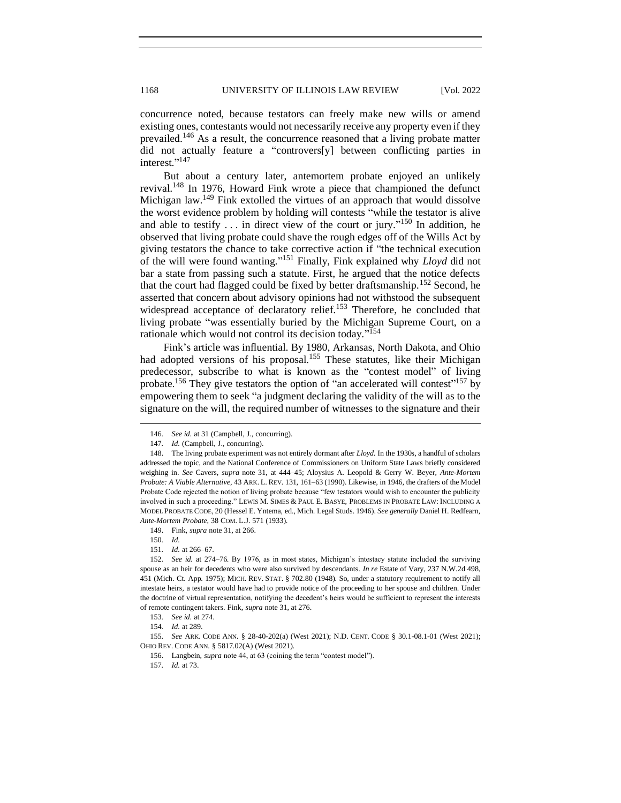concurrence noted, because testators can freely make new wills or amend existing ones, contestants would not necessarily receive any property even if they prevailed.<sup>146</sup> As a result, the concurrence reasoned that a living probate matter did not actually feature a "controvers[y] between conflicting parties in interest." 147

But about a century later, antemortem probate enjoyed an unlikely revival.<sup>148</sup> In 1976, Howard Fink wrote a piece that championed the defunct Michigan law.<sup>149</sup> Fink extolled the virtues of an approach that would dissolve the worst evidence problem by holding will contests "while the testator is alive and able to testify  $\ldots$  in direct view of the court or jury."<sup>150</sup> In addition, he observed that living probate could shave the rough edges off of the Wills Act by giving testators the chance to take corrective action if "the technical execution of the will were found wanting." <sup>151</sup> Finally, Fink explained why *Lloyd* did not bar a state from passing such a statute. First, he argued that the notice defects that the court had flagged could be fixed by better draftsmanship.<sup>152</sup> Second, he asserted that concern about advisory opinions had not withstood the subsequent widespread acceptance of declaratory relief.<sup>153</sup> Therefore, he concluded that living probate "was essentially buried by the Michigan Supreme Court, on a rationale which would not control its decision today."<sup>154</sup>

Fink's article was influential. By 1980, Arkansas, North Dakota, and Ohio had adopted versions of his proposal.<sup>155</sup> These statutes, like their Michigan predecessor, subscribe to what is known as the "contest model" of living probate.<sup>156</sup> They give testators the option of "an accelerated will contest"<sup>157</sup> by empowering them to seek "a judgment declaring the validity of the will as to the signature on the will, the required number of witnesses to the signature and their

150*. Id.*

151*. Id.* at 266–67.

<sup>146</sup>*. See id.* at 31 (Campbell, J., concurring).

<sup>147</sup>*. Id.* (Campbell, J., concurring).

<sup>148.</sup> The living probate experiment was not entirely dormant after *Lloyd*. In the 1930s, a handful of scholars addressed the topic, and the National Conference of Commissioners on Uniform State Laws briefly considered weighing in. *See* Cavers, *supra* note 31, at 444–45; Aloysius A. Leopold & Gerry W. Beyer, *Ante-Mortem Probate: A Viable Alternative*, 43 ARK. L. REV. 131, 161–63 (1990). Likewise, in 1946, the drafters of the Model Probate Code rejected the notion of living probate because "few testators would wish to encounter the publicity involved in such a proceeding." LEWIS M. SIMES & PAUL E. BASYE, PROBLEMS IN PROBATE LAW: INCLUDING A MODEL PROBATE CODE, 20 (Hessel E. Yntema, ed., Mich. Legal Studs. 1946). *See generally* Daniel H. Redfearn, *Ante-Mortem Probate*, 38 COM. L.J. 571 (1933).

<sup>149.</sup> Fink, *supra* note 31, at 266.

<sup>152</sup>*. See id.* at 274–76. By 1976, as in most states, Michigan's intestacy statute included the surviving spouse as an heir for decedents who were also survived by descendants. *In re* Estate of Vary, 237 N.W.2d 498, 451 (Mich. Ct. App. 1975); MICH. REV. STAT. § 702.80 (1948). So, under a statutory requirement to notify all intestate heirs, a testator would have had to provide notice of the proceeding to her spouse and children. Under the doctrine of virtual representation, notifying the decedent's heirs would be sufficient to represent the interests of remote contingent takers. Fink, *supra* note 31, at 276.

<sup>153</sup>*. See id.* at 274.

<sup>154</sup>*. Id.* at 289.

<sup>155</sup>*. See* ARK. CODE ANN. § 28-40-202(a) (West 2021); N.D. CENT. CODE § 30.1-08.1-01 (West 2021); OHIO REV. CODE ANN. § 5817.02(A) (West 2021).

<sup>156.</sup> Langbein, *supra* note 44, at 63 (coining the term "contest model").

<sup>157</sup>*. Id.* at 73.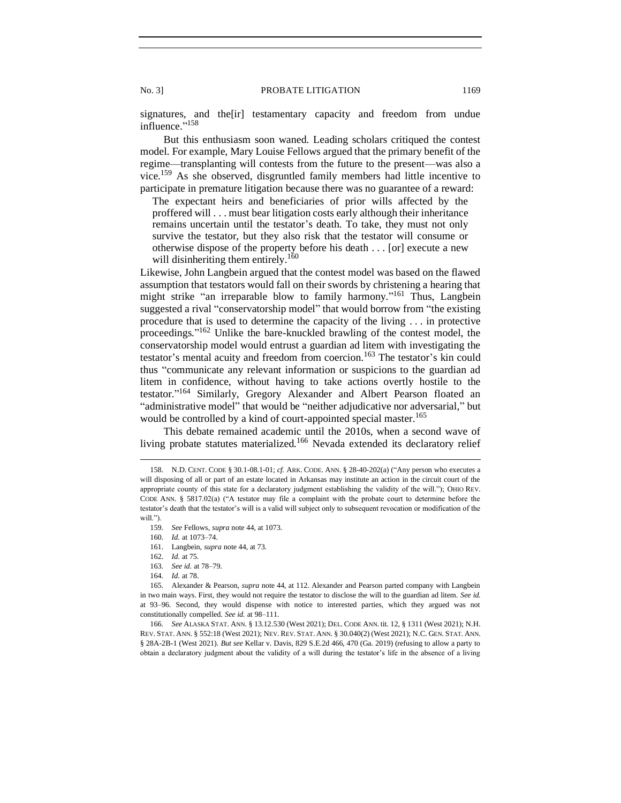signatures, and the[ir] testamentary capacity and freedom from undue influence."<sup>158</sup>

But this enthusiasm soon waned. Leading scholars critiqued the contest model. For example, Mary Louise Fellows argued that the primary benefit of the regime—transplanting will contests from the future to the present—was also a vice.<sup>159</sup> As she observed, disgruntled family members had little incentive to participate in premature litigation because there was no guarantee of a reward:

The expectant heirs and beneficiaries of prior wills affected by the proffered will . . . must bear litigation costs early although their inheritance remains uncertain until the testator's death. To take, they must not only survive the testator, but they also risk that the testator will consume or otherwise dispose of the property before his death . . . [or] execute a new will disinheriting them entirely.<sup>160</sup>

Likewise, John Langbein argued that the contest model was based on the flawed assumption that testators would fall on their swords by christening a hearing that might strike "an irreparable blow to family harmony."<sup>161</sup> Thus, Langbein suggested a rival "conservatorship model" that would borrow from "the existing procedure that is used to determine the capacity of the living . . . in protective proceedings."<sup>162</sup> Unlike the bare-knuckled brawling of the contest model, the conservatorship model would entrust a guardian ad litem with investigating the testator's mental acuity and freedom from coercion.<sup>163</sup> The testator's kin could thus "communicate any relevant information or suspicions to the guardian ad litem in confidence, without having to take actions overtly hostile to the testator."<sup>164</sup> Similarly, Gregory Alexander and Albert Pearson floated an "administrative model" that would be "neither adjudicative nor adversarial," but would be controlled by a kind of court-appointed special master.<sup>165</sup>

This debate remained academic until the 2010s, when a second wave of living probate statutes materialized.<sup>166</sup> Nevada extended its declaratory relief

- 161. Langbein, *supra* note 44, at 73*.*
- 162*. Id.* at 75*.*
- 163*. See id.* at 78–79.
- 164*. Id.* at 78.

<sup>158.</sup> N.D. CENT. CODE § 30.1-08.1-01; *cf.* ARK. CODE. ANN. § 28-40-202(a) ("Any person who executes a will disposing of all or part of an estate located in Arkansas may institute an action in the circuit court of the appropriate county of this state for a declaratory judgment establishing the validity of the will."); OHIO REV. CODE ANN. § 5817.02(a) ("A testator may file a complaint with the probate court to determine before the testator's death that the testator's will is a valid will subject only to subsequent revocation or modification of the will.").

<sup>159</sup>*. See* Fellows, *supra* note 44, at 1073.

<sup>160</sup>*. Id.* at 1073–74.

<sup>165.</sup> Alexander & Pearson, *supra* note 44, at 112. Alexander and Pearson parted company with Langbein in two main ways. First, they would not require the testator to disclose the will to the guardian ad litem. *See id.*  at 93–96. Second, they would dispense with notice to interested parties, which they argued was not constitutionally compelled. *See id.* at 98–111.

<sup>166</sup>*. See* ALASKA STAT. ANN. § 13.12.530 (West 2021); DEL. CODE ANN. tit. 12, § 1311 (West 2021); N.H. REV. STAT. ANN. § 552:18 (West 2021); NEV. REV. STAT. ANN. § 30.040(2) (West 2021); N.C. GEN. STAT. ANN. § 28A-2B-1 (West 2021). *But see* Kellar v. Davis, 829 S.E.2d 466, 470 (Ga. 2019) (refusing to allow a party to obtain a declaratory judgment about the validity of a will during the testator's life in the absence of a living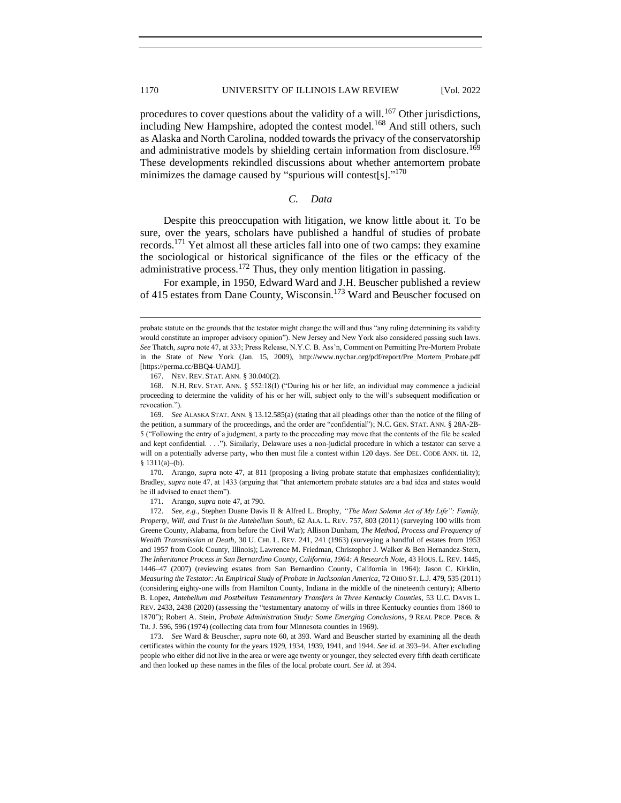procedures to cover questions about the validity of a will.<sup>167</sup> Other jurisdictions, including New Hampshire, adopted the contest model.<sup>168</sup> And still others, such as Alaska and North Carolina, nodded towards the privacy of the conservatorship and administrative models by shielding certain information from disclosure.<sup>169</sup> These developments rekindled discussions about whether antemortem probate minimizes the damage caused by "spurious will contest[s]."<sup>170</sup>

# *C. Data*

<span id="page-21-0"></span>Despite this preoccupation with litigation, we know little about it. To be sure, over the years, scholars have published a handful of studies of probate records.<sup>171</sup> Yet almost all these articles fall into one of two camps: they examine the sociological or historical significance of the files or the efficacy of the administrative process.<sup>172</sup> Thus, they only mention litigation in passing.

For example, in 1950, Edward Ward and J.H. Beuscher published a review of 415 estates from Dane County, Wisconsin.<sup>173</sup> Ward and Beuscher focused on

167. NEV. REV. STAT. ANN. § 30.040(2).

171. Arango, *supra* note 47, at 790.

probate statute on the grounds that the testator might change the will and thus "any ruling determining its validity would constitute an improper advisory opinion"). New Jersey and New York also considered passing such laws. *See* Thatch, *supra* note 47, at 333; Press Release, N.Y.C. B. Ass'n, Comment on Permitting Pre-Mortem Probate in the State of New York (Jan. 15, 2009), http://www.nycbar.org/pdf/report/Pre\_Mortem\_Probate.pdf [https://perma.cc/BBQ4-UAMJ].

<sup>168.</sup> N.H. REV. STAT. ANN. § 552:18(I) ("During his or her life, an individual may commence a judicial proceeding to determine the validity of his or her will, subject only to the will's subsequent modification or revocation.").

<sup>169</sup>*. See* ALASKA STAT. ANN. § 13.12.585(a) (stating that all pleadings other than the notice of the filing of the petition, a summary of the proceedings, and the order are "confidential"); N.C. GEN. STAT. ANN. § 28A-2B-5 ("Following the entry of a judgment, a party to the proceeding may move that the contents of the file be sealed and kept confidential. . . ."). Similarly, Delaware uses a non-judicial procedure in which a testator can serve a will on a potentially adverse party, who then must file a contest within 120 days. *See* DEL. CODE ANN. tit. 12, § 1311(a)–(b).

<sup>170.</sup> Arango, *supra* note 47, at 811 (proposing a living probate statute that emphasizes confidentiality); Bradley, *supra* note 47, at 1433 (arguing that "that antemortem probate statutes are a bad idea and states would be ill advised to enact them").

<sup>172.</sup> *See, e.g.*, Stephen Duane Davis II & Alfred L. Brophy, *"The Most Solemn Act of My Life": Family, Property, Will, and Trust in the Antebellum South*, 62 ALA. L. REV. 757, 803 (2011) (surveying 100 wills from Greene County, Alabama, from before the Civil War); Allison Dunham, *The Method, Process and Frequency of Wealth Transmission at Death*, 30 U. CHI. L. REV. 241, 241 (1963) (surveying a handful of estates from 1953 and 1957 from Cook County, Illinois); Lawrence M. Friedman, Christopher J. Walker & Ben Hernandez-Stern, *The Inheritance Process in San Bernardino County, California, 1964: A Research Note*, 43 HOUS. L. REV. 1445, 1446–47 (2007) (reviewing estates from San Bernardino County, California in 1964); Jason C. Kirklin, *Measuring the Testator: An Empirical Study of Probate in Jacksonian America*, 72 OHIO ST. L.J. 479, 535 (2011) (considering eighty-one wills from Hamilton County, Indiana in the middle of the nineteenth century); Alberto B. Lopez, *Antebellum and Postbellum Testamentary Transfers in Three Kentucky Counties*, 53 U.C. DAVIS L. REV. 2433, 2438 (2020) (assessing the "testamentary anatomy of wills in three Kentucky counties from 1860 to 1870"); Robert A. Stein, *Probate Administration Study: Some Emerging Conclusions*, 9 REAL PROP. PROB. & TR. J. 596, 596 (1974) (collecting data from four Minnesota counties in 1969).

<sup>173</sup>*. See* Ward & Beuscher, *supra* note 60, at 393. Ward and Beuscher started by examining all the death certificates within the county for the years 1929, 1934, 1939, 1941, and 1944. *See id.* at 393–94. After excluding people who either did not live in the area or were age twenty or younger, they selected every fifth death certificate and then looked up these names in the files of the local probate court. *See id.* at 394.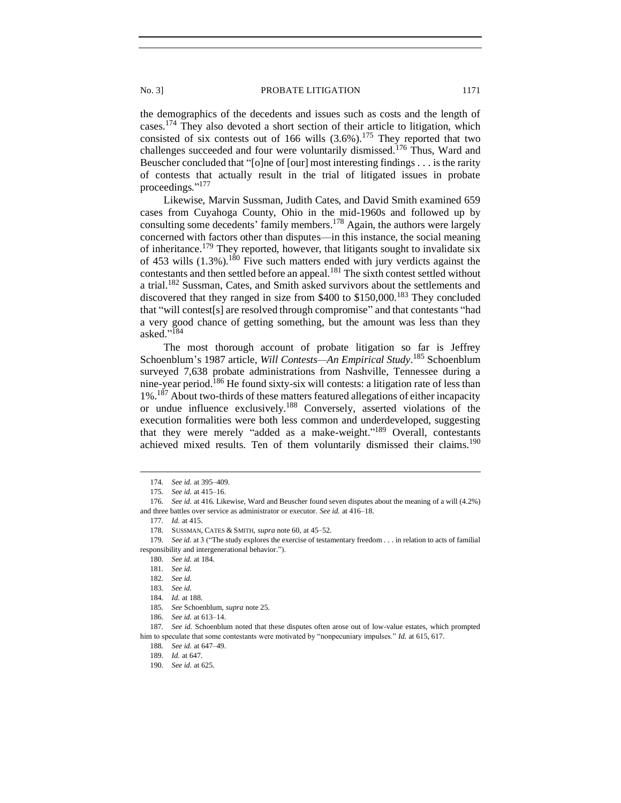the demographics of the decedents and issues such as costs and the length of cases.<sup>174</sup> They also devoted a short section of their article to litigation, which consisted of six contests out of 166 wills  $(3.6\%)$ .<sup>175</sup> They reported that two challenges succeeded and four were voluntarily dismissed.<sup>176</sup> Thus, Ward and Beuscher concluded that "[o]ne of [our] most interesting findings . . . is the rarity of contests that actually result in the trial of litigated issues in probate proceedings."<sup>177</sup>

Likewise, Marvin Sussman, Judith Cates, and David Smith examined 659 cases from Cuyahoga County, Ohio in the mid-1960s and followed up by consulting some decedents' family members.<sup>178</sup> Again, the authors were largely concerned with factors other than disputes—in this instance, the social meaning of inheritance.<sup>179</sup> They reported, however, that litigants sought to invalidate six of 453 wills  $(1.3\%)$ .<sup>180</sup> Five such matters ended with jury verdicts against the contestants and then settled before an appeal.<sup>181</sup> The sixth contest settled without a trial.<sup>182</sup> Sussman, Cates, and Smith asked survivors about the settlements and discovered that they ranged in size from \$400 to \$150,000.<sup>183</sup> They concluded that "will contest[s] are resolved through compromise" and that contestants "had a very good chance of getting something, but the amount was less than they asked."<sup>184</sup>

The most thorough account of probate litigation so far is Jeffrey Schoenblum's 1987 article, *Will Contests—An Empirical Study*. <sup>185</sup> Schoenblum surveyed 7,638 probate administrations from Nashville, Tennessee during a nine-year period.<sup>186</sup> He found sixty-six will contests: a litigation rate of less than  $1\%$ .<sup>187</sup> About two-thirds of these matters featured allegations of either incapacity or undue influence exclusively.<sup>188</sup> Conversely, asserted violations of the execution formalities were both less common and underdeveloped, suggesting that they were merely "added as a make-weight."<sup>189</sup> Overall, contestants achieved mixed results. Ten of them voluntarily dismissed their claims.<sup>190</sup>

186*. See id.* at 613–14.

<sup>174</sup>*. See id.* at 395–409.

<sup>175</sup>*. See id.* at 415–16.

<sup>176</sup>*. See id.* at 416. Likewise, Ward and Beuscher found seven disputes about the meaning of a will (4.2%) and three battles over service as administrator or executor. *See id.* at 416–18.

<sup>177</sup>*. Id.* at 415.

<sup>178.</sup> SUSSMAN, CATES & SMITH, *supra* note 60, at 45–52.

<sup>179</sup>*. See id.* at 3 ("The study explores the exercise of testamentary freedom . . . in relation to acts of familial responsibility and intergenerational behavior.").

<sup>180</sup>*. See id.* at 184.

<sup>181</sup>*. See id.*

<sup>182</sup>*. See id.*

<sup>183</sup>*. See id.*

<sup>184</sup>*. Id.* at 188.

<sup>185</sup>*. See* Schoenblum, *supra* note 25.

<sup>187</sup>*. See id.* Schoenblum noted that these disputes often arose out of low-value estates, which prompted him to speculate that some contestants were motivated by "nonpecuniary impulses." *Id.* at 615, 617.

<sup>188</sup>*. See id.* at 647–49.

<sup>189</sup>*. Id.* at 647.

<sup>190</sup>*. See id.* at 625.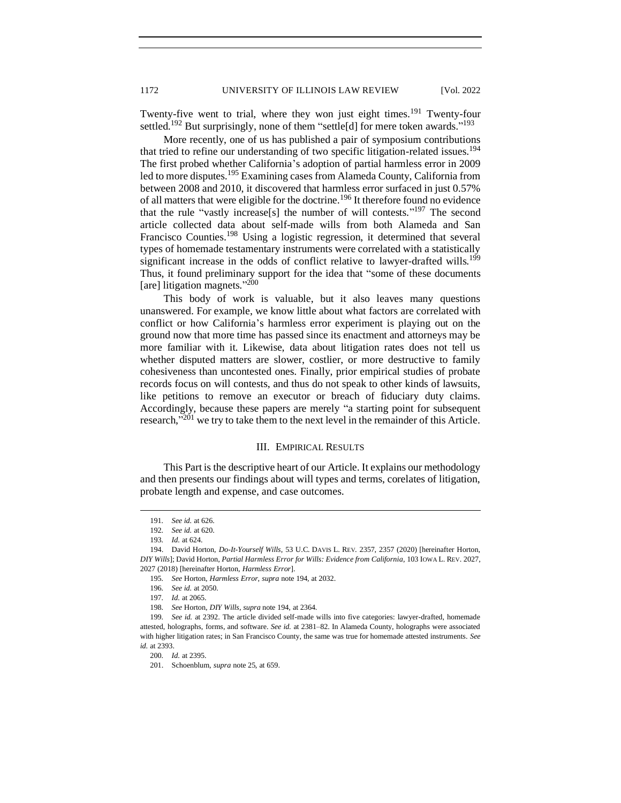Twenty-five went to trial, where they won just eight times.<sup>191</sup> Twenty-four settled.<sup>192</sup> But surprisingly, none of them "settle[d] for mere token awards."<sup>193</sup>

More recently, one of us has published a pair of symposium contributions that tried to refine our understanding of two specific litigation-related issues.<sup>194</sup> The first probed whether California's adoption of partial harmless error in 2009 led to more disputes.<sup>195</sup> Examining cases from Alameda County, California from between 2008 and 2010, it discovered that harmless error surfaced in just 0.57% of all matters that were eligible for the doctrine.<sup>196</sup> It therefore found no evidence that the rule "vastly increase[s] the number of will contests."<sup>197</sup> The second article collected data about self-made wills from both Alameda and San Francisco Counties.<sup>198</sup> Using a logistic regression, it determined that several types of homemade testamentary instruments were correlated with a statistically significant increase in the odds of conflict relative to lawyer-drafted wills.<sup>199</sup> Thus, it found preliminary support for the idea that "some of these documents [are] litigation magnets." 200

This body of work is valuable, but it also leaves many questions unanswered. For example, we know little about what factors are correlated with conflict or how California's harmless error experiment is playing out on the ground now that more time has passed since its enactment and attorneys may be more familiar with it. Likewise, data about litigation rates does not tell us whether disputed matters are slower, costlier, or more destructive to family cohesiveness than uncontested ones. Finally, prior empirical studies of probate records focus on will contests, and thus do not speak to other kinds of lawsuits, like petitions to remove an executor or breach of fiduciary duty claims. Accordingly, because these papers are merely "a starting point for subsequent research, $^{3201}$  we try to take them to the next level in the remainder of this Article.

# III. EMPIRICAL RESULTS

<span id="page-23-0"></span>This Part is the descriptive heart of our Article. It explains our methodology and then presents our findings about will types and terms, corelates of litigation, probate length and expense, and case outcomes.

<sup>191</sup>*. See id.* at 626.

<sup>192</sup>*. See id.* at 620.

<sup>193</sup>*. Id.* at 624.

<sup>194.</sup> David Horton, *Do-It-Yourself Wills*, 53 U.C. DAVIS L. REV. 2357, 2357 (2020) [hereinafter Horton, *DIY Wills*]; David Horton, *Partial Harmless Error for Wills: Evidence from California*, 103 IOWA L. REV. 2027, 2027 (2018) [hereinafter Horton, *Harmless Error*].

<sup>195</sup>*. See* Horton, *Harmless Error*, *supra* note 194, at 2032.

<sup>196</sup>*. See id.* at 2050.

<sup>197</sup>*. Id.* at 2065.

<sup>198</sup>*. See* Horton, *DIY Wills*, *supra* note 194, at 2364.

<sup>199</sup>*. See id.* at 2392. The article divided self-made wills into five categories: lawyer-drafted, homemade attested, holographs, forms, and software. *See id.* at 2381–82. In Alameda County, holographs were associated with higher litigation rates; in San Francisco County, the same was true for homemade attested instruments. *See id.* at 2393.

<sup>200</sup>*. Id.* at 2395.

<sup>201.</sup> Schoenblum, *supra* note 25, at 659.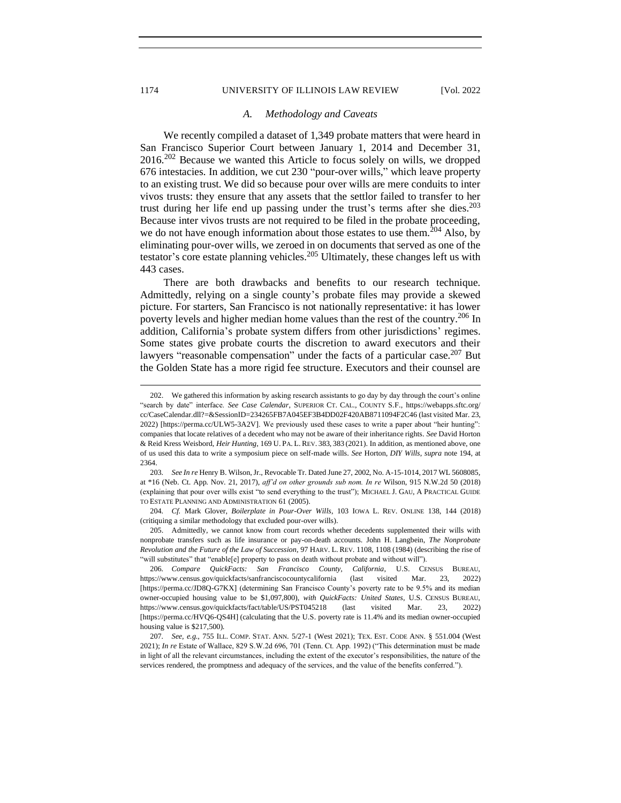### 1174 UNIVERSITY OF ILLINOIS LAW REVIEW [Vol. 2022

### *A. Methodology and Caveats*

We recently compiled a dataset of 1,349 probate matters that were heard in San Francisco Superior Court between January 1, 2014 and December 31, 2016.<sup>202</sup> Because we wanted this Article to focus solely on wills, we dropped 676 intestacies. In addition, we cut 230 "pour-over wills," which leave property to an existing trust. We did so because pour over wills are mere conduits to inter vivos trusts: they ensure that any assets that the settlor failed to transfer to her trust during her life end up passing under the trust's terms after she dies.<sup>203</sup> Because inter vivos trusts are not required to be filed in the probate proceeding, we do not have enough information about those estates to use them.<sup>204</sup> Also, by eliminating pour-over wills, we zeroed in on documents that served as one of the testator's core estate planning vehicles.<sup>205</sup> Ultimately, these changes left us with 443 cases.

There are both drawbacks and benefits to our research technique. Admittedly, relying on a single county's probate files may provide a skewed picture. For starters, San Francisco is not nationally representative: it has lower poverty levels and higher median home values than the rest of the country.<sup>206</sup> In addition, California's probate system differs from other jurisdictions' regimes. Some states give probate courts the discretion to award executors and their lawyers "reasonable compensation" under the facts of a particular case.<sup>207</sup> But the Golden State has a more rigid fee structure. Executors and their counsel are

204*. Cf.* Mark Glover, *Boilerplate in Pour-Over Wills*, 103 IOWA L. REV. ONLINE 138, 144 (2018) (critiquing a similar methodology that excluded pour-over wills).

205. Admittedly, we cannot know from court records whether decedents supplemented their wills with nonprobate transfers such as life insurance or pay-on-death accounts. John H. Langbein, *The Nonprobate Revolution and the Future of the Law of Succession*, 97 HARV. L. REV. 1108, 1108 (1984) (describing the rise of "will substitutes" that "enable[e] property to pass on death without probate and without will").

206*. Compare QuickFacts: San Francisco County, California*, U.S. CENSUS BUREAU, https://www.census.gov/quickfacts/sanfranciscocountycalifornia (last visited Mar. 23, 2022) [https://perma.cc/JD8Q-G7KX] (determining San Francisco County's poverty rate to be 9.5% and its median owner-occupied housing value to be \$1,097,800), *with QuickFacts: United States*, U.S. CENSUS BUREAU, https://www.census.gov/quickfacts/fact/table/US/PST045218 (last visited Mar. 23, 2022) [https://perma.cc/HVQ6-QS4H] (calculating that the U.S. poverty rate is 11.4% and its median owner-occupied housing value is \$217,500).

<span id="page-25-0"></span>

<sup>202.</sup> We gathered this information by asking research assistants to go day by day through the court's online "search by date" interface. *See Case Calendar*, SUPERIOR CT. CAL., COUNTY S.F., https://webapps.sftc.org/ cc/CaseCalendar.dll?=&SessionID=234265FB7A045EF3B4DD02F420AB8711094F2C46 (last visited Mar. 23, 2022) [https://perma.cc/ULW5-3A2V]. We previously used these cases to write a paper about "heir hunting": companies that locate relatives of a decedent who may not be aware of their inheritance rights. *See* David Horton & Reid Kress Weisbord, *Heir Hunting*, 169 U. PA. L. REV. 383, 383 (2021). In addition, as mentioned above, one of us used this data to write a symposium piece on self-made wills. *See* Horton, *DIY Wills*, *supra* note 194, at 2364.

<sup>203</sup>*. See In re* Henry B. Wilson, Jr., Revocable Tr. Dated June 27, 2002, No. A-15-1014, 2017 WL 5608085, at \*16 (Neb. Ct. App. Nov. 21, 2017), *aff'd on other grounds sub nom. In re* Wilson, 915 N.W.2d 50 (2018) (explaining that pour over wills exist "to send everything to the trust"); MICHAEL J. GAU, A PRACTICAL GUIDE TO ESTATE PLANNING AND ADMINISTRATION 61 (2005).

<sup>207</sup>*. See, e.g.*, 755 ILL. COMP. STAT. ANN. 5/27-1 (West 2021); TEX. EST. CODE ANN. § 551.004 (West 2021); *In re* Estate of Wallace, 829 S.W.2d 696, 701 (Tenn. Ct. App. 1992) ("This determination must be made in light of all the relevant circumstances, including the extent of the executor's responsibilities, the nature of the services rendered, the promptness and adequacy of the services, and the value of the benefits conferred.").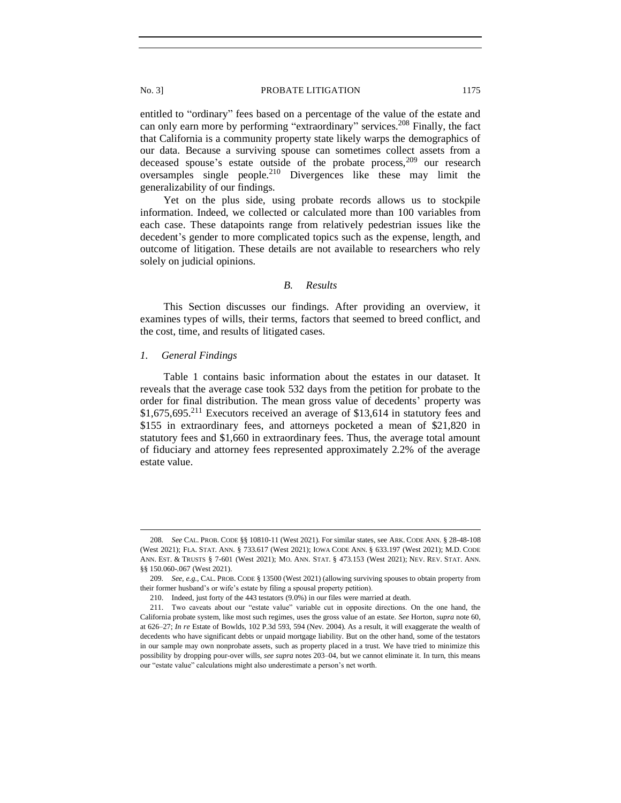entitled to "ordinary" fees based on a percentage of the value of the estate and can only earn more by performing "extraordinary" services.<sup>208</sup> Finally, the fact that California is a community property state likely warps the demographics of our data. Because a surviving spouse can sometimes collect assets from a deceased spouse's estate outside of the probate process,<sup>209</sup> our research oversamples single people.<sup>210</sup> Divergences like these may limit the generalizability of our findings.

Yet on the plus side, using probate records allows us to stockpile information. Indeed, we collected or calculated more than 100 variables from each case. These datapoints range from relatively pedestrian issues like the decedent's gender to more complicated topics such as the expense, length, and outcome of litigation. These details are not available to researchers who rely solely on judicial opinions.

# *B. Results*

<span id="page-26-0"></span>This Section discusses our findings. After providing an overview, it examines types of wills, their terms, factors that seemed to breed conflict, and the cost, time, and results of litigated cases.

# <span id="page-26-1"></span>*1. General Findings*

Table 1 contains basic information about the estates in our dataset. It reveals that the average case took 532 days from the petition for probate to the order for final distribution. The mean gross value of decedents' property was  $$1,675,695<sup>211</sup>$  Executors received an average of \$13,614 in statutory fees and \$155 in extraordinary fees, and attorneys pocketed a mean of \$21,820 in statutory fees and \$1,660 in extraordinary fees. Thus, the average total amount of fiduciary and attorney fees represented approximately 2.2% of the average estate value.

<sup>208</sup>*. See* CAL. PROB. CODE §§ 10810-11 (West 2021). For similar states, see ARK. CODE ANN. § 28-48-108 (West 2021); FLA. STAT. ANN. § 733.617 (West 2021); IOWA CODE ANN. § 633.197 (West 2021); M.D. CODE ANN. EST. & TRUSTS § 7-601 (West 2021); MO. ANN. STAT. § 473.153 (West 2021); NEV. REV. STAT. ANN. §§ 150.060-.067 (West 2021).

<sup>209</sup>*. See, e.g.*, CAL. PROB. CODE § 13500 (West 2021) (allowing surviving spouses to obtain property from their former husband's or wife's estate by filing a spousal property petition).

<sup>210.</sup> Indeed, just forty of the 443 testators (9.0%) in our files were married at death.

<sup>211.</sup> Two caveats about our "estate value" variable cut in opposite directions. On the one hand, the California probate system, like most such regimes, uses the gross value of an estate. *See* Horton, *supra* note 60, at 626–27; *In re* Estate of Bowlds, 102 P.3d 593, 594 (Nev. 2004). As a result, it will exaggerate the wealth of decedents who have significant debts or unpaid mortgage liability. But on the other hand, some of the testators in our sample may own nonprobate assets, such as property placed in a trust. We have tried to minimize this possibility by dropping pour-over wills, *see supra* notes 203–04, but we cannot eliminate it. In turn, this means our "estate value" calculations might also underestimate a person's net worth.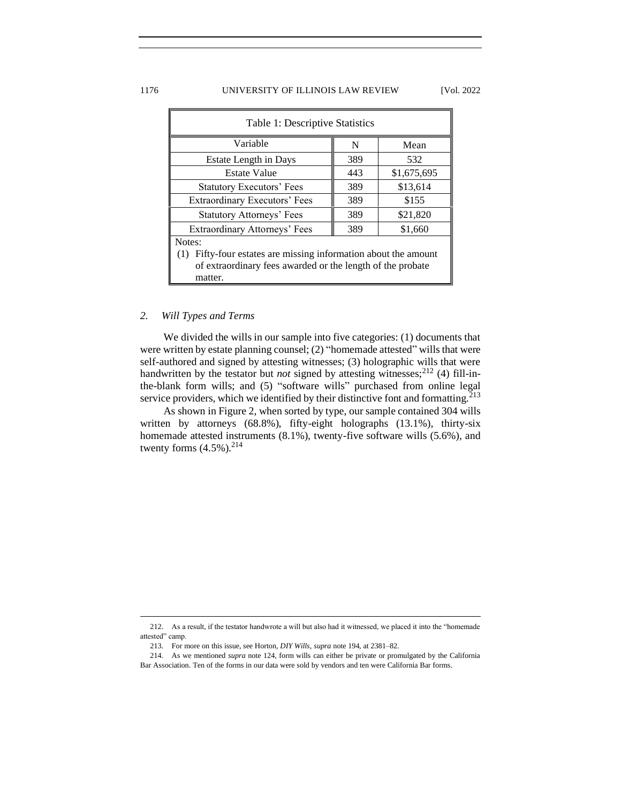# 1176 UNIVERSITY OF ILLINOIS LAW REVIEW [Vol. 2022

| Table 1: Descriptive Statistics                                                                                                                       |     |             |  |
|-------------------------------------------------------------------------------------------------------------------------------------------------------|-----|-------------|--|
| Variable                                                                                                                                              | N   | Mean        |  |
| Estate Length in Days                                                                                                                                 | 389 | 532         |  |
| <b>Estate Value</b>                                                                                                                                   | 443 | \$1,675,695 |  |
| <b>Statutory Executors' Fees</b>                                                                                                                      | 389 | \$13,614    |  |
| Extraordinary Executors' Fees                                                                                                                         | 389 | \$155       |  |
| <b>Statutory Attorneys' Fees</b>                                                                                                                      | 389 | \$21,820    |  |
| Extraordinary Attorneys' Fees                                                                                                                         | 389 | \$1,660     |  |
| Notes:<br>Fifty-four estates are missing information about the amount<br>(1)<br>of extraordinary fees awarded or the length of the probate<br>matter. |     |             |  |

# <span id="page-27-0"></span>*2. Will Types and Terms*

We divided the wills in our sample into five categories: (1) documents that were written by estate planning counsel; (2) "homemade attested" wills that were self-authored and signed by attesting witnesses; (3) holographic wills that were handwritten by the testator but *not* signed by attesting witnesses;<sup>212</sup> (4) fill-inthe-blank form wills; and (5) "software wills" purchased from online legal service providers, which we identified by their distinctive font and formatting.<sup>213</sup>

As shown in Figure 2, when sorted by type, our sample contained 304 wills written by attorneys (68.8%), fifty-eight holographs (13.1%), thirty-six homemade attested instruments (8.1%), twenty-five software wills (5.6%), and twenty forms  $(4.5\%)$ <sup>214</sup>

<sup>212.</sup> As a result, if the testator handwrote a will but also had it witnessed, we placed it into the "homemade attested" camp.

<sup>213.</sup> For more on this issue, see Horton, *DIY Wills*, *supra* note 194, at 2381–82.

<sup>214.</sup> As we mentioned *supra* note 124, form wills can either be private or promulgated by the California Bar Association. Ten of the forms in our data were sold by vendors and ten were California Bar forms.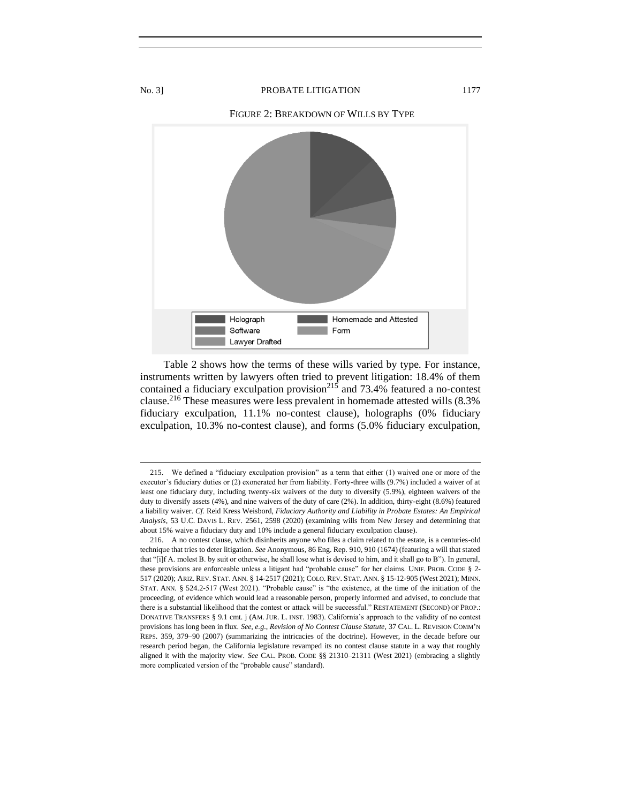

Table 2 shows how the terms of these wills varied by type. For instance, instruments written by lawyers often tried to prevent litigation: 18.4% of them contained a fiduciary exculpation provision<sup>215</sup> and 73.4% featured a no-contest clause.<sup>216</sup> These measures were less prevalent in homemade attested wills (8.3% fiduciary exculpation, 11.1% no-contest clause), holographs (0% fiduciary exculpation, 10.3% no-contest clause), and forms (5.0% fiduciary exculpation,

<sup>215.</sup> We defined a "fiduciary exculpation provision" as a term that either (1) waived one or more of the executor's fiduciary duties or (2) exonerated her from liability. Forty-three wills (9.7%) included a waiver of at least one fiduciary duty, including twenty-six waivers of the duty to diversify (5.9%), eighteen waivers of the duty to diversify assets (4%), and nine waivers of the duty of care (2%). In addition, thirty-eight (8.6%) featured a liability waiver. *Cf.* Reid Kress Weisbord, *Fiduciary Authority and Liability in Probate Estates: An Empirical Analysis*, 53 U.C. DAVIS L. REV. 2561, 2598 (2020) (examining wills from New Jersey and determining that about 15% waive a fiduciary duty and 10% include a general fiduciary exculpation clause).

<sup>216.</sup> A no contest clause, which disinherits anyone who files a claim related to the estate, is a centuries-old technique that tries to deter litigation. *See* Anonymous, 86 Eng. Rep. 910, 910 (1674) (featuring a will that stated that "[i]f A. molest B. by suit or otherwise, he shall lose what is devised to him, and it shall go to B"). In general, these provisions are enforceable unless a litigant had "probable cause" for her claims. UNIF. PROB. CODE § 2- 517 (2020); ARIZ. REV. STAT. ANN. § 14-2517 (2021); COLO. REV. STAT. ANN. § 15-12-905 (West 2021); MINN. STAT. ANN. § 524.2-517 (West 2021). "Probable cause" is "the existence, at the time of the initiation of the proceeding, of evidence which would lead a reasonable person, properly informed and advised, to conclude that there is a substantial likelihood that the contest or attack will be successful." RESTATEMENT (SECOND) OF PROP.: DONATIVE TRANSFERS § 9.1 cmt. j (AM. JUR. L. INST. 1983). California's approach to the validity of no contest provisions has long been in flux. *See, e.g.*, *Revision of No Contest Clause Statute*, 37 CAL. L. REVISION COMM'N REPS. 359, 379–90 (2007) (summarizing the intricacies of the doctrine). However, in the decade before our research period began, the California legislature revamped its no contest clause statute in a way that roughly aligned it with the majority view. *See* CAL. PROB. CODE §§ 21310–21311 (West 2021) (embracing a slightly more complicated version of the "probable cause" standard).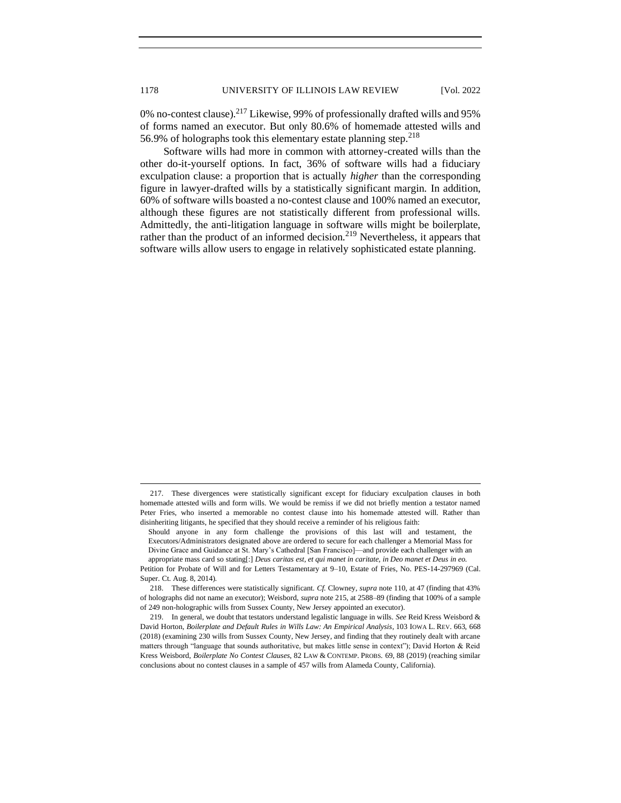0% no-contest clause).<sup>217</sup> Likewise, 99% of professionally drafted wills and 95% of forms named an executor. But only 80.6% of homemade attested wills and 56.9% of holographs took this elementary estate planning step.<sup>218</sup>

Software wills had more in common with attorney-created wills than the other do-it-yourself options. In fact, 36% of software wills had a fiduciary exculpation clause: a proportion that is actually *higher* than the corresponding figure in lawyer-drafted wills by a statistically significant margin. In addition, 60% of software wills boasted a no-contest clause and 100% named an executor, although these figures are not statistically different from professional wills. Admittedly, the anti-litigation language in software wills might be boilerplate, rather than the product of an informed decision.<sup>219</sup> Nevertheless, it appears that software wills allow users to engage in relatively sophisticated estate planning.

<sup>217.</sup> These divergences were statistically significant except for fiduciary exculpation clauses in both homemade attested wills and form wills. We would be remiss if we did not briefly mention a testator named Peter Fries, who inserted a memorable no contest clause into his homemade attested will. Rather than disinheriting litigants, he specified that they should receive a reminder of his religious faith:

Should anyone in any form challenge the provisions of this last will and testament, the Executors/Administrators designated above are ordered to secure for each challenger a Memorial Mass for

Divine Grace and Guidance at St. Mary's Cathedral [San Francisco]—and provide each challenger with an appropriate mass card so stating[:] *Deus caritas est, et qui manet in caritate, in Deo manet et Deus in eo.*

Petition for Probate of Will and for Letters Testamentary at 9–10, Estate of Fries, No. PES-14-297969 (Cal. Super. Ct. Aug. 8, 2014).

<sup>218.</sup> These differences were statistically significant. *Cf.* Clowney, *supra* note 110, at 47 (finding that 43% of holographs did not name an executor); Weisbord, *supra* note 215, at 2588–89 (finding that 100% of a sample of 249 non-holographic wills from Sussex County, New Jersey appointed an executor).

<sup>219.</sup> In general, we doubt that testators understand legalistic language in wills. *See* Reid Kress Weisbord & David Horton, *Boilerplate and Default Rules in Wills Law: An Empirical Analysis*, 103 IOWA L. REV. 663, 668 (2018) (examining 230 wills from Sussex County, New Jersey, and finding that they routinely dealt with arcane matters through "language that sounds authoritative, but makes little sense in context"); David Horton & Reid Kress Weisbord, *Boilerplate No Contest Clauses*, 82 LAW & CONTEMP. PROBS. 69, 88 (2019) (reaching similar conclusions about no contest clauses in a sample of 457 wills from Alameda County, California).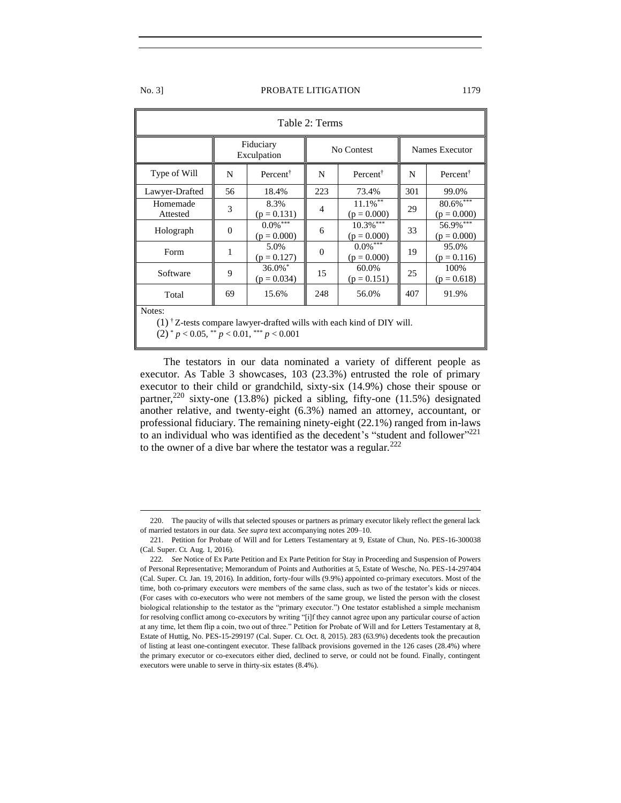| Table 2: Terms                                                                                                                                                                         |                                        |                              |          |                                               |     |                                         |
|----------------------------------------------------------------------------------------------------------------------------------------------------------------------------------------|----------------------------------------|------------------------------|----------|-----------------------------------------------|-----|-----------------------------------------|
|                                                                                                                                                                                        | Fiduciary<br>No Contest<br>Exculpation |                              |          |                                               |     | Names Executor                          |
| Type of Will                                                                                                                                                                           | N                                      | Percent <sup>†</sup>         | N        | Percent <sup>†</sup>                          | N   | Percent <sup>†</sup>                    |
| Lawyer-Drafted                                                                                                                                                                         | 56                                     | 18.4%                        | 223      | 73.4%                                         | 301 | 99.0%                                   |
| Homemade<br>Attested                                                                                                                                                                   | 3                                      | 8.3%<br>$(p = 0.131)$        | 4        | $11.1\%$ **<br>$(p = 0.000)$                  | 29  | $80.6\sqrt[3]{\cdots}$<br>$(p = 0.000)$ |
| Holograph                                                                                                                                                                              | $\mathbf{0}$                           | $0.0\%$ ***<br>$(p = 0.000)$ | 6        | $10.3\overline{\frac{1}{6}}$<br>$(p = 0.000)$ | 33  | 56.9% ***<br>$(p = 0.000)$              |
| Form                                                                                                                                                                                   | 1                                      | 5.0%<br>$(p = 0.127)$        | $\Omega$ | $0.0\%$ ***<br>$(p = 0.000)$                  | 19  | 95.0%<br>$(p = 0.116)$                  |
| Software                                                                                                                                                                               | 9                                      | $36.0\%$ *<br>$(p = 0.034)$  | 15       | 60.0%<br>$(p = 0.151)$                        | 25  | 100%<br>$(p = 0.618)$                   |
| Total                                                                                                                                                                                  | 69                                     | 15.6%                        | 248      | 56.0%                                         | 407 | 91.9%                                   |
| Notes:<br>$(1)$ <sup>†</sup> Z-tests compare lawyer-drafted wills with each kind of DIY will.<br>$(2)$ <sup>*</sup> $p < 0.05$ , <sup>**</sup> $p < 0.01$ , <sup>***</sup> $p < 0.001$ |                                        |                              |          |                                               |     |                                         |

The testators in our data nominated a variety of different people as executor. As Table 3 showcases, 103 (23.3%) entrusted the role of primary executor to their child or grandchild, sixty-six (14.9%) chose their spouse or partner,<sup>220</sup> sixty-one (13.8%) picked a sibling, fifty-one (11.5%) designated another relative, and twenty-eight (6.3%) named an attorney, accountant, or professional fiduciary. The remaining ninety-eight (22.1%) ranged from in-laws to an individual who was identified as the decedent's "student and follower"<sup>221</sup> to the owner of a dive bar where the testator was a regular. $^{222}$ 

<sup>220.</sup> The paucity of wills that selected spouses or partners as primary executor likely reflect the general lack of married testators in our data. *See supra* text accompanying notes 209–10.

<sup>221.</sup> Petition for Probate of Will and for Letters Testamentary at 9, Estate of Chun, No. PES-16-300038 (Cal. Super. Ct. Aug. 1, 2016).

<sup>222</sup>*. See* Notice of Ex Parte Petition and Ex Parte Petition for Stay in Proceeding and Suspension of Powers of Personal Representative; Memorandum of Points and Authorities at 5, Estate of Wesche, No. PES-14-297404 (Cal. Super. Ct. Jan. 19, 2016). In addition, forty-four wills (9.9%) appointed co-primary executors. Most of the time, both co-primary executors were members of the same class, such as two of the testator's kids or nieces. (For cases with co-executors who were not members of the same group, we listed the person with the closest biological relationship to the testator as the "primary executor.") One testator established a simple mechanism for resolving conflict among co-executors by writing "[i]f they cannot agree upon any particular course of action at any time, let them flip a coin, two out of three." Petition for Probate of Will and for Letters Testamentary at 8, Estate of Huttig, No. PES-15-299197 (Cal. Super. Ct. Oct. 8, 2015). 283 (63.9%) decedents took the precaution of listing at least one-contingent executor. These fallback provisions governed in the 126 cases (28.4%) where the primary executor or co-executors either died, declined to serve, or could not be found. Finally, contingent executors were unable to serve in thirty-six estates (8.4%).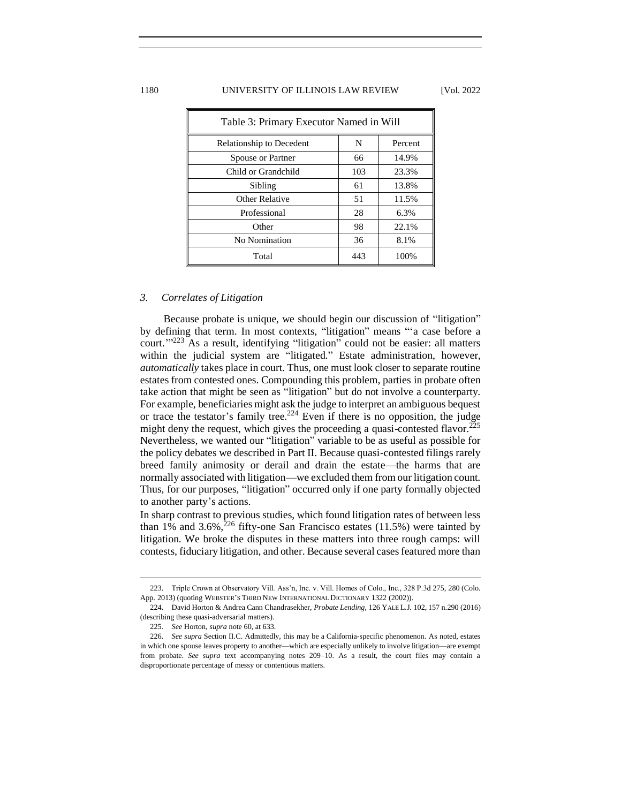### 1180 UNIVERSITY OF ILLINOIS LAW REVIEW [Vol. 2022

| Table 3: Primary Executor Named in Will |     |         |
|-----------------------------------------|-----|---------|
| Relationship to Decedent                | N   | Percent |
| Spouse or Partner                       | 66  | 14.9%   |
| Child or Grandchild                     | 103 | 23.3%   |
| Sibling                                 | 61  | 13.8%   |
| Other Relative                          | 51  | 11.5%   |
| Professional                            | 28  | 6.3%    |
| Other                                   | 98  | 22.1%   |
| No Nomination                           | 36  | 8.1%    |
| Total                                   | 443 | 100%    |

# <span id="page-31-0"></span>*3. Correlates of Litigation*

Because probate is unique, we should begin our discussion of "litigation" by defining that term. In most contexts, "litigation" means "'a case before a court.'" <sup>223</sup> As a result, identifying "litigation" could not be easier: all matters within the judicial system are "litigated." Estate administration, however, *automatically* takes place in court. Thus, one must look closer to separate routine estates from contested ones. Compounding this problem, parties in probate often take action that might be seen as "litigation" but do not involve a counterparty. For example, beneficiaries might ask the judge to interpret an ambiguous bequest or trace the testator's family tree.<sup>224</sup> Even if there is no opposition, the judge might deny the request, which gives the proceeding a quasi-contested flavor.<sup>225</sup> Nevertheless, we wanted our "litigation" variable to be as useful as possible for the policy debates we described in Part II. Because quasi-contested filings rarely breed family animosity or derail and drain the estate—the harms that are normally associated with litigation—we excluded them from our litigation count. Thus, for our purposes, "litigation" occurred only if one party formally objected to another party's actions.

In sharp contrast to previous studies, which found litigation rates of between less than 1% and 3.6%, $^{226}$  fifty-one San Francisco estates (11.5%) were tainted by litigation. We broke the disputes in these matters into three rough camps: will contests, fiduciary litigation, and other. Because several cases featured more than

<sup>223.</sup> Triple Crown at Observatory Vill. Ass'n, Inc. v. Vill. Homes of Colo., Inc., 328 P.3d 275, 280 (Colo. App. 2013) (quoting WEBSTER'S THIRD NEW INTERNATIONAL DICTIONARY 1322 (2002)).

<sup>224.</sup> David Horton & Andrea Cann Chandrasekher, *Probate Lending*, 126 YALE L.J. 102, 157 n.290 (2016) (describing these quasi-adversarial matters).

<sup>225</sup>*. See* Horton, *supra* note 60, at 633.

<sup>226</sup>*. See supra* Section II.C. Admittedly, this may be a California-specific phenomenon. As noted, estates in which one spouse leaves property to another—which are especially unlikely to involve litigation—are exempt from probate. *See supra* text accompanying notes 209–10. As a result, the court files may contain a disproportionate percentage of messy or contentious matters.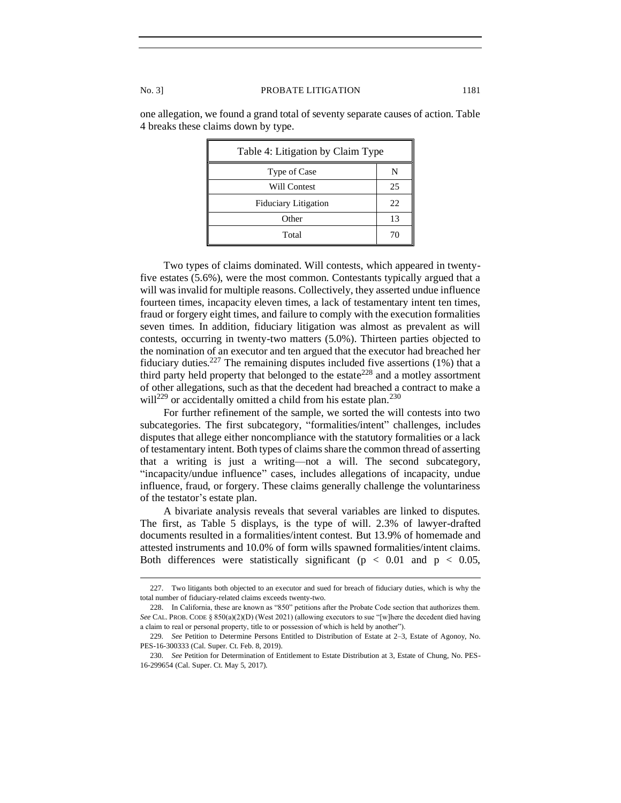| Table 4: Litigation by Claim Type |    |  |
|-----------------------------------|----|--|
| Type of Case                      | N  |  |
| Will Contest                      | 25 |  |
| <b>Fiduciary Litigation</b>       | 22 |  |
| Other                             | 13 |  |
| Total                             | 70 |  |

one allegation, we found a grand total of seventy separate causes of action. Table 4 breaks these claims down by type.

Two types of claims dominated. Will contests, which appeared in twentyfive estates (5.6%), were the most common. Contestants typically argued that a will was invalid for multiple reasons. Collectively, they asserted undue influence fourteen times, incapacity eleven times, a lack of testamentary intent ten times, fraud or forgery eight times, and failure to comply with the execution formalities seven times. In addition, fiduciary litigation was almost as prevalent as will contests, occurring in twenty-two matters (5.0%). Thirteen parties objected to the nomination of an executor and ten argued that the executor had breached her fiduciary duties.<sup>227</sup> The remaining disputes included five assertions (1%) that a third party held property that belonged to the estate<sup>228</sup> and a motley assortment of other allegations, such as that the decedent had breached a contract to make a will<sup>229</sup> or accidentally omitted a child from his estate plan.<sup>230</sup>

For further refinement of the sample, we sorted the will contests into two subcategories. The first subcategory, "formalities/intent" challenges, includes disputes that allege either noncompliance with the statutory formalities or a lack of testamentary intent. Both types of claims share the common thread of asserting that a writing is just a writing—not a will. The second subcategory, "incapacity/undue influence" cases, includes allegations of incapacity, undue influence, fraud, or forgery. These claims generally challenge the voluntariness of the testator's estate plan.

A bivariate analysis reveals that several variables are linked to disputes. The first, as Table 5 displays, is the type of will. 2.3% of lawyer-drafted documents resulted in a formalities/intent contest. But 13.9% of homemade and attested instruments and 10.0% of form wills spawned formalities/intent claims. Both differences were statistically significant ( $p < 0.01$  and  $p < 0.05$ ,

<sup>227.</sup> Two litigants both objected to an executor and sued for breach of fiduciary duties, which is why the total number of fiduciary-related claims exceeds twenty-two.

<sup>228.</sup> In California, these are known as "850" petitions after the Probate Code section that authorizes them. *See* CAL. PROB. CODE § 850(a)(2)(D) (West 2021) (allowing executors to sue "[w]here the decedent died having a claim to real or personal property, title to or possession of which is held by another").

<sup>229</sup>*. See* Petition to Determine Persons Entitled to Distribution of Estate at 2–3, Estate of Agonoy, No. PES-16-300333 (Cal. Super. Ct. Feb. 8, 2019).

<sup>230</sup>*. See* Petition for Determination of Entitlement to Estate Distribution at 3, Estate of Chung, No. PES-16-299654 (Cal. Super. Ct. May 5, 2017).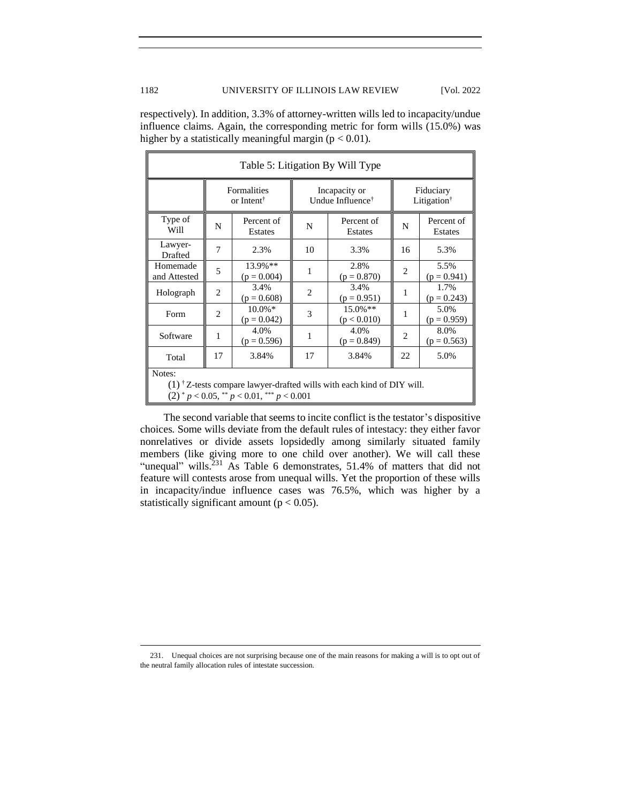respectively). In addition, 3.3% of attorney-written wills led to incapacity/undue influence claims. Again, the corresponding metric for form wills (15.0%) was higher by a statistically meaningful margin ( $p < 0.01$ ).

| Table 5: Litigation By Will Type                                                                                                                                             |                                       |                             |                                               |                           |                                      |                       |
|------------------------------------------------------------------------------------------------------------------------------------------------------------------------------|---------------------------------------|-----------------------------|-----------------------------------------------|---------------------------|--------------------------------------|-----------------------|
|                                                                                                                                                                              | Formalities<br>or Intent <sup>†</sup> |                             | Incapacity or<br>Undue Influence <sup>†</sup> |                           | Fiduciary<br>Litigation <sup>†</sup> |                       |
| Type of<br>Will                                                                                                                                                              | N                                     | Percent of<br>Estates       | N                                             | Percent of<br>Estates     | N                                    | Percent of<br>Estates |
| Lawyer-<br>Drafted                                                                                                                                                           | 7                                     | 2.3%                        | 10                                            | 3.3%                      | 16                                   | 5.3%                  |
| Homemade<br>and Attested                                                                                                                                                     | 5                                     | 13.9%**<br>$(p = 0.004)$    | 1                                             | 2.8%<br>$(p = 0.870)$     | $\overline{c}$                       | 5.5%<br>$(p = 0.941)$ |
| Holograph                                                                                                                                                                    | $\overline{c}$                        | 3.4%<br>$(p = 0.608)$       | 2                                             | 3.4%<br>$(p = 0.951)$     | 1                                    | 1.7%<br>$(p = 0.243)$ |
| Form                                                                                                                                                                         | $\overline{2}$                        | $10.0\%$ *<br>$(p = 0.042)$ | 3                                             | $15.0\%**$<br>(p < 0.010) | 1                                    | 5.0%<br>$(p = 0.959)$ |
| Software                                                                                                                                                                     | 1                                     | 4.0%<br>$(p = 0.596)$       | 1                                             | 4.0%<br>$(p = 0.849)$     | 2                                    | 8.0%<br>$(p = 0.563)$ |
| Total                                                                                                                                                                        | 17                                    | 3.84%                       | 17                                            | 3.84%                     | 22                                   | 5.0%                  |
| Notes:                                                                                                                                                                       |                                       |                             |                                               |                           |                                      |                       |
| $(1)$ <sup>†</sup> Z-tests compare lawyer-drafted wills with each kind of DIY will.<br>$(2)$ <sup>*</sup> $p < 0.05$ , <sup>**</sup> $p < 0.01$ , <sup>***</sup> $p < 0.001$ |                                       |                             |                                               |                           |                                      |                       |

The second variable that seems to incite conflict is the testator's dispositive choices. Some wills deviate from the default rules of intestacy: they either favor nonrelatives or divide assets lopsidedly among similarly situated family members (like giving more to one child over another). We will call these "unequal" wills. $^{231}$  As Table 6 demonstrates, 51.4% of matters that did not feature will contests arose from unequal wills. Yet the proportion of these wills in incapacity/indue influence cases was 76.5%, which was higher by a statistically significant amount ( $p < 0.05$ ).

<sup>231.</sup> Unequal choices are not surprising because one of the main reasons for making a will is to opt out of the neutral family allocation rules of intestate succession.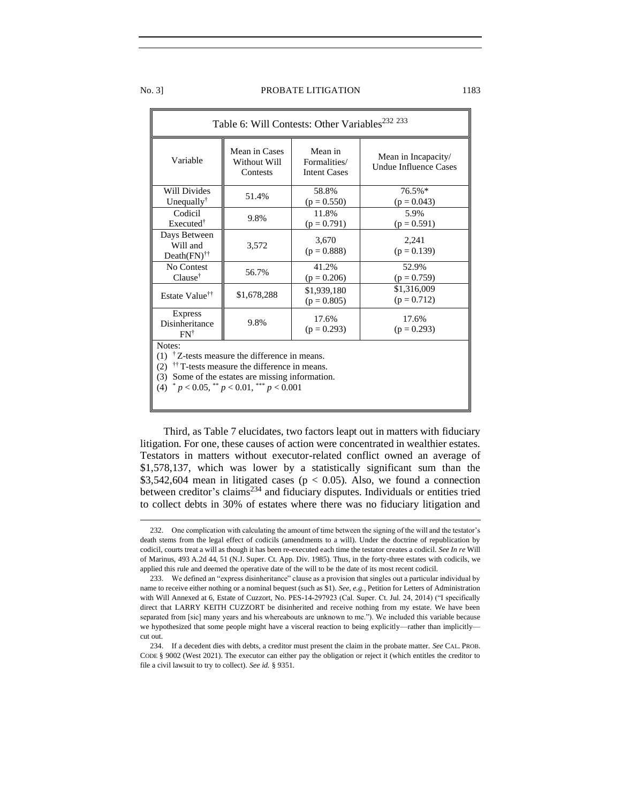| Table 6: Will Contests: Other Variables <sup>232</sup> 233                                                                                                                                                                                              |                                           |                                                |                                              |  |
|---------------------------------------------------------------------------------------------------------------------------------------------------------------------------------------------------------------------------------------------------------|-------------------------------------------|------------------------------------------------|----------------------------------------------|--|
| Variable                                                                                                                                                                                                                                                | Mean in Cases<br>Without Will<br>Contests | Mean in<br>Formalities/<br><b>Intent Cases</b> | Mean in Incapacity/<br>Undue Influence Cases |  |
| <b>Will Divides</b><br>Unequally <sup>†</sup>                                                                                                                                                                                                           | 51.4%                                     | 58.8%<br>$(p = 0.550)$                         | 76.5%*<br>$(p = 0.043)$                      |  |
| Codicil<br>Executed <sup>†</sup>                                                                                                                                                                                                                        | 9.8%                                      | 11.8%<br>$(p = 0.791)$                         | 5.9%<br>$(p = 0.591)$                        |  |
| Days Between<br>Will and<br>$Death(FN)$ <sup>††</sup>                                                                                                                                                                                                   | 3,572                                     | 3,670<br>$(p = 0.888)$                         | 2,241<br>$(p = 0.139)$                       |  |
| No Contest<br>$Clause^{\dagger}$                                                                                                                                                                                                                        | 56.7%                                     | 41.2%<br>$(p = 0.206)$                         | 52.9%<br>$(p = 0.759)$                       |  |
| Estate Value <sup>††</sup>                                                                                                                                                                                                                              | \$1,678,288                               | \$1,939,180<br>$(p = 0.805)$                   | \$1,316,009<br>$(p = 0.712)$                 |  |
| <b>Express</b><br>Disinheritance<br>$FN^{\dagger}$                                                                                                                                                                                                      | 9.8%                                      | 17.6%<br>$(p = 0.293)$                         | 17.6%<br>$(p = 0.293)$                       |  |
| Notes:<br>$(1)$ <sup>†</sup> Z-tests measure the difference in means.<br><sup>††</sup> T-tests measure the difference in means.<br>(2)<br>(3) Some of the estates are missing information.<br>(4) $^* p < 0.05$ , $^{**} p < 0.01$ , $^{***} p < 0.001$ |                                           |                                                |                                              |  |

Third, as Table 7 elucidates, two factors leapt out in matters with fiduciary litigation. For one, these causes of action were concentrated in wealthier estates. Testators in matters without executor-related conflict owned an average of \$1,578,137, which was lower by a statistically significant sum than the \$3,542,604 mean in litigated cases ( $p < 0.05$ ). Also, we found a connection between creditor's claims<sup>234</sup> and fiduciary disputes. Individuals or entities tried to collect debts in 30% of estates where there was no fiduciary litigation and

<sup>232.</sup> One complication with calculating the amount of time between the signing of the will and the testator's death stems from the legal effect of codicils (amendments to a will). Under the doctrine of republication by codicil, courts treat a will as though it has been re-executed each time the testator creates a codicil. *See In re* Will of Marinus, 493 A.2d 44, 51 (N.J. Super. Ct. App. Div. 1985). Thus, in the forty-three estates with codicils, we applied this rule and deemed the operative date of the will to be the date of its most recent codicil.

<sup>233.</sup> We defined an "express disinheritance" clause as a provision that singles out a particular individual by name to receive either nothing or a nominal bequest (such as \$1). *See, e.g.*, Petition for Letters of Administration with Will Annexed at 6, Estate of Cuzzort, No. PES-14-297923 (Cal. Super. Ct. Jul. 24, 2014) ("I specifically direct that LARRY KEITH CUZZORT be disinherited and receive nothing from my estate. We have been separated from [sic] many years and his whereabouts are unknown to me."). We included this variable because we hypothesized that some people might have a visceral reaction to being explicitly—rather than implicitly cut out.

<sup>234.</sup> If a decedent dies with debts, a creditor must present the claim in the probate matter. *See* CAL. PROB. CODE § 9002 (West 2021). The executor can either pay the obligation or reject it (which entitles the creditor to file a civil lawsuit to try to collect). *See id.* § 9351.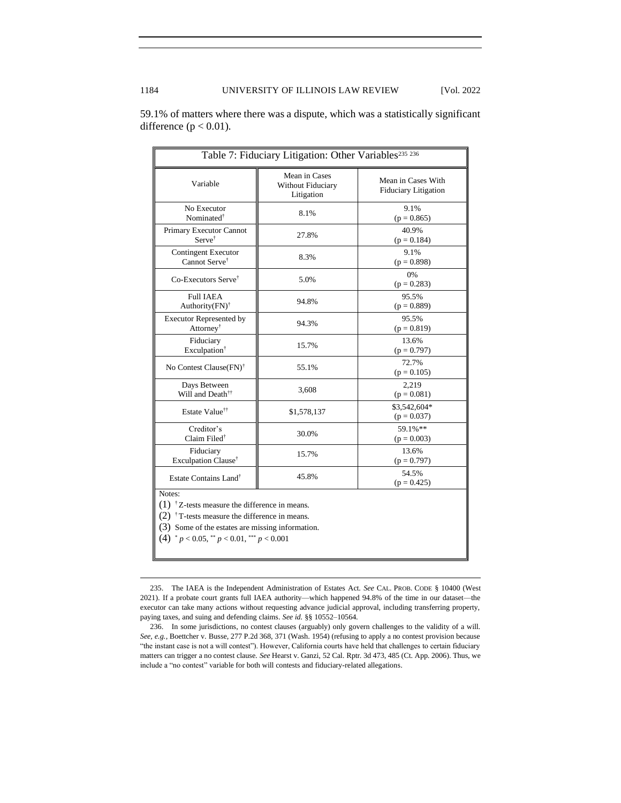| Table 7: Fiduciary Litigation: Other Variables <sup>235</sup> 236                                                                                                                                                                                |                                                  |                                                   |  |
|--------------------------------------------------------------------------------------------------------------------------------------------------------------------------------------------------------------------------------------------------|--------------------------------------------------|---------------------------------------------------|--|
| Variable                                                                                                                                                                                                                                         | Mean in Cases<br>Without Fiduciary<br>Litigation | Mean in Cases With<br><b>Fiduciary Litigation</b> |  |
| No Executor<br>Nominated <sup>†</sup>                                                                                                                                                                                                            | 8.1%                                             | 9.1%<br>$(p = 0.865)$                             |  |
| Primary Executor Cannot<br>$Server^{\dagger}$                                                                                                                                                                                                    | 27.8%                                            | 40.9%<br>$(p = 0.184)$                            |  |
| <b>Contingent Executor</b><br>Cannot Serve <sup>†</sup>                                                                                                                                                                                          | 8.3%                                             | 9.1%<br>$(p = 0.898)$                             |  |
| Co-Executors Serve <sup>†</sup>                                                                                                                                                                                                                  | 5.0%                                             | 0%<br>$(p = 0.283)$                               |  |
| <b>Full IAEA</b><br>Authority $(FN)^{\dagger}$                                                                                                                                                                                                   | 94.8%                                            | 95.5%<br>$(p = 0.889)$                            |  |
| <b>Executor Represented by</b><br>Attorney <sup>†</sup>                                                                                                                                                                                          | 94.3%                                            | 95.5%<br>$(p = 0.819)$                            |  |
| Fiduciary<br>Exculpation <sup>†</sup>                                                                                                                                                                                                            | 15.7%                                            | 13.6%<br>$(p = 0.797)$                            |  |
| No Contest Clause (FN) <sup>†</sup>                                                                                                                                                                                                              | 55.1%                                            | 72.7%<br>$(p = 0.105)$                            |  |
| Days Between<br>Will and Death <sup>††</sup>                                                                                                                                                                                                     | 3,608                                            | 2,219<br>$(p = 0.081)$                            |  |
| Estate Value <sup>††</sup>                                                                                                                                                                                                                       | \$1,578,137                                      | \$3,542,604*<br>$(p = 0.037)$                     |  |
| Creditor's<br>Claim Filed <sup>†</sup>                                                                                                                                                                                                           | 30.0%                                            | 59.1%**<br>$(p = 0.003)$                          |  |
| Fiduciary<br>Exculpation Clause <sup>†</sup>                                                                                                                                                                                                     | 15.7%                                            | 13.6%<br>$(p = 0.797)$                            |  |
| Estate Contains Land <sup>®</sup>                                                                                                                                                                                                                | 45.8%                                            | 54.5%<br>$(p = 0.425)$                            |  |
| Notes:<br>$(1)$ <sup>†</sup> Z-tests measure the difference in means.<br>$(2)$ <sup>†</sup> T-tests measure the difference in means.<br>(3) Some of the estates are missing information.<br>$(4)$ * $p < 0.05$ , ** $p < 0.01$ , *** $p < 0.001$ |                                                  |                                                   |  |

59.1% of matters where there was a dispute, which was a statistically significant difference ( $p < 0.01$ ).

<sup>235.</sup> The IAEA is the Independent Administration of Estates Act. *See* CAL. PROB. CODE § 10400 (West 2021). If a probate court grants full IAEA authority—which happened 94.8% of the time in our dataset—the executor can take many actions without requesting advance judicial approval, including transferring property, paying taxes, and suing and defending claims. *See id.* §§ 10552–10564.

<sup>236.</sup> In some jurisdictions, no contest clauses (arguably) only govern challenges to the validity of a will. *See, e.g.*, Boettcher v. Busse, 277 P.2d 368, 371 (Wash. 1954) (refusing to apply a no contest provision because "the instant case is not a will contest"). However, California courts have held that challenges to certain fiduciary matters can trigger a no contest clause. *See* Hearst v. Ganzi, 52 Cal. Rptr. 3d 473, 485 (Ct. App. 2006). Thus, we include a "no contest" variable for both will contests and fiduciary-related allegations.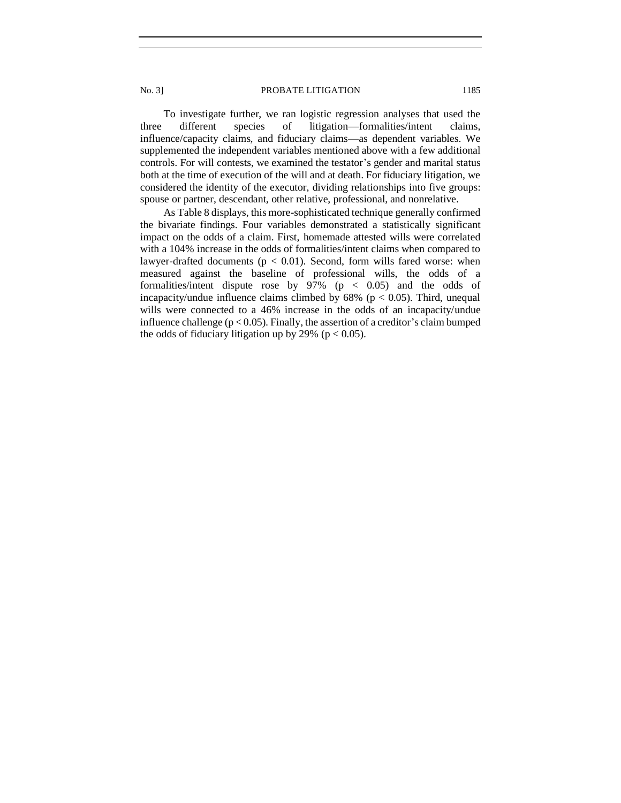To investigate further, we ran logistic regression analyses that used the three different species of litigation—formalities/intent claims, influence/capacity claims, and fiduciary claims—as dependent variables. We supplemented the independent variables mentioned above with a few additional controls. For will contests, we examined the testator's gender and marital status both at the time of execution of the will and at death. For fiduciary litigation, we considered the identity of the executor, dividing relationships into five groups: spouse or partner, descendant, other relative, professional, and nonrelative.

As Table 8 displays, this more-sophisticated technique generally confirmed the bivariate findings. Four variables demonstrated a statistically significant impact on the odds of a claim. First, homemade attested wills were correlated with a 104% increase in the odds of formalities/intent claims when compared to lawyer-drafted documents ( $p < 0.01$ ). Second, form wills fared worse: when measured against the baseline of professional wills, the odds of a formalities/intent dispute rose by  $97\%$  (p < 0.05) and the odds of incapacity/undue influence claims climbed by  $68\%$  ( $p < 0.05$ ). Third, unequal wills were connected to a 46% increase in the odds of an incapacity/undue influence challenge  $(p < 0.05)$ . Finally, the assertion of a creditor's claim bumped the odds of fiduciary litigation up by 29% ( $p < 0.05$ ).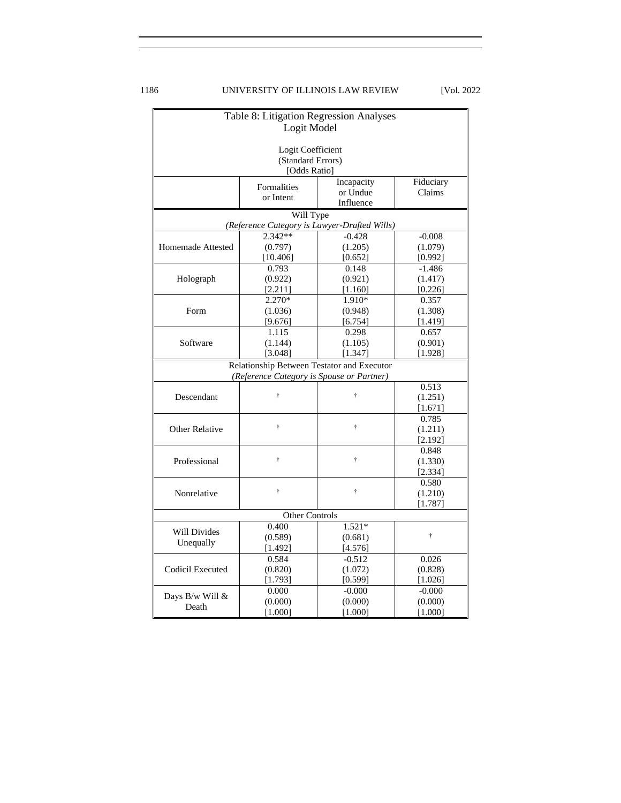# 1186 UNIVERSITY OF ILLINOIS LAW REVIEW [Vol. 2022

<span id="page-37-0"></span>

| Table 8: Litigation Regression Analyses    |                                   |                                              |                  |  |
|--------------------------------------------|-----------------------------------|----------------------------------------------|------------------|--|
|                                            | Logit Model                       |                                              |                  |  |
|                                            |                                   |                                              |                  |  |
|                                            | Logit Coefficient                 |                                              |                  |  |
|                                            | (Standard Errors)<br>[Odds Ratio] |                                              |                  |  |
|                                            |                                   | Incapacity                                   | Fiduciary        |  |
|                                            | Formalities                       | or Undue                                     | Claims           |  |
|                                            | or Intent                         | Influence                                    |                  |  |
|                                            | Will Type                         |                                              |                  |  |
|                                            |                                   | (Reference Category is Lawyer-Drafted Wills) |                  |  |
|                                            | 2.342**                           | $-0.428$                                     | $-0.008$         |  |
| Homemade Attested                          | (0.797)                           | (1.205)                                      | (1.079)          |  |
|                                            | [10.406]                          | [0.652]                                      | [0.992]          |  |
|                                            | 0.793                             | 0.148                                        | $-1.486$         |  |
| Holograph                                  | (0.922)                           | (0.921)                                      | (1.417)          |  |
|                                            | [2.211]                           | [1.160]                                      | [0.226]          |  |
|                                            | 2.270*                            | 1.910*                                       | 0.357            |  |
| Form                                       | (1.036)                           | (0.948)                                      | (1.308)          |  |
|                                            | [9.676]<br>1.115                  | [6.754]                                      | [1.419]          |  |
| Software                                   | (1.144)                           | 0.298<br>(1.105)                             | 0.657<br>(0.901) |  |
|                                            | [3.048]                           | [1.347]                                      | [1.928]          |  |
| Relationship Between Testator and Executor |                                   |                                              |                  |  |
| (Reference Category is Spouse or Partner)  |                                   |                                              |                  |  |
| 0.513                                      |                                   |                                              |                  |  |
| Descendant                                 | Ť                                 | Ť                                            | (1.251)          |  |
|                                            |                                   |                                              | [1.671]          |  |
|                                            |                                   |                                              | 0.785            |  |
| <b>Other Relative</b>                      | Ť                                 | $\ddot{\dagger}$                             | (1.211)          |  |
|                                            |                                   |                                              | [2.192]          |  |
|                                            |                                   |                                              | 0.848            |  |
| Professional                               | $\ddot{\dagger}$                  | $\ddot{\dagger}$                             | (1.330)          |  |
|                                            |                                   |                                              | [2.334]          |  |
|                                            |                                   |                                              | 0.580            |  |
| Nonrelative                                | t                                 | Ť                                            | (1.210)          |  |
|                                            |                                   |                                              | [1.787]          |  |
|                                            | <b>Other Controls</b>             |                                              |                  |  |
| <b>Will Divides</b>                        | 0.400                             | $1.521*$                                     | Ť                |  |
| Unequally                                  | (0.589)<br>[1.492]                | (0.681)                                      |                  |  |
|                                            | 0.584                             | [4.576]<br>$-0.512$                          | 0.026            |  |
| Codicil Executed                           | (0.820)                           | (1.072)                                      | (0.828)          |  |
|                                            | [1.793]                           | [0.599]                                      | [1.026]          |  |
|                                            | 0.000                             | $-0.000$                                     | $-0.000$         |  |
| Days B/w Will &                            | (0.000)                           | (0.000)                                      | (0.000)          |  |
| Death                                      | [1.000]                           | $[1.000]$                                    | $[1.000]$        |  |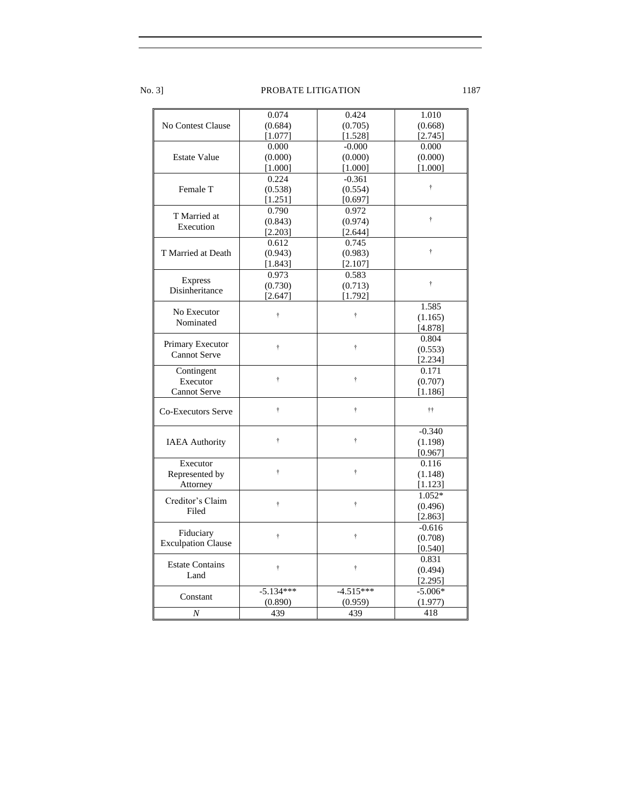|                           | 0.074            | 0.424            | 1.010            |
|---------------------------|------------------|------------------|------------------|
| No Contest Clause         | (0.684)          | (0.705)          | (0.668)          |
|                           | [1.077]          | [1.528]          | [2.745]          |
|                           | 0.000            | $-0.000$         | 0.000            |
|                           |                  |                  |                  |
| <b>Estate Value</b>       | (0.000)          | (0.000)          | (0.000)          |
|                           | [1.000]          | [1.000]          | [1.000]          |
|                           | 0.224            | $-0.361$         | Ť                |
| Female T                  | (0.538)          | (0.554)          |                  |
|                           | [1.251]          | [0.697]          |                  |
| T Married at              | 0.790            | 0.972            |                  |
| Execution                 | (0.843)          | (0.974)          | Ť                |
|                           | [2.203]          | [2.644]          |                  |
|                           | 0.612            | 0.745            |                  |
| T Married at Death        | (0.943)          | (0.983)          | Ť                |
|                           | [1.843]          | [2.107]          |                  |
|                           | 0.973            | 0.583            |                  |
| <b>Express</b>            | (0.730)          | (0.713)          | $\ddot{\dagger}$ |
| Disinheritance            | [2.647]          | [1.792]          |                  |
|                           |                  |                  | 1.585            |
| No Executor               | Ť.               | $\ddot{\dagger}$ | (1.165)          |
| Nominated                 |                  |                  | [4.878]          |
|                           |                  |                  | 0.804            |
| Primary Executor          | $\ddot{\dagger}$ | $\ddot{\dagger}$ | (0.553)          |
| <b>Cannot Serve</b>       |                  |                  |                  |
|                           |                  |                  | [2.234]          |
| Contingent                | Ť.               | $\ddot{\dagger}$ | 0.171            |
| Executor                  |                  |                  | (0.707)          |
| <b>Cannot Serve</b>       |                  |                  | [1.186]          |
|                           | Ť.               | $\dagger$        | ††               |
| <b>Co-Executors Serve</b> |                  |                  |                  |
|                           |                  |                  | $-0.340$         |
|                           | Ť.               | $\dagger$        | (1.198)          |
| <b>IAEA</b> Authority     |                  |                  |                  |
|                           |                  |                  | [0.967]          |
| Executor                  | Ť.               | $\ddot{\dagger}$ | 0.116            |
| Represented by            |                  |                  | (1.148)          |
| Attorney                  |                  |                  | [1.123]          |
| Creditor's Claim          |                  |                  | $1.052*$         |
| Filed                     | Ť.               | Ť                | (0.496)          |
|                           |                  |                  | [2.863]          |
|                           |                  |                  | $-0.616$         |
| Fiduciary                 | Ť.               | Ť                | (0.708)          |
| <b>Exculpation Clause</b> |                  |                  | [0.540]          |
|                           |                  |                  | 0.831            |
| <b>Estate Contains</b>    | Ť.               | Ť                | (0.494)          |
| Land                      |                  |                  | [2.295]          |
|                           | $-5.134***$      | $-4.515***$      | $-5.006*$        |
| Constant                  | (0.890)          | (0.959)          | (1.977)          |
| $\boldsymbol{N}$          | 439              | 439              | 418              |
|                           |                  |                  |                  |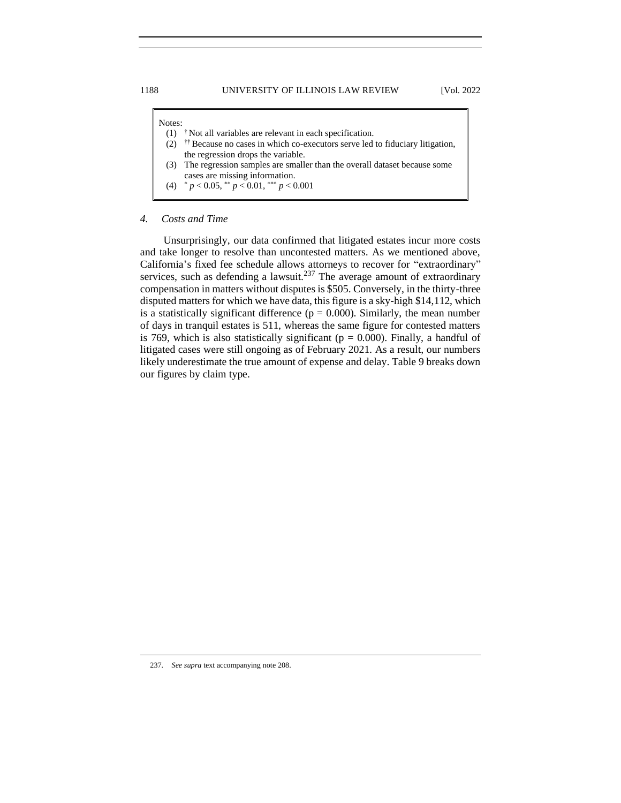| Notes: |                                                                                         |
|--------|-----------------------------------------------------------------------------------------|
|        | <sup>†</sup> Not all variables are relevant in each specification.                      |
| (2)    | <sup>††</sup> Because no cases in which co-executors serve led to fiduciary litigation, |
|        | the regression drops the variable.                                                      |
|        | (3) The regression samples are smaller than the overall dataset because some            |
|        | cases are missing information.                                                          |
|        | (4) $p < 0.05$ , $p < 0.01$ , $p < 0.001$                                               |
|        |                                                                                         |

# *4. Costs and Time*

Unsurprisingly, our data confirmed that litigated estates incur more costs and take longer to resolve than uncontested matters. As we mentioned above, California's fixed fee schedule allows attorneys to recover for "extraordinary" services, such as defending a lawsuit.<sup>237</sup> The average amount of extraordinary compensation in matters without disputes is \$505. Conversely, in the thirty-three disputed matters for which we have data, this figure is a sky-high \$14,112, which is a statistically significant difference ( $p = 0.000$ ). Similarly, the mean number of days in tranquil estates is 511, whereas the same figure for contested matters is 769, which is also statistically significant ( $p = 0.000$ ). Finally, a handful of litigated cases were still ongoing as of February 2021. As a result, our numbers likely underestimate the true amount of expense and delay. Table 9 breaks down our figures by claim type.

237*. See supra* text accompanying note 208.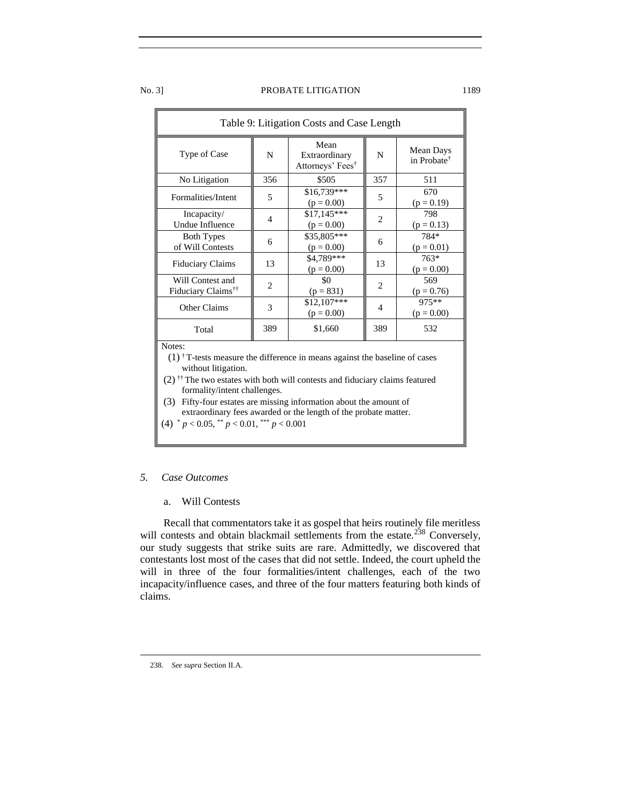| Table 9: Litigation Costs and Case Length                                                                                                                                                                                                              |                |                                                       |                          |                                      |  |
|--------------------------------------------------------------------------------------------------------------------------------------------------------------------------------------------------------------------------------------------------------|----------------|-------------------------------------------------------|--------------------------|--------------------------------------|--|
| Type of Case                                                                                                                                                                                                                                           | N              | Mean<br>Extraordinary<br>Attorneys' Fees <sup>†</sup> | N                        | Mean Days<br>in Probate <sup>†</sup> |  |
| No Litigation                                                                                                                                                                                                                                          | 356            | \$505                                                 | 357                      | 511                                  |  |
| Formalities/Intent                                                                                                                                                                                                                                     | 5              | \$16,739***<br>$(p = 0.00)$                           | 5                        | 670<br>$(p = 0.19)$                  |  |
| Incapacity/<br><b>Undue Influence</b>                                                                                                                                                                                                                  | $\overline{4}$ | $$17,145***$<br>$(p = 0.00)$                          | $\overline{2}$           | 798<br>$(p = 0.13)$                  |  |
| <b>Both Types</b><br>of Will Contests                                                                                                                                                                                                                  | 6              | \$35,805***<br>$(p = 0.00)$                           | 6                        | 784*<br>$(p = 0.01)$                 |  |
| <b>Fiduciary Claims</b>                                                                                                                                                                                                                                | 13             | \$4,789***<br>$(p = 0.00)$                            | 13                       | 763*<br>$(p = 0.00)$                 |  |
| Will Contest and<br>Fiduciary Claims <sup>††</sup>                                                                                                                                                                                                     | $\overline{c}$ | \$0<br>$(p = 831)$                                    | 2                        | 569<br>$(p = 0.76)$                  |  |
| Other Claims                                                                                                                                                                                                                                           | 3              | $$12,107***$<br>$(p = 0.00)$                          | $\overline{\mathcal{A}}$ | 975 **<br>$(p = 0.00)$               |  |
| Total                                                                                                                                                                                                                                                  | 389            | \$1,660                                               | 389                      | 532                                  |  |
| Notes:<br>$(1)$ <sup>†</sup> T-tests measure the difference in means against the baseline of cases<br>without litigation.<br>$(2)$ <sup>††</sup> The two estates with both will contests and fiduciary claims featured<br>formality/intent challenges. |                |                                                       |                          |                                      |  |
| (3)<br>Fifty-four estates are missing information about the amount of<br>extraordinary fees awarded or the length of the probate matter.                                                                                                               |                |                                                       |                          |                                      |  |

(4) \* *p* < 0.05, \*\* *p* < 0.01, \*\*\* *p* < 0.001

# <span id="page-40-1"></span><span id="page-40-0"></span>*5. Case Outcomes*

# a. Will Contests

Recall that commentators take it as gospel that heirs routinely file meritless will contests and obtain blackmail settlements from the estate.<sup>238</sup> Conversely, our study suggests that strike suits are rare. Admittedly, we discovered that contestants lost most of the cases that did not settle. Indeed, the court upheld the will in three of the four formalities/intent challenges, each of the two incapacity/influence cases, and three of the four matters featuring both kinds of claims.

<sup>238</sup>*. See supra* Section II.A.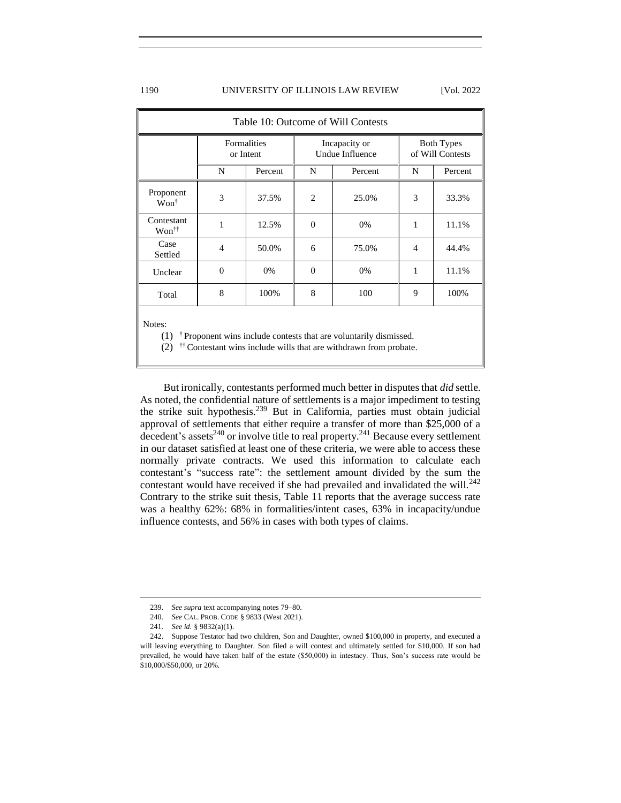### 1190 UNIVERSITY OF ILLINOIS LAW REVIEW [Vol. 2022

| Table 10: Outcome of Will Contests |                          |         |                                         |         |                                       |         |
|------------------------------------|--------------------------|---------|-----------------------------------------|---------|---------------------------------------|---------|
|                                    | Formalities<br>or Intent |         | Incapacity or<br><b>Undue Influence</b> |         | <b>Both Types</b><br>of Will Contests |         |
|                                    | N                        | Percent | N                                       | Percent | N                                     | Percent |
| Proponent<br>$Won^{\dagger}$       | 3                        | 37.5%   | $\overline{c}$                          | 25.0%   | 3                                     | 33.3%   |
| Contestant<br>Won <sup>††</sup>    | 1                        | 12.5%   | $\Omega$                                | 0%      | 1                                     | 11.1%   |
| Case<br>Settled                    | $\overline{4}$           | 50.0%   | 6                                       | 75.0%   | 4                                     | 44.4%   |
| Unclear                            | $\theta$                 | 0%      | $\Omega$                                | 0%      | 1                                     | 11.1%   |
| Total                              | 8                        | 100%    | 8                                       | 100     | 9                                     | 100%    |
| $NT - 1 - 1$                       |                          |         |                                         |         |                                       |         |

Notes:

 $(1)$  <sup>†</sup> Proponent wins include contests that are voluntarily dismissed.

 $(2)$  <sup>††</sup> Contestant wins include wills that are withdrawn from probate.

But ironically, contestants performed much better in disputes that *did* settle. As noted, the confidential nature of settlements is a major impediment to testing the strike suit hypothesis.<sup>239</sup> But in California, parties must obtain judicial approval of settlements that either require a transfer of more than \$25,000 of a  $\frac{1}{24}$  decedent's assets<sup>240</sup> or involve title to real property.<sup>241</sup> Because every settlement in our dataset satisfied at least one of these criteria, we were able to access these normally private contracts. We used this information to calculate each contestant's "success rate": the settlement amount divided by the sum the contestant would have received if she had prevailed and invalidated the will.<sup>242</sup> Contrary to the strike suit thesis, Table 11 reports that the average success rate was a healthy 62%: 68% in formalities/intent cases, 63% in incapacity/undue influence contests, and 56% in cases with both types of claims.

<sup>239</sup>*. See supra* text accompanying notes 79–80.

<sup>240</sup>*. See* CAL. PROB. CODE § 9833 (West 2021).

<sup>241</sup>*. See id.* § 9832(a)(1).

<sup>242.</sup> Suppose Testator had two children, Son and Daughter, owned \$100,000 in property, and executed a will leaving everything to Daughter. Son filed a will contest and ultimately settled for \$10,000. If son had prevailed, he would have taken half of the estate (\$50,000) in intestacy. Thus, Son's success rate would be \$10,000/\$50,000, or 20%.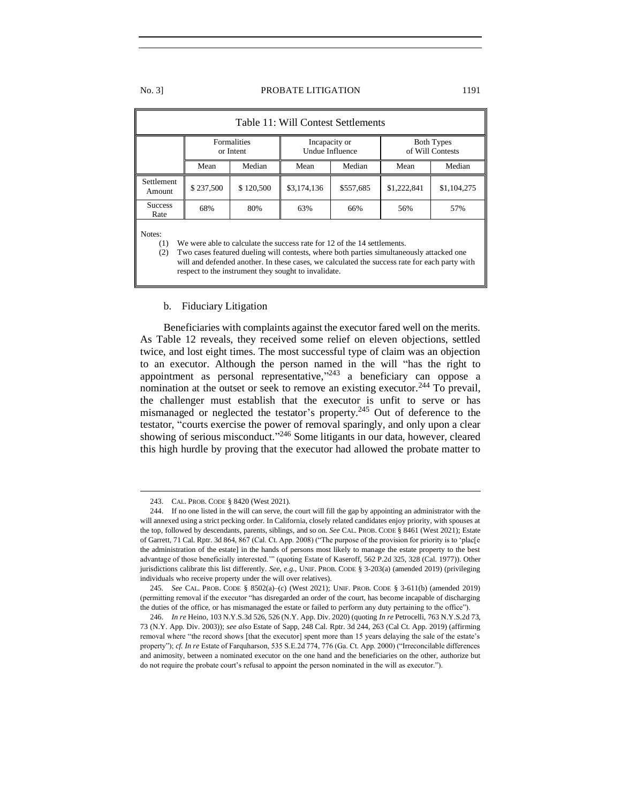| Table 11: Will Contest Settlements                                                                                                                                                                                                                                                                                                                    |                                 |           |                                  |           |                                       |             |
|-------------------------------------------------------------------------------------------------------------------------------------------------------------------------------------------------------------------------------------------------------------------------------------------------------------------------------------------------------|---------------------------------|-----------|----------------------------------|-----------|---------------------------------------|-------------|
|                                                                                                                                                                                                                                                                                                                                                       | <b>Formalities</b><br>or Intent |           | Incapacity or<br>Undue Influence |           | <b>Both Types</b><br>of Will Contests |             |
|                                                                                                                                                                                                                                                                                                                                                       | Mean                            | Median    | Mean                             | Median    |                                       | Median      |
| <b>Settlement</b><br>Amount                                                                                                                                                                                                                                                                                                                           | \$237,500                       | \$120,500 | \$3,174,136                      | \$557,685 | \$1,222,841                           | \$1,104,275 |
| <b>Success</b><br>Rate                                                                                                                                                                                                                                                                                                                                | 68%                             | 80%       | 63%                              | 66%       | 56%                                   | 57%         |
| Notes:<br>We were able to calculate the success rate for 12 of the 14 settlements.<br>(1)<br>Two cases featured dueling will contests, where both parties simultaneously attacked one<br>(2)<br>will and defended another. In these cases, we calculated the success rate for each party with<br>respect to the instrument they sought to invalidate. |                                 |           |                                  |           |                                       |             |

# <span id="page-42-0"></span>b. Fiduciary Litigation

Beneficiaries with complaints against the executor fared well on the merits. As Table 12 reveals, they received some relief on eleven objections, settled twice, and lost eight times. The most successful type of claim was an objection to an executor. Although the person named in the will "has the right to appointment as personal representative," $243$  a beneficiary can oppose a nomination at the outset or seek to remove an existing executor.<sup>244</sup> To prevail, the challenger must establish that the executor is unfit to serve or has mismanaged or neglected the testator's property.<sup>245</sup> Out of deference to the testator, "courts exercise the power of removal sparingly, and only upon a clear showing of serious misconduct."<sup>246</sup> Some litigants in our data, however, cleared this high hurdle by proving that the executor had allowed the probate matter to

<sup>243.</sup> CAL. PROB. CODE § 8420 (West 2021).

<sup>244.</sup> If no one listed in the will can serve, the court will fill the gap by appointing an administrator with the will annexed using a strict pecking order. In California, closely related candidates enjoy priority, with spouses at the top, followed by descendants, parents, siblings, and so on. *See* CAL. PROB. CODE § 8461 (West 2021); Estate of Garrett, 71 Cal. Rptr. 3d 864, 867 (Cal. Ct. App. 2008) ("The purpose of the provision for priority is to 'plac[e the administration of the estate] in the hands of persons most likely to manage the estate property to the best advantage of those beneficially interested.'" (quoting Estate of Kaseroff, 562 P.2d 325, 328 (Cal. 1977)). Other jurisdictions calibrate this list differently. *See, e.g.*, UNIF. PROB. CODE § 3-203(a) (amended 2019) (privileging individuals who receive property under the will over relatives).

<sup>245</sup>*. See* CAL. PROB. CODE § 8502(a)–(c) (West 2021); UNIF. PROB. CODE § 3-611(b) (amended 2019) (permitting removal if the executor "has disregarded an order of the court, has become incapable of discharging the duties of the office, or has mismanaged the estate or failed to perform any duty pertaining to the office").

<sup>246.</sup> *In re* Heino, 103 N.Y.S.3d 526, 526 (N.Y. App. Div. 2020) (quoting *In re* Petrocelli, 763 N.Y.S.2d 73, 73 (N.Y. App. Div. 2003)); *see also* Estate of Sapp, 248 Cal. Rptr. 3d 244, 263 (Cal Ct. App. 2019) (affirming removal where "the record shows [that the executor] spent more than 15 years delaying the sale of the estate's property"); *cf. In re* Estate of Farquharson, 535 S.E.2d 774, 776 (Ga. Ct. App. 2000) ("Irreconcilable differences and animosity, between a nominated executor on the one hand and the beneficiaries on the other, authorize but do not require the probate court's refusal to appoint the person nominated in the will as executor.").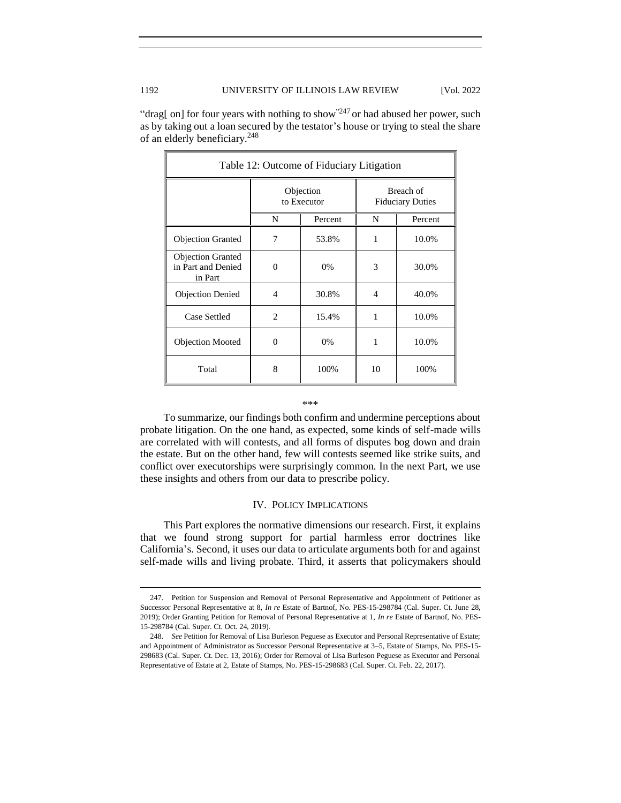"drag[ on] for four years with nothing to show"<sup>247</sup> or had abused her power, such as by taking out a loan secured by the testator's house or trying to steal the share of an elderly beneficiary.<sup>248</sup>

| Table 12: Outcome of Fiduciary Litigation                 |                          |         |                                      |         |  |
|-----------------------------------------------------------|--------------------------|---------|--------------------------------------|---------|--|
|                                                           | Objection<br>to Executor |         | Breach of<br><b>Fiduciary Duties</b> |         |  |
|                                                           | N                        | Percent | N                                    | Percent |  |
| <b>Objection Granted</b>                                  | 7                        | 53.8%   | 1                                    | 10.0%   |  |
| <b>Objection Granted</b><br>in Part and Denied<br>in Part | $\theta$                 | 0%      | 3                                    | 30.0%   |  |
| <b>Objection Denied</b>                                   | 4                        | 30.8%   | 4                                    | 40.0%   |  |
| Case Settled                                              | $\overline{c}$           | 15.4%   | 1                                    | 10.0%   |  |
| <b>Objection Mooted</b>                                   | $\Omega$                 | 0%      | 1                                    | 10.0%   |  |
| Total                                                     | 8                        | 100%    | 10                                   | 100%    |  |

#### \*\*\*

To summarize, our findings both confirm and undermine perceptions about probate litigation. On the one hand, as expected, some kinds of self-made wills are correlated with will contests, and all forms of disputes bog down and drain the estate. But on the other hand, few will contests seemed like strike suits, and conflict over executorships were surprisingly common. In the next Part, we use these insights and others from our data to prescribe policy.

# IV. POLICY IMPLICATIONS

<span id="page-43-0"></span>This Part explores the normative dimensions our research. First, it explains that we found strong support for partial harmless error doctrines like California's. Second, it uses our data to articulate arguments both for and against self-made wills and living probate. Third, it asserts that policymakers should

<sup>247.</sup> Petition for Suspension and Removal of Personal Representative and Appointment of Petitioner as Successor Personal Representative at 8, *In re* Estate of Bartnof, No. PES-15-298784 (Cal. Super. Ct. June 28, 2019); Order Granting Petition for Removal of Personal Representative at 1, *In re* Estate of Bartnof, No. PES-15-298784 (Cal. Super. Ct. Oct. 24, 2019).

<sup>248</sup>*. See* Petition for Removal of Lisa Burleson Peguese as Executor and Personal Representative of Estate; and Appointment of Administrator as Successor Personal Representative at 3–5, Estate of Stamps, No. PES-15- 298683 (Cal. Super. Ct. Dec. 13, 2016); Order for Removal of Lisa Burleson Peguese as Executor and Personal Representative of Estate at 2, Estate of Stamps, No. PES-15-298683 (Cal. Super. Ct. Feb. 22, 2017).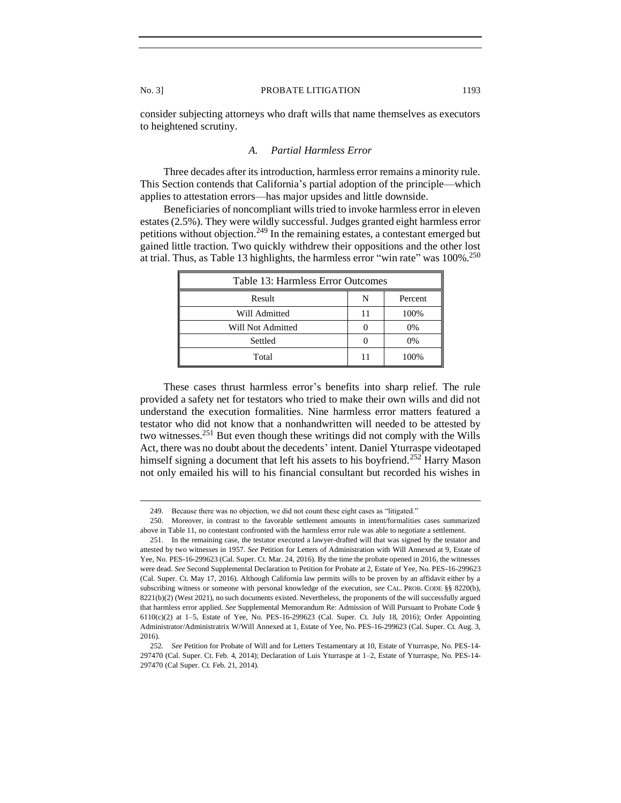<span id="page-44-0"></span>consider subjecting attorneys who draft wills that name themselves as executors to heightened scrutiny.

# *A. Partial Harmless Error*

Three decades after its introduction, harmless error remains a minority rule. This Section contends that California's partial adoption of the principle—which applies to attestation errors—has major upsides and little downside.

Beneficiaries of noncompliant wills tried to invoke harmless error in eleven estates (2.5%). They were wildly successful. Judges granted eight harmless error petitions without objection.<sup>249</sup> In the remaining estates, a contestant emerged but gained little traction. Two quickly withdrew their oppositions and the other lost at trial. Thus, as Table 13 highlights, the harmless error "win rate" was 100%.<sup>250</sup>

| Table 13: Harmless Error Outcomes |   |         |  |  |
|-----------------------------------|---|---------|--|--|
| Result                            | N | Percent |  |  |
| Will Admitted                     |   | 100%    |  |  |
| Will Not Admitted                 |   | 0%      |  |  |
| Settled                           |   | 0%      |  |  |
| Total                             |   | 100%    |  |  |

These cases thrust harmless error's benefits into sharp relief. The rule provided a safety net for testators who tried to make their own wills and did not understand the execution formalities. Nine harmless error matters featured a testator who did not know that a nonhandwritten will needed to be attested by two witnesses.<sup>251</sup> But even though these writings did not comply with the Wills Act, there was no doubt about the decedents' intent. Daniel Yturraspe videotaped himself signing a document that left his assets to his boyfriend.<sup>252</sup> Harry Mason not only emailed his will to his financial consultant but recorded his wishes in

<sup>249.</sup> Because there was no objection, we did not count these eight cases as "litigated."

<sup>250.</sup> Moreover, in contrast to the favorable settlement amounts in intent/formalities cases summarized above in Table 11, no contestant confronted with the harmless error rule was able to negotiate a settlement.

<sup>251.</sup> In the remaining case, the testator executed a lawyer-drafted will that was signed by the testator and attested by two witnesses in 1957. *See* Petition for Letters of Administration with Will Annexed at 9, Estate of Yee, No. PES-16-299623 (Cal. Super. Ct. Mar. 24, 2016). By the time the probate opened in 2016, the witnesses were dead. *See* Second Supplemental Declaration to Petition for Probate at 2, Estate of Yee, No. PES-16-299623 (Cal. Super. Ct. May 17, 2016). Although California law permits wills to be proven by an affidavit either by a subscribing witness or someone with personal knowledge of the execution, *see* CAL. PROB. CODE §§ 8220(b), 8221(b)(2) (West 2021), no such documents existed. Nevertheless, the proponents of the will successfully argued that harmless error applied. *See* Supplemental Memorandum Re: Admission of Will Pursuant to Probate Code § 6110(c)(2) at 1–5, Estate of Yee, No. PES-16-299623 (Cal. Super. Ct. July 18, 2016); Order Appointing Administrator/Administratrix W/Will Annexed at 1, Estate of Yee, No. PES-16-299623 (Cal. Super. Ct. Aug. 3, 2016).

<sup>252</sup>*. See* Petition for Probate of Will and for Letters Testamentary at 10, Estate of Yturraspe, No. PES-14- 297470 (Cal. Super. Ct. Feb. 4, 2014); Declaration of Luis Yturraspe at 1–2, Estate of Yturraspe, No. PES-14- 297470 (Cal Super. Ct. Feb. 21, 2014).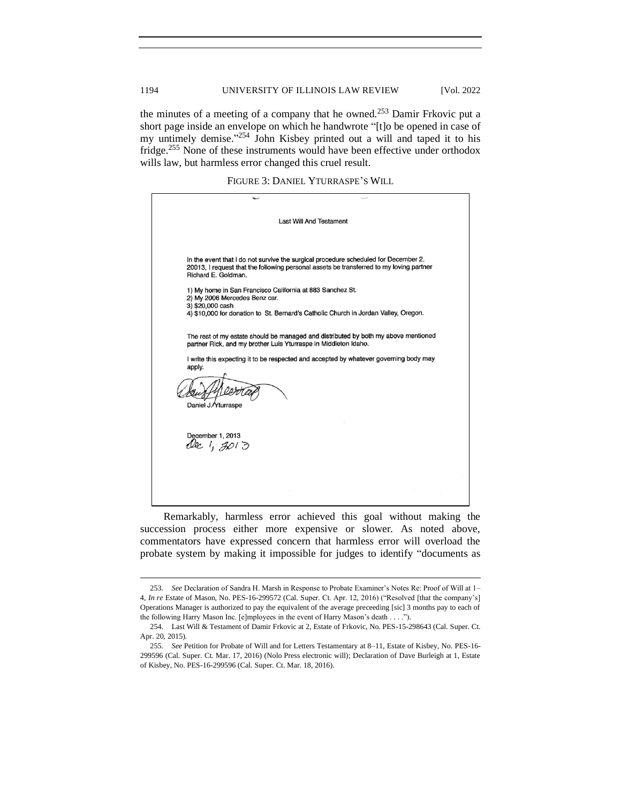the minutes of a meeting of a company that he owned.<sup>253</sup> Damir Frkovic put a short page inside an envelope on which he handwrote "[t]o be opened in case of my untimely demise."<sup>254</sup> John Kisbey printed out a will and taped it to his fridge.<sup>255</sup> None of these instruments would have been effective under orthodox wills law, but harmless error changed this cruel result.

FIGURE 3: DANIEL YTURRASPE'S WILL



Remarkably, harmless error achieved this goal without making the succession process either more expensive or slower. As noted above, commentators have expressed concern that harmless error will overload the probate system by making it impossible for judges to identify "documents as

<sup>253</sup>*. See* Declaration of Sandra H. Marsh in Response to Probate Examiner's Notes Re: Proof of Will at 1– 4, *In re* Estate of Mason, No. PES-16-299572 (Cal. Super. Ct. Apr. 12, 2016) ("Resolved [that the company's] Operations Manager is authorized to pay the equivalent of the average preceeding [sic] 3 months pay to each of the following Harry Mason Inc. [e]mployees in the event of Harry Mason's death . . . .").

<sup>254.</sup> Last Will & Testament of Damir Frkovic at 2, Estate of Frkovic, No. PES-15-298643 (Cal. Super. Ct. Apr. 20, 2015).

<sup>255</sup>*. See* Petition for Probate of Will and for Letters Testamentary at 8–11, Estate of Kisbey, No. PES-16- 299596 (Cal. Super. Ct. Mar. 17, 2016) (Nolo Press electronic will); Declaration of Dave Burleigh at 1, Estate of Kisbey, No. PES-16-299596 (Cal. Super. Ct. Mar. 18, 2016).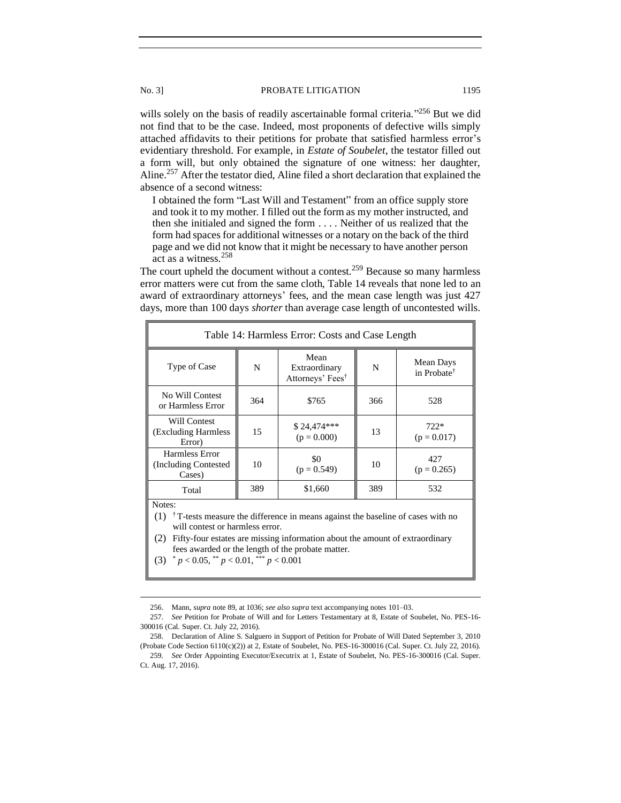wills solely on the basis of readily ascertainable formal criteria."<sup>256</sup> But we did not find that to be the case. Indeed, most proponents of defective wills simply attached affidavits to their petitions for probate that satisfied harmless error's evidentiary threshold. For example, in *Estate of Soubelet*, the testator filled out a form will, but only obtained the signature of one witness: her daughter, Aline.<sup>257</sup> After the testator died, Aline filed a short declaration that explained the absence of a second witness:

I obtained the form "Last Will and Testament" from an office supply store and took it to my mother. I filled out the form as my mother instructed, and then she initialed and signed the form . . . . Neither of us realized that the form had spaces for additional witnesses or a notary on the back of the third page and we did not know that it might be necessary to have another person act as a witness.<sup>258</sup>

The court upheld the document without a contest.<sup>259</sup> Because so many harmless error matters were cut from the same cloth, Table 14 reveals that none led to an award of extraordinary attorneys' fees, and the mean case length was just 427 days, more than 100 days *shorter* than average case length of uncontested wills.

| Table 14: Harmless Error: Costs and Case Length                                                                                               |     |                                                       |     |                                      |  |
|-----------------------------------------------------------------------------------------------------------------------------------------------|-----|-------------------------------------------------------|-----|--------------------------------------|--|
| Type of Case                                                                                                                                  | N   | Mean<br>Extraordinary<br>Attorneys' Fees <sup>†</sup> | N   | Mean Days<br>in Probate <sup>†</sup> |  |
| No Will Contest<br>or Harmless Error                                                                                                          | 364 | \$765                                                 | 366 | 528                                  |  |
| Will Contest<br>(Excluding Harmless<br>Error)                                                                                                 | 15  | \$24,474***<br>$(p = 0.000)$                          | 13  | $722*$<br>$(p = 0.017)$              |  |
| Harmless Error<br>(Including Contested)<br>Cases)                                                                                             | 10  | \$0<br>$(p = 0.549)$                                  | 10  | 427<br>$(p = 0.265)$                 |  |
| Total                                                                                                                                         | 389 | \$1,660                                               | 389 | 532                                  |  |
| Notes:<br>$(1)$ <sup>†</sup> T-tests measure the difference in means against the baseline of cases with no<br>will contest or harmless error. |     |                                                       |     |                                      |  |

(2) Fifty-four estates are missing information about the amount of extraordinary fees awarded or the length of the probate matter.

(3)  $p < 0.05$ ,  $p < 0.01$ ,  $p < 0.001$ 

<sup>256.</sup> Mann, *supra* note 89, at 1036; *see also supra* text accompanying notes 101–03.

<sup>257</sup>*. See* Petition for Probate of Will and for Letters Testamentary at 8, Estate of Soubelet, No. PES-16- 300016 (Cal. Super. Ct. July 22, 2016).

<sup>258.</sup> Declaration of Aline S. Salguero in Support of Petition for Probate of Will Dated September 3, 2010 (Probate Code Section 6110(c)(2)) at 2, Estate of Soubelet, No. PES-16-300016 (Cal. Super. Ct. July 22, 2016).

<sup>259</sup>*. See* Order Appointing Executor/Executrix at 1, Estate of Soubelet, No. PES-16-300016 (Cal. Super. Ct. Aug. 17, 2016).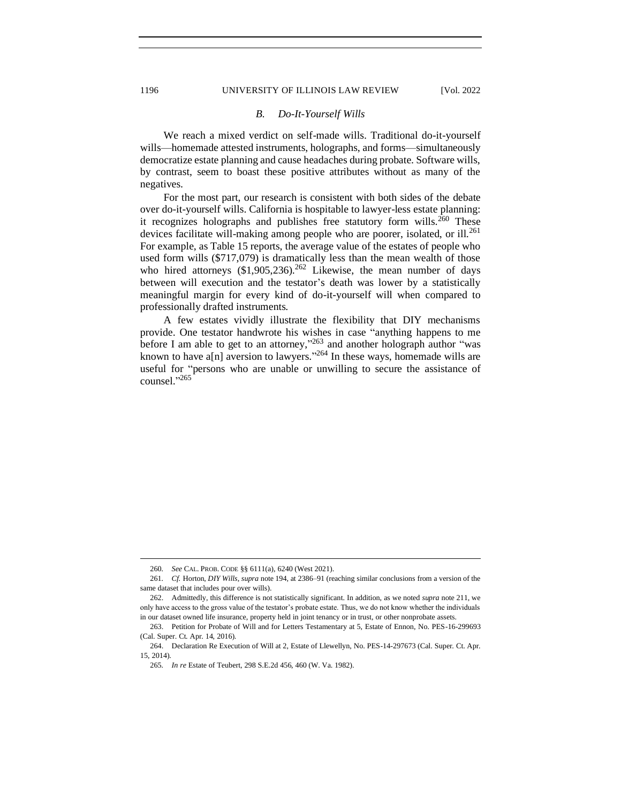### 1196 UNIVERSITY OF ILLINOIS LAW REVIEW [Vol. 2022

### *B. Do-It-Yourself Wills*

We reach a mixed verdict on self-made wills. Traditional do-it-yourself wills—homemade attested instruments, holographs, and forms—simultaneously democratize estate planning and cause headaches during probate. Software wills, by contrast, seem to boast these positive attributes without as many of the negatives.

For the most part, our research is consistent with both sides of the debate over do-it-yourself wills. California is hospitable to lawyer-less estate planning: it recognizes holographs and publishes free statutory form wills.<sup>260</sup> These devices facilitate will-making among people who are poorer, isolated, or ill.<sup>261</sup> For example, as Table 15 reports, the average value of the estates of people who used form wills (\$717,079) is dramatically less than the mean wealth of those who hired attorneys  $(\$1,905,236)$ .<sup>262</sup> Likewise, the mean number of days between will execution and the testator's death was lower by a statistically meaningful margin for every kind of do-it-yourself will when compared to professionally drafted instruments.

A few estates vividly illustrate the flexibility that DIY mechanisms provide. One testator handwrote his wishes in case "anything happens to me before I am able to get to an attorney,"<sup>263</sup> and another holograph author "was known to have a[n] aversion to lawyers."<sup>264</sup> In these ways, homemade wills are useful for "persons who are unable or unwilling to secure the assistance of counsel." 265

<span id="page-47-0"></span>

<sup>260</sup>*. See* CAL. PROB. CODE §§ 6111(a), 6240 (West 2021).

<sup>261</sup>*. Cf.* Horton, *DIY Wills*, *supra* note 194, at 2386–91 (reaching similar conclusions from a version of the same dataset that includes pour over wills).

<sup>262.</sup> Admittedly, this difference is not statistically significant. In addition, as we noted *supra* note 211, we only have access to the gross value of the testator's probate estate. Thus, we do not know whether the individuals in our dataset owned life insurance, property held in joint tenancy or in trust, or other nonprobate assets.

<sup>263.</sup> Petition for Probate of Will and for Letters Testamentary at 5, Estate of Ennon, No. PES-16-299693 (Cal. Super. Ct. Apr. 14, 2016).

<sup>264.</sup> Declaration Re Execution of Will at 2, Estate of Llewellyn, No. PES-14-297673 (Cal. Super. Ct. Apr. 15, 2014).

<sup>265</sup>*. In re* Estate of Teubert, 298 S.E.2d 456, 460 (W. Va. 1982).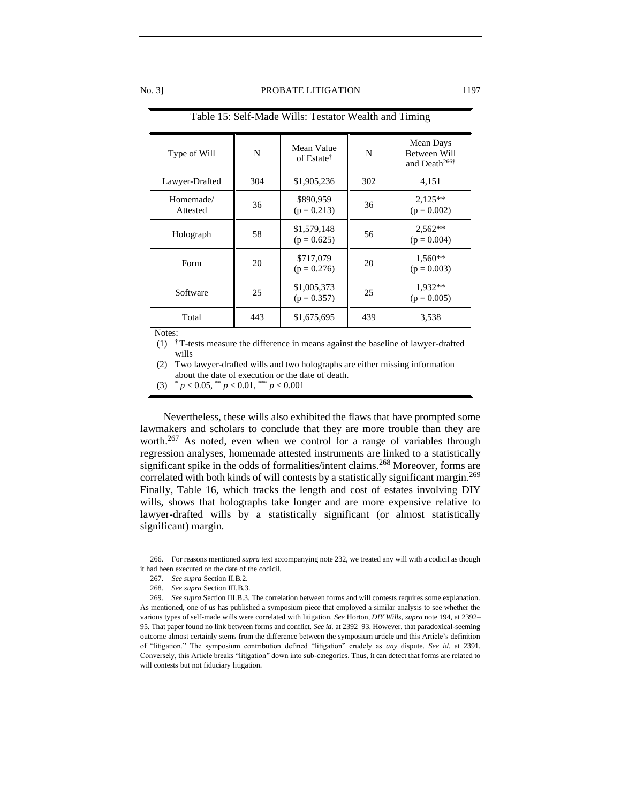| Table 15: Self-Made Wills: Testator Wealth and Timing                                                                                                                                                                                                           |     |                                      |     |                                                        |  |
|-----------------------------------------------------------------------------------------------------------------------------------------------------------------------------------------------------------------------------------------------------------------|-----|--------------------------------------|-----|--------------------------------------------------------|--|
| Type of Will                                                                                                                                                                                                                                                    | N   | Mean Value<br>of Estate <sup>†</sup> | N   | Mean Days<br>Between Will<br>and Death <sup>266†</sup> |  |
| Lawyer-Drafted                                                                                                                                                                                                                                                  | 304 | \$1,905,236                          | 302 | 4,151                                                  |  |
| Homemade/<br>Attested                                                                                                                                                                                                                                           | 36  | \$890,959<br>$(p = 0.213)$           | 36  | $2,125**$<br>$(p = 0.002)$                             |  |
| Holograph                                                                                                                                                                                                                                                       | 58  | \$1,579,148<br>$(p = 0.625)$         | 56  | $2,562**$<br>$(p = 0.004)$                             |  |
| Form                                                                                                                                                                                                                                                            | 20  | \$717,079<br>$(p = 0.276)$           | 20  | 1,560**<br>$(p = 0.003)$                               |  |
| Software                                                                                                                                                                                                                                                        | 25  | \$1,005,373<br>$(p = 0.357)$         | 25  | $1,932**$<br>$(p = 0.005)$                             |  |
| Total                                                                                                                                                                                                                                                           | 443 | \$1,675,695                          | 439 | 3,538                                                  |  |
| Notes:<br><sup>†</sup> T-tests measure the difference in means against the baseline of lawyer-drafted<br>(1)<br>wills<br>Two lawyer-drafted wills and two holographs are either missing information<br>(2)<br>about the date of execution or the date of death. |     |                                      |     |                                                        |  |

(3)  $p < 0.05$ ,  $p < 0.01$ ,  $p < 0.001$ 

Nevertheless, these wills also exhibited the flaws that have prompted some lawmakers and scholars to conclude that they are more trouble than they are worth.<sup>267</sup> As noted, even when we control for a range of variables through regression analyses, homemade attested instruments are linked to a statistically significant spike in the odds of formalities/intent claims.<sup>268</sup> Moreover, forms are correlated with both kinds of will contests by a statistically significant margin.<sup>269</sup> Finally, Table 16, which tracks the length and cost of estates involving DIY wills, shows that holographs take longer and are more expensive relative to lawyer-drafted wills by a statistically significant (or almost statistically significant) margin.

<sup>266.</sup> For reasons mentioned *supra* text accompanying note 232, we treated any will with a codicil as though it had been executed on the date of the codicil.

<sup>267.</sup> *See supra* Section II.B.2.

<sup>268</sup>*. See supra* Section III.B.3.

<sup>269</sup>*. See supra* Section III.B.3. The correlation between forms and will contests requires some explanation. As mentioned, one of us has published a symposium piece that employed a similar analysis to see whether the various types of self-made wills were correlated with litigation. *See* Horton, *DIY Wills*, *supra* note 194, at 2392– 95. That paper found no link between forms and conflict. *See id.* at 2392–93. However, that paradoxical-seeming outcome almost certainly stems from the difference between the symposium article and this Article's definition of "litigation." The symposium contribution defined "litigation" crudely as *any* dispute. *See id.* at 2391. Conversely, this Article breaks "litigation" down into sub-categories. Thus, it can detect that forms are related to will contests but not fiduciary litigation.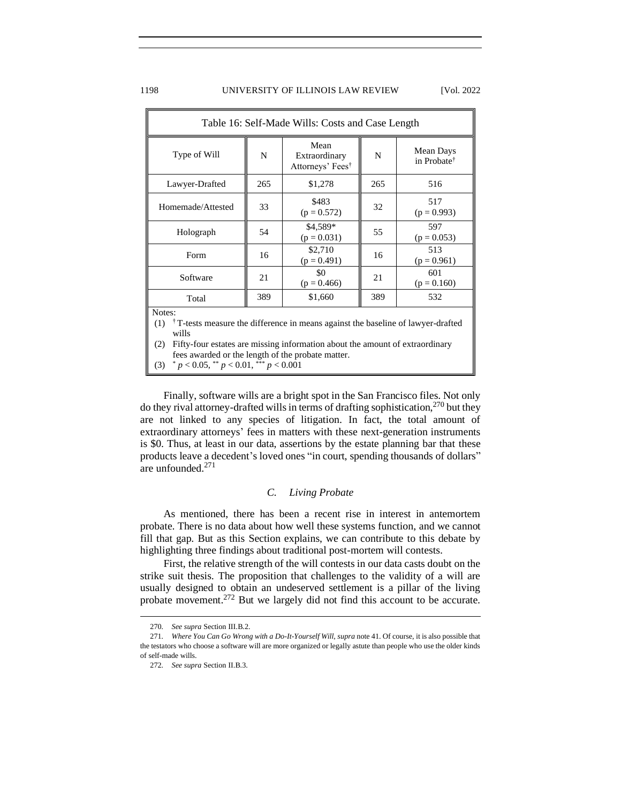### 1198 UNIVERSITY OF ILLINOIS LAW REVIEW [Vol. 2022]

| Table 16: Self-Made Wills: Costs and Case Length                                                                                                                                                                                                                  |     |                                                       |     |                                      |  |
|-------------------------------------------------------------------------------------------------------------------------------------------------------------------------------------------------------------------------------------------------------------------|-----|-------------------------------------------------------|-----|--------------------------------------|--|
| Type of Will                                                                                                                                                                                                                                                      | N   | Mean<br>Extraordinary<br>Attorneys' Fees <sup>†</sup> | N   | Mean Days<br>in Probate <sup>†</sup> |  |
| Lawyer-Drafted                                                                                                                                                                                                                                                    | 265 | \$1,278                                               | 265 | 516                                  |  |
| Homemade/Attested                                                                                                                                                                                                                                                 | 33  | \$483<br>$(p = 0.572)$                                | 32  | 517<br>$(p = 0.993)$                 |  |
| Holograph                                                                                                                                                                                                                                                         | 54  | \$4,589*<br>$(p = 0.031)$                             | 55  | 597<br>$(p = 0.053)$                 |  |
| Form                                                                                                                                                                                                                                                              | 16  | \$2,710<br>$(p = 0.491)$                              | 16  | 513<br>$(p = 0.961)$                 |  |
| Software                                                                                                                                                                                                                                                          | 21  | \$0<br>$(p = 0.466)$                                  | 21  | 601<br>$(p = 0.160)$                 |  |
| Total                                                                                                                                                                                                                                                             | 389 | \$1,660                                               | 389 | 532                                  |  |
| Notes:<br><sup>†</sup> T-tests measure the difference in means against the baseline of lawyer-drafted<br>(1)<br>wills<br>Fifty-four estates are missing information about the amount of extraordinary<br>(2)<br>fees awarded or the length of the probate matter. |     |                                                       |     |                                      |  |

(3)  $p < 0.05$ ,  $p < 0.01$ ,  $p < 0.001$ 

Finally, software wills are a bright spot in the San Francisco files. Not only do they rival attorney-drafted wills in terms of drafting sophistication,  $270$  but they are not linked to any species of litigation. In fact, the total amount of extraordinary attorneys' fees in matters with these next-generation instruments is \$0. Thus, at least in our data, assertions by the estate planning bar that these products leave a decedent's loved ones "in court, spending thousands of dollars" are unfounded.<sup>271</sup>

# *C. Living Probate*

<span id="page-49-0"></span>As mentioned, there has been a recent rise in interest in antemortem probate. There is no data about how well these systems function, and we cannot fill that gap. But as this Section explains, we can contribute to this debate by highlighting three findings about traditional post-mortem will contests.

First, the relative strength of the will contests in our data casts doubt on the strike suit thesis. The proposition that challenges to the validity of a will are usually designed to obtain an undeserved settlement is a pillar of the living probate movement.<sup>272</sup> But we largely did not find this account to be accurate.

<sup>270</sup>*. See supra* Section III.B.2.

<sup>271</sup>*. Where You Can Go Wrong with a Do-It-Yourself Will*, *supra* note 41. Of course, it is also possible that the testators who choose a software will are more organized or legally astute than people who use the older kinds of self-made wills.

<sup>272</sup>*. See supra* Section II.B.3.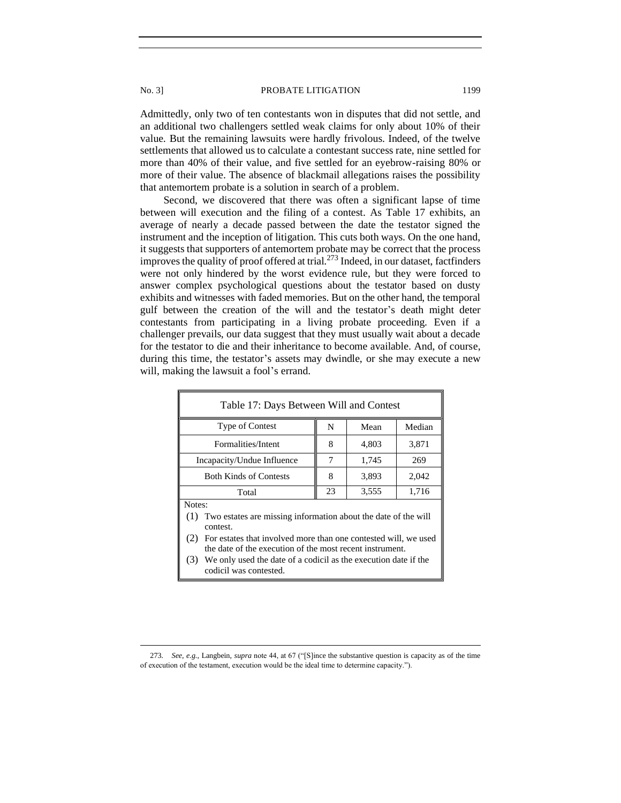Admittedly, only two of ten contestants won in disputes that did not settle, and an additional two challengers settled weak claims for only about 10% of their value. But the remaining lawsuits were hardly frivolous. Indeed, of the twelve settlements that allowed us to calculate a contestant success rate, nine settled for more than 40% of their value, and five settled for an eyebrow-raising 80% or more of their value. The absence of blackmail allegations raises the possibility that antemortem probate is a solution in search of a problem.

Second, we discovered that there was often a significant lapse of time between will execution and the filing of a contest. As Table 17 exhibits, an average of nearly a decade passed between the date the testator signed the instrument and the inception of litigation. This cuts both ways. On the one hand, it suggests that supporters of antemortem probate may be correct that the process improves the quality of proof offered at trial.<sup>273</sup> Indeed, in our dataset, factfinders were not only hindered by the worst evidence rule, but they were forced to answer complex psychological questions about the testator based on dusty exhibits and witnesses with faded memories. But on the other hand, the temporal gulf between the creation of the will and the testator's death might deter contestants from participating in a living probate proceeding. Even if a challenger prevails, our data suggest that they must usually wait about a decade for the testator to die and their inheritance to become available. And, of course, during this time, the testator's assets may dwindle, or she may execute a new will, making the lawsuit a fool's errand.

| Table 17: Days Between Will and Contest                                                                                                                                                                                                                                                                                            |    |       |        |  |  |
|------------------------------------------------------------------------------------------------------------------------------------------------------------------------------------------------------------------------------------------------------------------------------------------------------------------------------------|----|-------|--------|--|--|
| Type of Contest                                                                                                                                                                                                                                                                                                                    | N  | Mean  | Median |  |  |
| Formalities/Intent                                                                                                                                                                                                                                                                                                                 | 8  | 4,803 | 3,871  |  |  |
| Incapacity/Undue Influence                                                                                                                                                                                                                                                                                                         | 7  | 1,745 | 269    |  |  |
| <b>Both Kinds of Contests</b>                                                                                                                                                                                                                                                                                                      | 8  | 3,893 | 2,042  |  |  |
| Total                                                                                                                                                                                                                                                                                                                              | 23 | 3,555 | 1,716  |  |  |
| Notes:<br>(1) Two estates are missing information about the date of the will<br>contest.<br>For estates that involved more than one contested will, we used<br>(2)<br>the date of the execution of the most recent instrument.<br>We only used the date of a codicil as the execution date if the<br>(3)<br>codicil was contested. |    |       |        |  |  |

<sup>273</sup>*. See, e.g.*, Langbein, *supra* note 44, at 67 ("[S]ince the substantive question is capacity as of the time of execution of the testament, execution would be the ideal time to determine capacity.").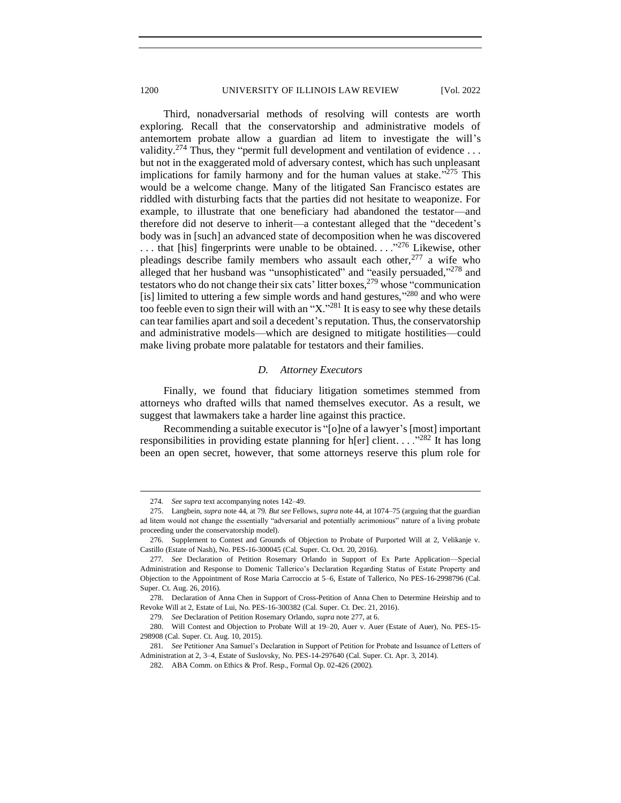Third, nonadversarial methods of resolving will contests are worth exploring. Recall that the conservatorship and administrative models of antemortem probate allow a guardian ad litem to investigate the will's validity.<sup>274</sup> Thus, they "permit full development and ventilation of evidence ... but not in the exaggerated mold of adversary contest, which has such unpleasant implications for family harmony and for the human values at stake." $275$  This would be a welcome change. Many of the litigated San Francisco estates are riddled with disturbing facts that the parties did not hesitate to weaponize. For example, to illustrate that one beneficiary had abandoned the testator—and therefore did not deserve to inherit—a contestant alleged that the "decedent's body was in [such] an advanced state of decomposition when he was discovered ... that [his] fingerprints were unable to be obtained...  $\cdot$ <sup>276</sup> Likewise, other pleadings describe family members who assault each other,  $277$  a wife who alleged that her husband was "unsophisticated" and "easily persuaded,"<sup>278</sup> and testators who do not change their six cats' litter boxes,<sup>279</sup> whose "communication" [is] limited to uttering a few simple words and hand gestures,"<sup>280</sup> and who were too feeble even to sign their will with an " $X$ ."<sup>281</sup> It is easy to see why these details can tear families apart and soil a decedent's reputation. Thus, the conservatorship and administrative models—which are designed to mitigate hostilities—could make living probate more palatable for testators and their families.

# *D. Attorney Executors*

<span id="page-51-0"></span>Finally, we found that fiduciary litigation sometimes stemmed from attorneys who drafted wills that named themselves executor. As a result, we suggest that lawmakers take a harder line against this practice.

Recommending a suitable executor is "[o]ne of a lawyer's [most] important responsibilities in providing estate planning for h[er] client.  $\ldots$ <sup>282</sup> It has long been an open secret, however, that some attorneys reserve this plum role for

<sup>274</sup>*. See supra* text accompanying notes 142–49.

<sup>275.</sup> Langbein, *supra* note 44, at 79. *But see* Fellows, *supra* note 44, at 1074–75 (arguing that the guardian ad litem would not change the essentially "adversarial and potentially acrimonious" nature of a living probate proceeding under the conservatorship model).

<sup>276.</sup> Supplement to Contest and Grounds of Objection to Probate of Purported Will at 2, Velikanje v. Castillo (Estate of Nash), No. PES-16-300045 (Cal. Super. Ct. Oct. 20, 2016).

<sup>277</sup>*. See* Declaration of Petition Rosemary Orlando in Support of Ex Parte Application—Special Administration and Response to Domenic Tallerico's Declaration Regarding Status of Estate Property and Objection to the Appointment of Rose Maria Carroccio at 5–6, Estate of Tallerico, No PES-16-2998796 (Cal. Super. Ct. Aug. 26, 2016).

<sup>278.</sup> Declaration of Anna Chen in Support of Cross-Petition of Anna Chen to Determine Heirship and to Revoke Will at 2, Estate of Lui, No. PES-16-300382 (Cal. Super. Ct. Dec. 21, 2016).

<sup>279</sup>*. See* Declaration of Petition Rosemary Orlando, *supra* note 277, at 6.

<sup>280.</sup> Will Contest and Objection to Probate Will at 19–20, Auer v. Auer (Estate of Auer), No. PES-15- 298908 (Cal. Super. Ct. Aug. 10, 2015).

<sup>281</sup>*. See* Petitioner Ana Samuel's Declaration in Support of Petition for Probate and Issuance of Letters of Administration at 2, 3–4, Estate of Suslovsky, No. PES-14-297640 (Cal. Super. Ct. Apr. 3, 2014).

<sup>282.</sup> ABA Comm. on Ethics & Prof. Resp., Formal Op. 02-426 (2002).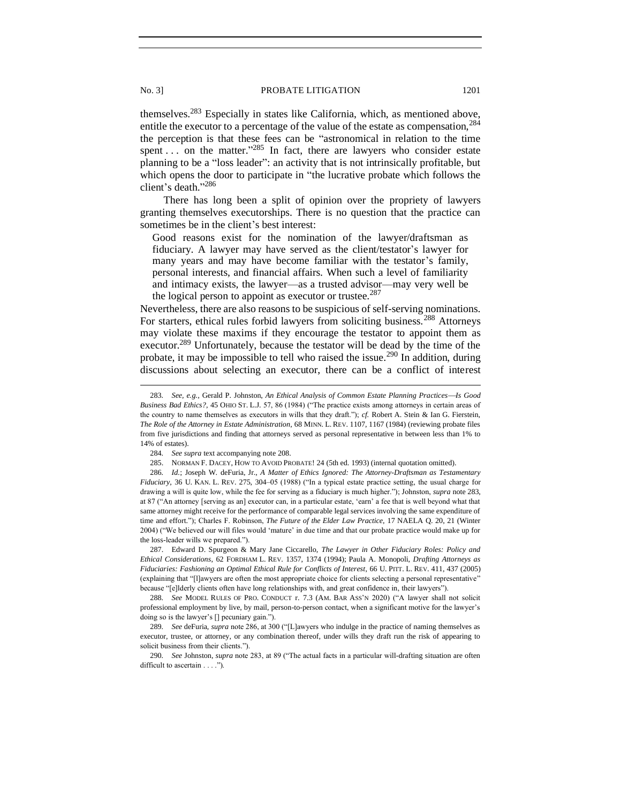themselves.<sup>283</sup> Especially in states like California, which, as mentioned above, entitle the executor to a percentage of the value of the estate as compensation,<sup>284</sup> the perception is that these fees can be "astronomical in relation to the time spent ... on the matter."  $285$  In fact, there are lawyers who consider estate planning to be a "loss leader": an activity that is not intrinsically profitable, but which opens the door to participate in "the lucrative probate which follows the client's death." 286

There has long been a split of opinion over the propriety of lawyers granting themselves executorships. There is no question that the practice can sometimes be in the client's best interest:

Good reasons exist for the nomination of the lawyer/draftsman as fiduciary. A lawyer may have served as the client/testator's lawyer for many years and may have become familiar with the testator's family, personal interests, and financial affairs. When such a level of familiarity and intimacy exists, the lawyer—as a trusted advisor—may very well be the logical person to appoint as executor or trustee.<sup>287</sup>

Nevertheless, there are also reasons to be suspicious of self-serving nominations. For starters, ethical rules forbid lawyers from soliciting business.<sup>288</sup> Attorneys may violate these maxims if they encourage the testator to appoint them as executor.<sup>289</sup> Unfortunately, because the testator will be dead by the time of the probate, it may be impossible to tell who raised the issue.<sup>290</sup> In addition, during discussions about selecting an executor, there can be a conflict of interest

287. Edward D. Spurgeon & Mary Jane Ciccarello, *The Lawyer in Other Fiduciary Roles: Policy and Ethical Considerations*, 62 FORDHAM L. REV. 1357, 1374 (1994); Paula A. Monopoli, *Drafting Attorneys as Fiduciaries: Fashioning an Optimal Ethical Rule for Conflicts of Interest*, 66 U. PITT. L. REV. 411, 437 (2005) (explaining that "[l]awyers are often the most appropriate choice for clients selecting a personal representative" because "[e]lderly clients often have long relationships with, and great confidence in, their lawyers").

288*. See* MODEL RULES OF PRO. CONDUCT r. 7.3 (AM. BAR ASS'N 2020) ("A lawyer shall not solicit professional employment by live, by mail, person-to-person contact, when a significant motive for the lawyer's doing so is the lawyer's [] pecuniary gain.").

289*. See* deFuria, *supra* note 286, at 300 ("[L]awyers who indulge in the practice of naming themselves as executor, trustee, or attorney, or any combination thereof, under wills they draft run the risk of appearing to solicit business from their clients.").

290*. See* Johnston, *supra* note 283, at 89 ("The actual facts in a particular will-drafting situation are often difficult to ascertain . . . .").

<sup>283.</sup> *See, e.g., Gerald P. Johnston, An Ethical Analysis of Common Estate Planning Practices-Is Good Business Bad Ethics?*, 45 OHIO ST. L.J. 57, 86 (1984) ("The practice exists among attorneys in certain areas of the country to name themselves as executors in wills that they draft."); *cf.* Robert A. Stein & Ian G. Fierstein, *The Role of the Attorney in Estate Administration*, 68 MINN. L. REV. 1107, 1167 (1984) (reviewing probate files from five jurisdictions and finding that attorneys served as personal representative in between less than 1% to 14% of estates).

<sup>284</sup>*. See supra* text accompanying note 208.

<sup>285.</sup> NORMAN F. DACEY, HOW TO AVOID PROBATE! 24 (5th ed. 1993) (internal quotation omitted).

<sup>286</sup>*. Id.*; Joseph W. deFuria, Jr., *A Matter of Ethics Ignored: The Attorney-Draftsman as Testamentary Fiduciary*, 36 U. KAN. L. REV. 275, 304–05 (1988) ("In a typical estate practice setting, the usual charge for drawing a will is quite low, while the fee for serving as a fiduciary is much higher."); Johnston, *supra* note 283, at 87 ("An attorney [serving as an] executor can, in a particular estate, 'earn' a fee that is well beyond what that same attorney might receive for the performance of comparable legal services involving the same expenditure of time and effort."); Charles F. Robinson, *The Future of the Elder Law Practice*, 17 NAELA Q. 20, 21 (Winter 2004) ("We believed our will files would 'mature' in due time and that our probate practice would make up for the loss-leader wills we prepared.").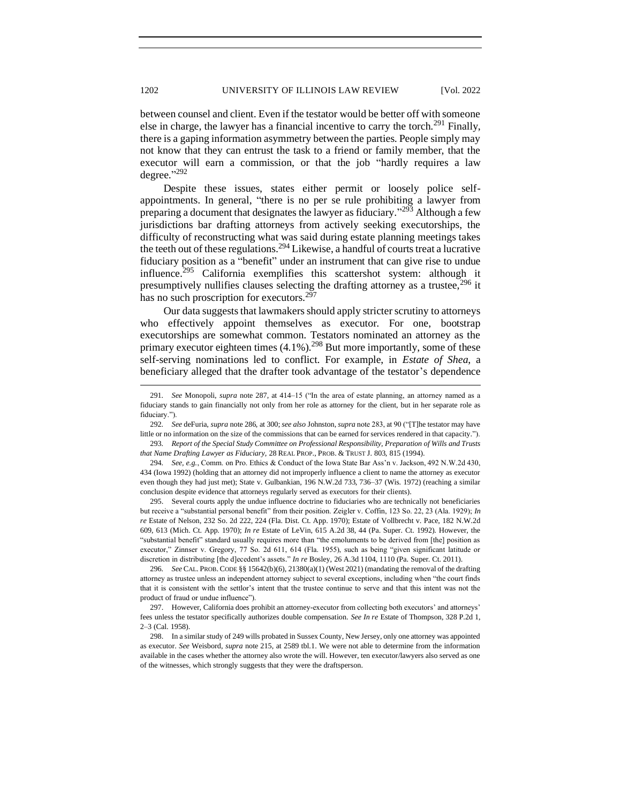between counsel and client. Even if the testator would be better off with someone else in charge, the lawyer has a financial incentive to carry the torch.<sup>291</sup> Finally, there is a gaping information asymmetry between the parties. People simply may not know that they can entrust the task to a friend or family member, that the executor will earn a commission, or that the job "hardly requires a law degree." 292

Despite these issues, states either permit or loosely police selfappointments. In general, "there is no per se rule prohibiting a lawyer from preparing a document that designates the lawyer as fiduciary."<sup>293</sup> Although a few jurisdictions bar drafting attorneys from actively seeking executorships, the difficulty of reconstructing what was said during estate planning meetings takes the teeth out of these regulations.<sup>294</sup> Likewise, a handful of courts treat a lucrative fiduciary position as a "benefit" under an instrument that can give rise to undue influence.<sup>295</sup> California exemplifies this scattershot system: although it presumptively nullifies clauses selecting the drafting attorney as a trustee,  $296$  it has no such proscription for executors.<sup>297</sup>

Our data suggests that lawmakers should apply stricter scrutiny to attorneys who effectively appoint themselves as executor. For one, bootstrap executorships are somewhat common. Testators nominated an attorney as the primary executor eighteen times  $(4.1\%)$ <sup>298</sup> But more importantly, some of these self-serving nominations led to conflict. For example, in *Estate of Shea*, a beneficiary alleged that the drafter took advantage of the testator's dependence

292*. See* deFuria, *supra* note 286, at 300; *see also* Johnston, *supra* note 283, at 90 ("[T]he testator may have little or no information on the size of the commissions that can be earned for services rendered in that capacity."). 293*. Report of the Special Study Committee on Professional Responsibility, Preparation of Wills and Trusts* 

*that Name Drafting Lawyer as Fiduciary,* 28 REAL PROP., PROB. & TRUST J. 803, 815 (1994).

294*. See, e.g.*, Comm. on Pro. Ethics & Conduct of the Iowa State Bar Ass'n v. Jackson, 492 N.W.2d 430, 434 (Iowa 1992) (holding that an attorney did not improperly influence a client to name the attorney as executor even though they had just met); State v. Gulbankian, 196 N.W.2d 733, 736–37 (Wis. 1972) (reaching a similar conclusion despite evidence that attorneys regularly served as executors for their clients).

295. Several courts apply the undue influence doctrine to fiduciaries who are technically not beneficiaries but receive a "substantial personal benefit" from their position. Zeigler v. Coffin, 123 So. 22, 23 (Ala. 1929); *In re* Estate of Nelson, 232 So. 2d 222, 224 (Fla. Dist. Ct. App. 1970); Estate of Vollbrecht v. Pace, 182 N.W.2d 609, 613 (Mich. Ct. App. 1970); *In re* Estate of LeVin, 615 A.2d 38, 44 (Pa. Super. Ct. 1992). However, the "substantial benefit" standard usually requires more than "the emoluments to be derived from [the] position as executor," Zinnser v. Gregory, 77 So. 2d 611, 614 (Fla. 1955), such as being "given significant latitude or discretion in distributing [the d]ecedent's assets." *In re* Bosley, 26 A.3d 1104, 1110 (Pa. Super. Ct. 2011).

296*. See* CAL. PROB. CODE §§ 15642(b)(6), 21380(a)(1) (West 2021) (mandating the removal of the drafting attorney as trustee unless an independent attorney subject to several exceptions, including when "the court finds that it is consistent with the settlor's intent that the trustee continue to serve and that this intent was not the product of fraud or undue influence").

297. However, California does prohibit an attorney-executor from collecting both executors' and attorneys' fees unless the testator specifically authorizes double compensation. *See In re* Estate of Thompson, 328 P.2d 1, 2–3 (Cal. 1958).

298. In a similar study of 249 wills probated in Sussex County, New Jersey, only one attorney was appointed as executor. *See* Weisbord, *supra* note 215, at 2589 tbl.1. We were not able to determine from the information available in the cases whether the attorney also wrote the will. However, ten executor/lawyers also served as one of the witnesses, which strongly suggests that they were the draftsperson.

<sup>291</sup>*. See* Monopoli, *supra* note 287, at 414–15 ("In the area of estate planning, an attorney named as a fiduciary stands to gain financially not only from her role as attorney for the client, but in her separate role as fiduciary.").